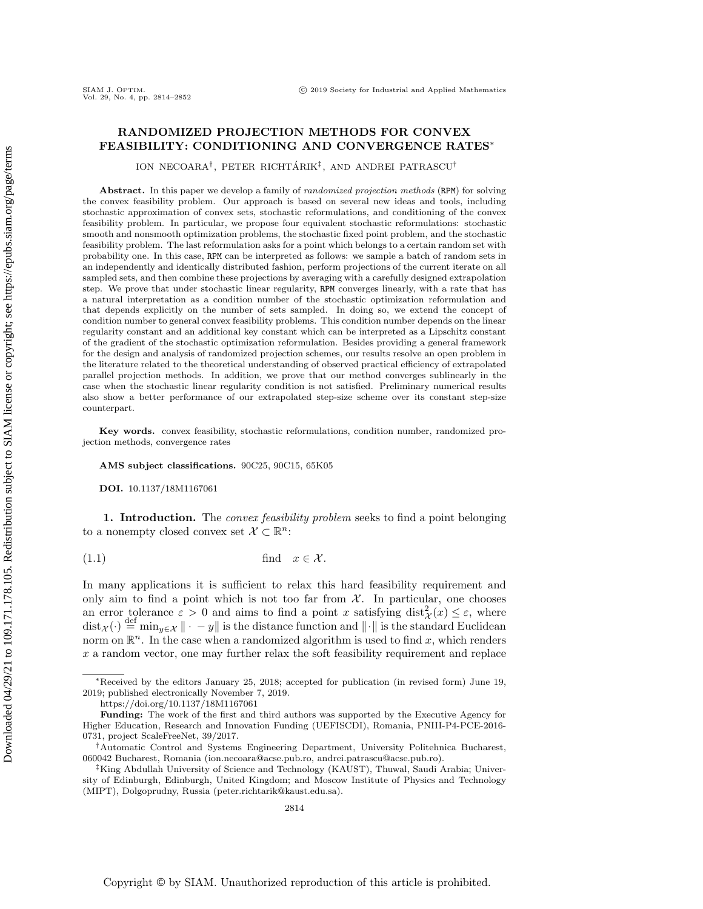# RANDOMIZED PROJECTION METHODS FOR CONVEX FEASIBILITY: CONDITIONING AND CONVERGENCE RATES<sup>∗</sup>

ION NECOARA<sup>†</sup>, PETER RICHTÁRIK<sup>‡</sup>, AND ANDREI PATRASCU<sup>†</sup>

Abstract. In this paper we develop a family of *randomized projection methods* (RPM) for solving the convex feasibility problem. Our approach is based on several new ideas and tools, including stochastic approximation of convex sets, stochastic reformulations, and conditioning of the convex feasibility problem. In particular, we propose four equivalent stochastic reformulations: stochastic smooth and nonsmooth optimization problems, the stochastic fixed point problem, and the stochastic feasibility problem. The last reformulation asks for a point which belongs to a certain random set with probability one. In this case, RPM can be interpreted as follows: we sample a batch of random sets in an independently and identically distributed fashion, perform projections of the current iterate on all sampled sets, and then combine these projections by averaging with a carefully designed extrapolation step. We prove that under stochastic linear regularity, RPM converges linearly, with a rate that has a natural interpretation as a condition number of the stochastic optimization reformulation and that depends explicitly on the number of sets sampled. In doing so, we extend the concept of condition number to general convex feasibility problems. This condition number depends on the linear regularity constant and an additional key constant which can be interpreted as a Lipschitz constant of the gradient of the stochastic optimization reformulation. Besides providing a general framework for the design and analysis of randomized projection schemes, our results resolve an open problem in the literature related to the theoretical understanding of observed practical efficiency of extrapolated parallel projection methods. In addition, we prove that our method converges sublinearly in the case when the stochastic linear regularity condition is not satisfied. Preliminary numerical results also show a better performance of our extrapolated step-size scheme over its constant step-size counterpart.

Key words. convex feasibility, stochastic reformulations, condition number, randomized projection methods, convergence rates

AMS subject classifications. 90C25, 90C15, 65K05

<span id="page-0-0"></span>DOI. 10.1137/18M1167061

1. Introduction. The *convex feasibility problem* seeks to find a point belonging to a nonempty closed convex set  $\mathcal{X} \subset \mathbb{R}^n$ :

(1.1) find x ∈ X .

In many applications it is sufficient to relax this hard feasibility requirement and only aim to find a point which is not too far from  $X$ . In particular, one chooses an error tolerance  $\varepsilon > 0$  and aims to find a point x satisfying  $dist^2_{\mathcal{X}}(x) \leq \varepsilon$ , where  $dist_\mathcal{X}(\cdot) \stackrel{\text{def}}{=} \min_{y \in \mathcal{X}} || \cdot - y||$  is the distance function and  $|| \cdot ||$  is the standard Euclidean norm on  $\mathbb{R}^n$ . In the case when a randomized algorithm is used to find x, which renders x a random vector, one may further relax the soft feasibility requirement and replace

<sup>∗</sup>Received by the editors January 25, 2018; accepted for publication (in revised form) June 19, 2019; published electronically November 7, 2019.

<https://doi.org/10.1137/18M1167061>

Funding: The work of the first and third authors was supported by the Executive Agency for Higher Education, Research and Innovation Funding (UEFISCDI), Romania, PNIII-P4-PCE-2016- 0731, project ScaleFreeNet, 39/2017.

<sup>†</sup>Automatic Control and Systems Engineering Department, University Politehnica Bucharest, 060042 Bucharest, Romania [\(ion.necoara@acse.pub.ro,](mailto:ion.necoara@acse.pub.ro) [andrei.patrascu@acse.pub.ro\)](mailto:andrei.patrascu@acse.pub.ro).

<sup>‡</sup>King Abdullah University of Science and Technology (KAUST), Thuwal, Saudi Arabia; University of Edinburgh, Edinburgh, United Kingdom; and Moscow Institute of Physics and Technology (MIPT), Dolgoprudny, Russia [\(peter.richtarik@kaust.edu.sa\)](mailto:peter.richtarik@kaust.edu.sa).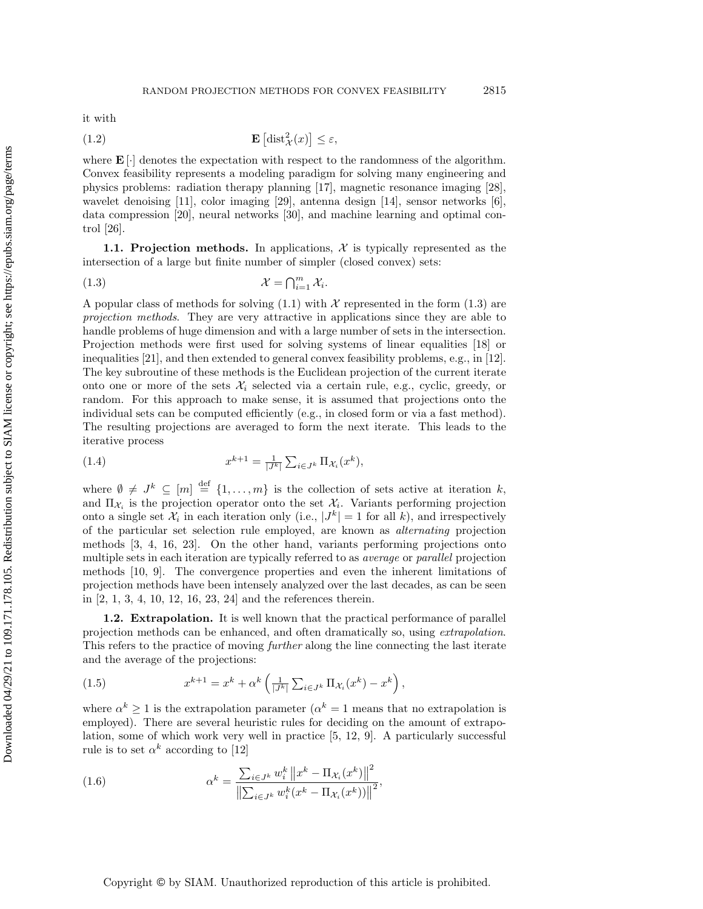it with

(1.2) 
$$
\mathbf{E}\left[\mathrm{dist}_{\mathcal{X}}^{2}(x)\right] \leq \varepsilon,
$$

where  $\mathbf{E}[\cdot]$  denotes the expectation with respect to the randomness of the algorithm. Convex feasibility represents a modeling paradigm for solving many engineering and physics problems: radiation therapy planning [\[17\]](#page-37-0), magnetic resonance imaging [\[28\]](#page-37-1), wavelet denoising [\[11\]](#page-37-2), color imaging [\[29\]](#page-37-3), antenna design [\[14\]](#page-37-4), sensor networks [\[6\]](#page-37-5), data compression [\[20\]](#page-37-6), neural networks [\[30\]](#page-38-0), and machine learning and optimal control [\[26\]](#page-37-7).

1.1. Projection methods. In applications,  $\mathcal X$  is typically represented as the intersection of a large but finite number of simpler (closed convex) sets:

<span id="page-1-0"></span>
$$
\mathcal{X} = \bigcap_{i=1}^{m} \mathcal{X}_i.
$$

A popular class of methods for solving  $(1.1)$  with X represented in the form  $(1.3)$  are projection methods. They are very attractive in applications since they are able to handle problems of huge dimension and with a large number of sets in the intersection. Projection methods were first used for solving systems of linear equalities [\[18\]](#page-37-8) or inequalities [\[21\]](#page-37-9), and then extended to general convex feasibility problems, e.g., in [\[12\]](#page-37-10). The key subroutine of these methods is the Euclidean projection of the current iterate onto one or more of the sets  $\mathcal{X}_i$  selected via a certain rule, e.g., cyclic, greedy, or random. For this approach to make sense, it is assumed that projections onto the individual sets can be computed efficiently (e.g., in closed form or via a fast method). The resulting projections are averaged to form the next iterate. This leads to the iterative process

(1.4) 
$$
x^{k+1} = \frac{1}{|J^k|} \sum_{i \in J^k} \Pi_{\mathcal{X}_i}(x^k),
$$

where  $\emptyset \neq J^k \subseteq [m] \stackrel{\text{def}}{=} \{1,\ldots,m\}$  is the collection of sets active at iteration k, and  $\Pi_{\mathcal{X}_i}$  is the projection operator onto the set  $\mathcal{X}_i$ . Variants performing projection onto a single set  $\mathcal{X}_i$  in each iteration only (i.e.,  $|J^k| = 1$  for all k), and irrespectively of the particular set selection rule employed, are known as alternating projection methods [\[3,](#page-36-0) [4,](#page-37-11) [16,](#page-37-12) [23\]](#page-37-13). On the other hand, variants performing projections onto multiple sets in each iteration are typically referred to as average or parallel projection methods [\[10,](#page-37-14) [9\]](#page-37-15). The convergence properties and even the inherent limitations of projection methods have been intensely analyzed over the last decades, as can be seen in [\[2,](#page-36-1) [1,](#page-36-2) [3,](#page-36-0) [4,](#page-37-11) [10,](#page-37-14) [12,](#page-37-10) [16,](#page-37-12) [23,](#page-37-13) [24\]](#page-37-16) and the references therein.

1.2. Extrapolation. It is well known that the practical performance of parallel projection methods can be enhanced, and often dramatically so, using extrapolation. This refers to the practice of moving further along the line connecting the last iterate and the average of the projections:

(1.5) 
$$
x^{k+1} = x^k + \alpha^k \left( \frac{1}{|J^k|} \sum_{i \in J^k} \Pi_{\mathcal{X}_i}(x^k) - x^k \right),
$$

where  $\alpha^k \geq 1$  is the extrapolation parameter  $(\alpha^k = 1$  means that no extrapolation is employed). There are several heuristic rules for deciding on the amount of extrapolation, some of which work very well in practice [\[5,](#page-37-17) [12,](#page-37-10) [9\]](#page-37-15). A particularly successful rule is to set  $\alpha^k$  according to [\[12\]](#page-37-10)

<span id="page-1-1"></span>(1.6) 
$$
\alpha^{k} = \frac{\sum_{i \in J^{k}} w_{i}^{k} ||x^{k} - \Pi_{\mathcal{X}_{i}}(x^{k})||^{2}}{\left\| \sum_{i \in J^{k}} w_{i}^{k}(x^{k} - \Pi_{\mathcal{X}_{i}}(x^{k})) \right\|^{2}},
$$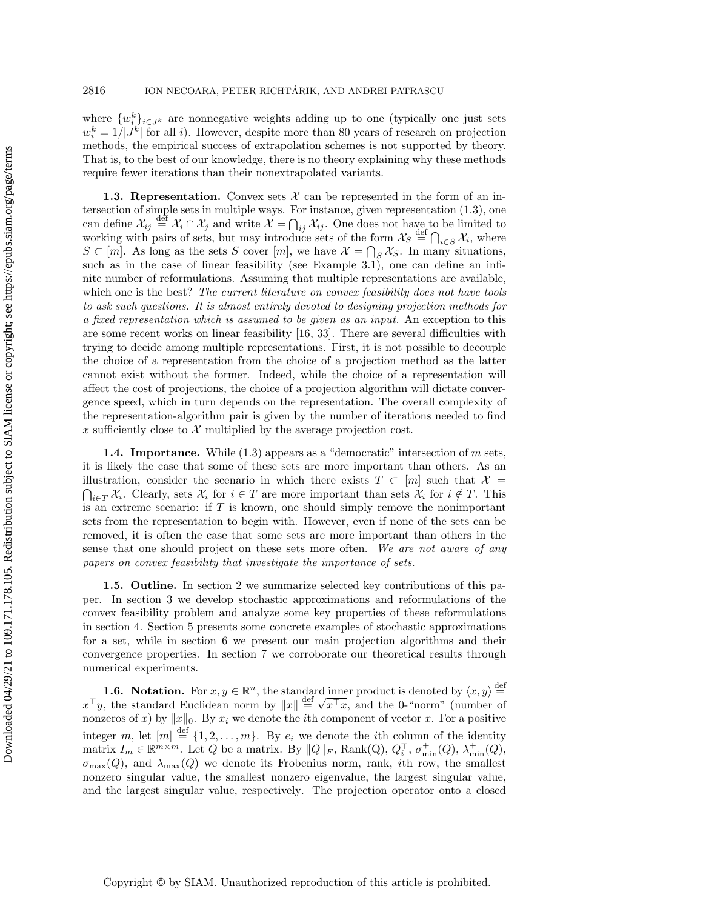where  $\{w_i^k\}_{i\in J^k}$  are nonnegative weights adding up to one (typically one just sets  $w_i^k = 1/|J^k|$  for all i). However, despite more than 80 years of research on projection methods, the empirical success of extrapolation schemes is not supported by theory. That is, to the best of our knowledge, there is no theory explaining why these methods require fewer iterations than their nonextrapolated variants.

1.3. Representation. Convex sets  $\mathcal X$  can be represented in the form of an intersection of simple sets in multiple ways. For instance, given representation [\(1.3\)](#page-1-0), one can define  $\mathcal{X}_{ij} \stackrel{\text{def}}{=} \mathcal{X}_i \cap \mathcal{X}_j$  and write  $\mathcal{X} = \bigcap_{ij} \mathcal{X}_{ij}$ . One does not have to be limited to working with pairs of sets, but may introduce sets of the form  $\mathcal{X}_S \stackrel{\text{def}}{=} \bigcap_{i \in S} \mathcal{X}_i$ , where  $S \subset [m]$ . As long as the sets S cover  $[m]$ , we have  $\mathcal{X} = \bigcap_S \mathcal{X}_S$ . In many situations, such as in the case of linear feasibility (see Example [3.1\)](#page-6-0), one can define an infinite number of reformulations. Assuming that multiple representations are available, which one is the best? The current literature on convex feasibility does not have tools to ask such questions. It is almost entirely devoted to designing projection methods for a fixed representation which is assumed to be given as an input. An exception to this are some recent works on linear feasibility [\[16,](#page-37-12) [33\]](#page-38-1). There are several difficulties with trying to decide among multiple representations. First, it is not possible to decouple the choice of a representation from the choice of a projection method as the latter cannot exist without the former. Indeed, while the choice of a representation will affect the cost of projections, the choice of a projection algorithm will dictate convergence speed, which in turn depends on the representation. The overall complexity of the representation-algorithm pair is given by the number of iterations needed to find x sufficiently close to  $\mathcal X$  multiplied by the average projection cost.

**1.4. Importance.** While  $(1.3)$  appears as a "democratic" intersection of m sets, it is likely the case that some of these sets are more important than others. As an illustration, consider the scenario in which there exists  $T \subset [m]$  such that  $\mathcal{X} =$  $\bigcap_{i\in T} \mathcal{X}_i$ . Clearly, sets  $\mathcal{X}_i$  for  $i \in T$  are more important than sets  $\mathcal{X}_i$  for  $i \notin T$ . This is an extreme scenario: if  $T$  is known, one should simply remove the nonimportant sets from the representation to begin with. However, even if none of the sets can be removed, it is often the case that some sets are more important than others in the sense that one should project on these sets more often. We are not aware of any papers on convex feasibility that investigate the importance of sets.

1.5. Outline. In section [2](#page-3-0) we summarize selected key contributions of this paper. In section [3](#page-6-1) we develop stochastic approximations and reformulations of the convex feasibility problem and analyze some key properties of these reformulations in section 4. Section 5 presents some concrete examples of stochastic approximations for a set, while in section 6 we present our main projection algorithms and their convergence properties. In section 7 we corroborate our theoretical results through numerical experiments.

**1.6.** Notation. For  $x, y \in \mathbb{R}^n$ , the standard inner product is denoted by  $\langle x, y \rangle \stackrel{\text{def}}{=}$ **1.6. Notation.** For  $x, y \in \mathbb{R}^n$ , the standard  $\bar{x}^\top y$ , the standard Euclidean norm by  $||x|| \stackrel{\text{def}}{=} \sqrt{x}$  $x^{\top}x$ , and the 0-"norm" (number of nonzeros of x) by  $||x||_0$ . By  $x_i$  we denote the *i*th component of vector x. For a positive integer m, let  $[m] \stackrel{\text{def}}{=} \{1, 2, ..., m\}$ . By  $e_i$  we denote the *i*th column of the identity matrix  $I_m \in \mathbb{R}^{m \times m}$ . Let Q be a matrix. By  $||Q||_F$ , Rank(Q),  $Q_i^{\top}$ ,  $\sigma_{\min}^+(Q)$ ,  $\lambda_{\min}^+(Q)$ ,  $\sigma_{\max}(Q)$ , and  $\lambda_{\max}(Q)$  we denote its Frobenius norm, rank, *i*th row, the smallest nonzero singular value, the smallest nonzero eigenvalue, the largest singular value, and the largest singular value, respectively. The projection operator onto a closed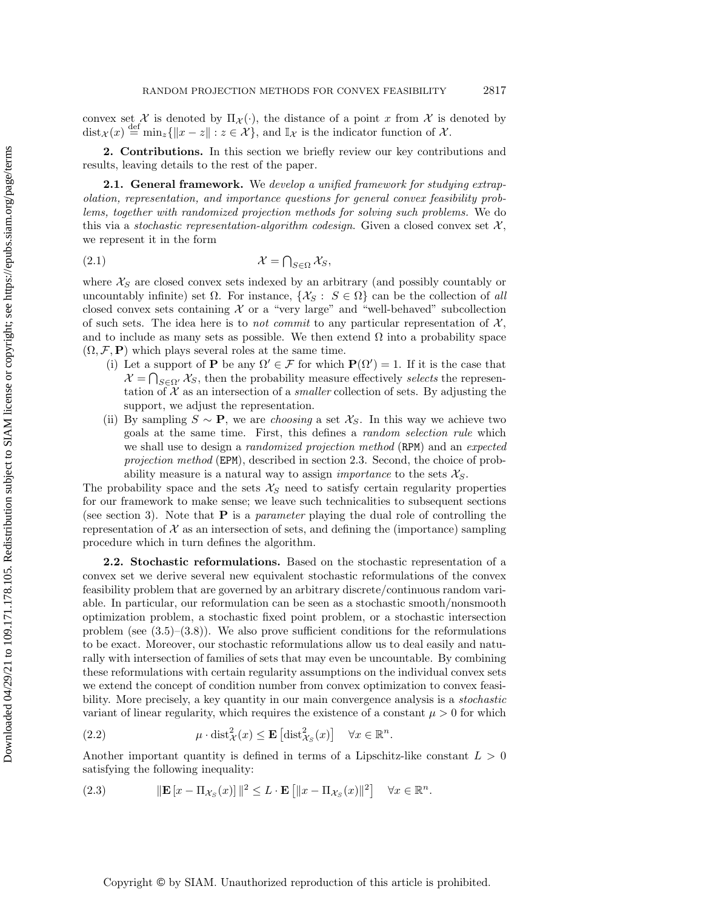convex set  $\mathcal X$  is denoted by  $\Pi_{\mathcal X}(\cdot)$ , the distance of a point x from X is denoted by  $dist_{\mathcal{X}}(x) \stackrel{\text{def}}{=} \min_{z} \{ ||x-z|| : z \in \mathcal{X} \}, \text{ and } \mathbb{I}_{\mathcal{X}} \text{ is the indicator function of } \mathcal{X}.$ 

<span id="page-3-0"></span>2. Contributions. In this section we briefly review our key contributions and results, leaving details to the rest of the paper.

**2.1. General framework.** We develop a unified framework for studying extrapolation, representation, and importance questions for general convex feasibility problems, together with randomized projection methods for solving such problems. We do this via a stochastic representation-algorithm codesign. Given a closed convex set  $\mathcal{X},$ we represent it in the form

<span id="page-3-2"></span>
$$
\mathcal{X} = \bigcap_{S \in \Omega} \mathcal{X}_S,
$$

where  $\mathcal{X}_S$  are closed convex sets indexed by an arbitrary (and possibly countably or uncountably infinite) set  $\Omega$ . For instance,  $\{\mathcal{X}_S: S \in \Omega\}$  can be the collection of all closed convex sets containing  $X$  or a "very large" and "well-behaved" subcollection of such sets. The idea here is to *not commit* to any particular representation of  $\mathcal{X}$ , and to include as many sets as possible. We then extend  $\Omega$  into a probability space  $(\Omega, \mathcal{F}, P)$  which plays several roles at the same time.

- (i) Let a support of **P** be any  $\Omega' \in \mathcal{F}$  for which  $\mathbf{P}(\Omega') = 1$ . If it is the case that  $\mathcal{X} = \bigcap_{S \in \Omega'} \mathcal{X}_S$ , then the probability measure effectively selects the representation of  $\mathcal X$  as an intersection of a *smaller* collection of sets. By adjusting the support, we adjust the representation.
- (ii) By sampling  $S \sim \mathbf{P}$ , we are *choosing* a set  $\mathcal{X}_S$ . In this way we achieve two goals at the same time. First, this defines a random selection rule which we shall use to design a *randomized projection method* (RPM) and an *expected* projection method (EPM), described in section [2.3.](#page-4-0) Second, the choice of probability measure is a natural way to assign *importance* to the sets  $\mathcal{X}_S$ .

The probability space and the sets  $\mathcal{X}_S$  need to satisfy certain regularity properties for our framework to make sense; we leave such technicalities to subsequent sections (see section [3\)](#page-6-1). Note that  $P$  is a *parameter* playing the dual role of controlling the representation of  $\mathcal X$  as an intersection of sets, and defining the (importance) sampling procedure which in turn defines the algorithm.

2.2. Stochastic reformulations. Based on the stochastic representation of a convex set we derive several new equivalent stochastic reformulations of the convex feasibility problem that are governed by an arbitrary discrete/continuous random variable. In particular, our reformulation can be seen as a stochastic smooth/nonsmooth optimization problem, a stochastic fixed point problem, or a stochastic intersection problem (see  $(3.5)$ – $(3.8)$ ). We also prove sufficient conditions for the reformulations to be exact. Moreover, our stochastic reformulations allow us to deal easily and naturally with intersection of families of sets that may even be uncountable. By combining these reformulations with certain regularity assumptions on the individual convex sets we extend the concept of condition number from convex optimization to convex feasibility. More precisely, a key quantity in our main convergence analysis is a *stochastic* variant of linear regularity, which requires the existence of a constant  $\mu > 0$  for which

(2.2) 
$$
\mu \cdot \text{dist}_{\mathcal{X}}^2(x) \leq \mathbf{E} \left[ \text{dist}_{\mathcal{X}_S}^2(x) \right] \quad \forall x \in \mathbb{R}^n.
$$

Another important quantity is defined in terms of a Lipschitz-like constant  $L > 0$ satisfying the following inequality:

.

<span id="page-3-1"></span>(2.3) 
$$
\|\mathbf{E}\left[x - \Pi_{\mathcal{X}_S}(x)\right]\|^2 \le L \cdot \mathbf{E}\left[\|x - \Pi_{\mathcal{X}_S}(x)\|^2\right] \quad \forall x \in \mathbb{R}^n
$$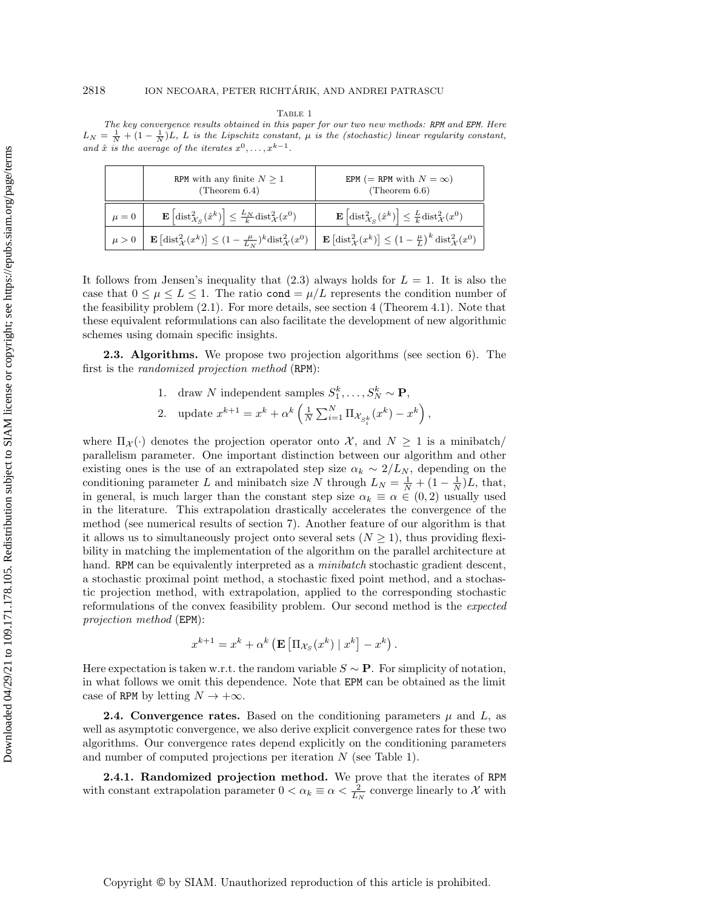TABLE 1

<span id="page-4-1"></span>The key convergence results obtained in this paper for our two new methods: RPM and EPM. Here  $L_N = \frac{1}{N} + (1 - \frac{1}{N})L$ , L is the Lipschitz constant,  $\mu$  is the (stochastic) linear regularity constant, and  $\hat{x}$  is the average of the iterates  $x^0, \ldots, x^{k-1}$ .

|           | RPM with any finite $N \geq 1$<br>(Theorem $6.4$ )                                                                                   | EPM (= RPM with $N = \infty$ )<br>(Theorem $6.6$ )                                                                                       |
|-----------|--------------------------------------------------------------------------------------------------------------------------------------|------------------------------------------------------------------------------------------------------------------------------------------|
| $\mu = 0$ | $\mathbf{E}\left[\mathrm{dist}_{\mathcal{X}_{S}}^{2}(\hat{x}^{k})\right] \leq \frac{L_{N}}{k}\mathrm{dist}_{\mathcal{X}}^{2}(x^{0})$ | $\mathbf{E}\left[\text{dist}_{\mathcal{X}_S}^2(\hat{x}^k)\right] \leq \frac{L}{k} \text{dist}_{\mathcal{X}}^2(x^0)$                      |
| $\mu > 0$ | $\mathbf{E}\left[\text{dist}_{\mathcal{X}}^{2}(x^{k})\right] \leq (1 - \frac{\mu}{L_{N}})^{k} \text{dist}_{\mathcal{X}}^{2}(x^{0})$  | $\mathbf{E}\left[\text{dist}_{\mathcal{X}}^{2}(x^{k})\right] \leq \left(1-\frac{\mu}{L}\right)^{k} \text{dist}_{\mathcal{X}}^{2}(x^{0})$ |

It follows from Jensen's inequality that  $(2.3)$  always holds for  $L = 1$ . It is also the case that  $0 \leq \mu \leq L \leq 1$ . The ratio cond  $= \mu/L$  represents the condition number of the feasibility problem [\(2.1\)](#page-3-2). For more details, see section [4](#page-11-0) (Theorem [4.1\)](#page-12-0). Note that these equivalent reformulations can also facilitate the development of new algorithmic schemes using domain specific insights.

<span id="page-4-0"></span>2.3. Algorithms. We propose two projection algorithms (see section 6). The first is the randomized projection method (RPM):

- 1. draw N independent samples  $S_1^k, \ldots, S_N^k \sim \mathbf{P}$ ,
- 2. update  $x^{k+1} = x^k + \alpha^k \left( \frac{1}{N} \sum_{i=1}^N \Pi_{\mathcal{X}_{S_i^k}} (x^k) x^k \right)$ ,

where  $\Pi_{\mathcal{X}}(\cdot)$  denotes the projection operator onto X, and  $N \geq 1$  is a minibatch/ parallelism parameter. One important distinction between our algorithm and other existing ones is the use of an extrapolated step size  $\alpha_k \sim 2/L_N$ , depending on the conditioning parameter L and minibatch size N through  $L_N = \frac{1}{N} + (1 - \frac{1}{N})L$ , that, in general, is much larger than the constant step size  $\alpha_k \equiv \alpha \in (0, 2)$  usually used in the literature. This extrapolation drastically accelerates the convergence of the method (see numerical results of section 7). Another feature of our algorithm is that it allows us to simultaneously project onto several sets  $(N \geq 1)$ , thus providing flexibility in matching the implementation of the algorithm on the parallel architecture at hand. RPM can be equivalently interpreted as a *minibatch* stochastic gradient descent, a stochastic proximal point method, a stochastic fixed point method, and a stochastic projection method, with extrapolation, applied to the corresponding stochastic reformulations of the convex feasibility problem. Our second method is the expected projection method (EPM):

$$
x^{k+1} = x^k + \alpha^k \left( \mathbf{E} \left[ \Pi_{\mathcal{X}_S} (x^k) \mid x^k \right] - x^k \right).
$$

Here expectation is taken w.r.t. the random variable  $S \sim \mathbf{P}$ . For simplicity of notation, in what follows we omit this dependence. Note that EPM can be obtained as the limit case of RPM by letting  $N \to +\infty$ .

**2.4. Convergence rates.** Based on the conditioning parameters  $\mu$  and  $L$ , as well as asymptotic convergence, we also derive explicit convergence rates for these two algorithms. Our convergence rates depend explicitly on the conditioning parameters and number of computed projections per iteration  $N$  (see Table [1\)](#page-4-1).

2.4.1. Randomized projection method. We prove that the iterates of RPM with constant extrapolation parameter  $0 < \alpha_k \equiv \alpha < \frac{2}{L_N}$  converge linearly to X with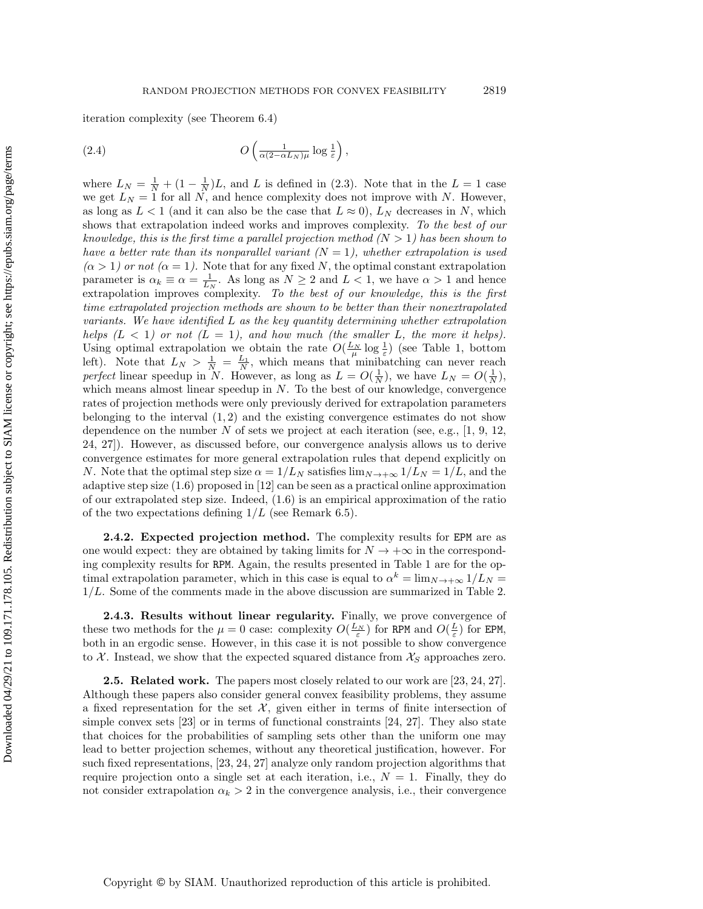iteration complexity (see Theorem [6.4\)](#page-28-0)

<span id="page-5-0"></span>(2.4) 
$$
O\left(\frac{1}{\alpha(2-\alpha L_N)\mu}\log\frac{1}{\varepsilon}\right),\,
$$

where  $L_N = \frac{1}{N} + (1 - \frac{1}{N})L$ , and L is defined in [\(2.3\)](#page-3-1). Note that in the  $L = 1$  case we get  $L_N = 1$  for all N, and hence complexity does not improve with N. However, as long as  $L < 1$  (and it can also be the case that  $L \approx 0$ ),  $L<sub>N</sub>$  decreases in N, which shows that extrapolation indeed works and improves complexity. To the best of our knowledge, this is the first time a parallel projection method  $(N > 1)$  has been shown to have a better rate than its nonparallel variant  $(N = 1)$ , whether extrapolation is used  $(\alpha > 1)$  or not  $(\alpha = 1)$ . Note that for any fixed N, the optimal constant extrapolation parameter is  $\alpha_k \equiv \alpha = \frac{1}{L_N}$ . As long as  $N \geq 2$  and  $L < 1$ , we have  $\alpha > 1$  and hence extrapolation improves complexity. To the best of our knowledge, this is the first time extrapolated projection methods are shown to be better than their nonextrapolated variants. We have identified  $L$  as the key quantity determining whether extrapolation helps  $(L < 1)$  or not  $(L = 1)$ , and how much (the smaller L, the more it helps). Using optimal extrapolation we obtain the rate  $O(\frac{L_N}{\mu} \log \frac{1}{\varepsilon})$  (see Table [1,](#page-4-1) bottom left). Note that  $L_N > \frac{1}{N} = \frac{L_1}{N}$ , which means that minibatching can never reach perfect linear speedup in N. However, as long as  $L = O(\frac{1}{N})$ , we have  $L_N = O(\frac{1}{N})$ , which means almost linear speedup in  $N$ . To the best of our knowledge, convergence rates of projection methods were only previously derived for extrapolation parameters belonging to the interval  $(1, 2)$  and the existing convergence estimates do not show dependence on the number N of sets we project at each iteration (see, e.g.,  $[1, 9, 12,$  $[1, 9, 12,$  $[1, 9, 12,$ [24,](#page-37-16) [27\]](#page-37-18)). However, as discussed before, our convergence analysis allows us to derive convergence estimates for more general extrapolation rules that depend explicitly on N. Note that the optimal step size  $\alpha = 1/L_N$  satisfies  $\lim_{N \to +\infty} 1/L_N = 1/L$ , and the adaptive step size [\(1.6\)](#page-1-1) proposed in [\[12\]](#page-37-10) can be seen as a practical online approximation of our extrapolated step size. Indeed, [\(1.6\)](#page-1-1) is an empirical approximation of the ratio of the two expectations defining  $1/L$  (see Remark 6.5).

2.4.2. Expected projection method. The complexity results for EPM are as one would expect: they are obtained by taking limits for  $N \to +\infty$  in the corresponding complexity results for RPM. Again, the results presented in Table [1](#page-4-1) are for the optimal extrapolation parameter, which in this case is equal to  $\alpha^k = \lim_{N \to +\infty} 1/L_N =$ 1/L. Some of the comments made in the above discussion are summarized in Table [2.](#page-6-2)

2.4.3. Results without linear regularity. Finally, we prove convergence of these two methods for the  $\mu = 0$  case: complexity  $O(\frac{L_N}{\varepsilon})$  for RPM and  $O(\frac{L}{\varepsilon})$  for EPM, both in an ergodic sense. However, in this case it is not possible to show convergence to  $X$ . Instead, we show that the expected squared distance from  $X<sub>S</sub>$  approaches zero.

2.5. Related work. The papers most closely related to our work are [\[23,](#page-37-13) [24,](#page-37-16) [27\]](#page-37-18). Although these papers also consider general convex feasibility problems, they assume a fixed representation for the set  $\mathcal{X}$ , given either in terms of finite intersection of simple convex sets  $[23]$  or in terms of functional constraints  $[24, 27]$  $[24, 27]$ . They also state that choices for the probabilities of sampling sets other than the uniform one may lead to better projection schemes, without any theoretical justification, however. For such fixed representations, [\[23,](#page-37-13) [24,](#page-37-16) [27\]](#page-37-18) analyze only random projection algorithms that require projection onto a single set at each iteration, i.e.,  $N = 1$ . Finally, they do not consider extrapolation  $\alpha_k > 2$  in the convergence analysis, i.e., their convergence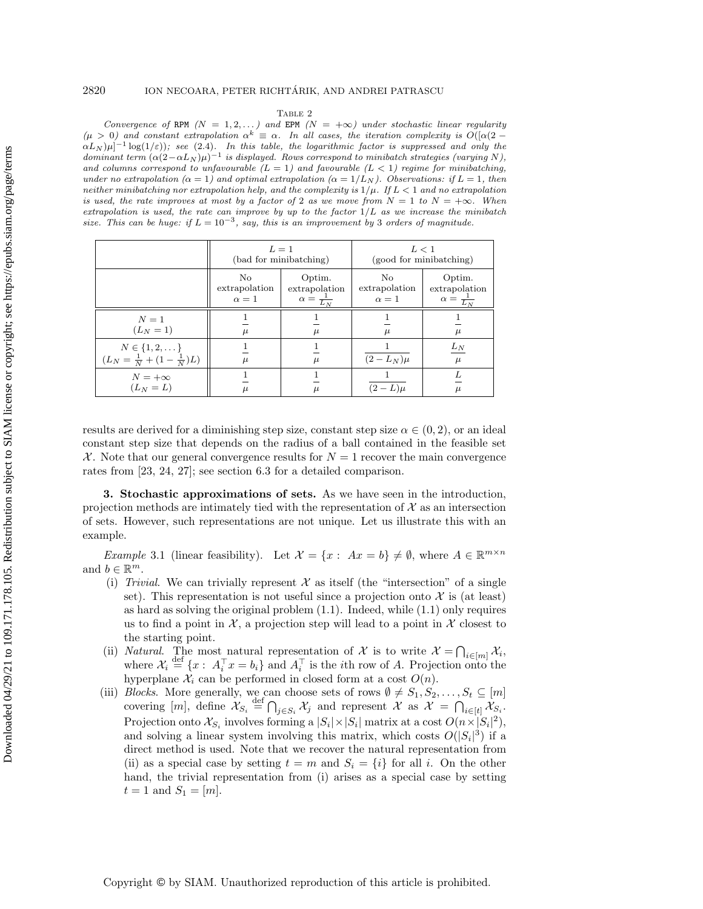#### 2820 ION NECOARA, PETER RICHTÁRIK, AND ANDREI PATRASCU

TABLE 2

<span id="page-6-2"></span>Convergence of RPM  $(N = 1, 2, ...)$  and EPM  $(N = +\infty)$  under stochastic linear regularity  $(\mu > 0)$  and constant extrapolation  $\alpha^k \equiv \alpha$ . In all cases, the iteration complexity is  $O((\alpha(2 \alpha L_N |\mu|^{-1} \log(1/\varepsilon)$ ; see [\(2.4\)](#page-5-0). In this table, the logarithmic factor is suppressed and only the dominant term  $(\alpha(2-\alpha L_N)\mu)^{-1}$  is displayed. Rows correspond to minibatch strategies (varying N), and columns correspond to unfavourable  $(L = 1)$  and favourable  $(L < 1)$  regime for minibatching, under no extrapolation  $(\alpha = 1)$  and optimal extrapolation  $(\alpha = 1/L_N)$ . Observations: if  $L = 1$ , then neither minibatching nor extrapolation help, and the complexity is  $1/\mu$ . If  $L < 1$  and no extrapolation is used, the rate improves at most by a factor of 2 as we move from  $N = 1$  to  $N = +\infty$ . When extrapolation is used, the rate can improve by up to the factor  $1/L$  as we increase the minibatch size. This can be huge: if  $L = 10^{-3}$ , say, this is an improvement by 3 orders of magnitude.

|                                                                       | $L=1$<br>(bad for minibatching)   |                                                     | L < 1<br>(good for minibatching)  |                                                     |
|-----------------------------------------------------------------------|-----------------------------------|-----------------------------------------------------|-----------------------------------|-----------------------------------------------------|
|                                                                       | No<br>extrapolation<br>$\alpha=1$ | Optim.<br>extrapolation<br>$\alpha = \frac{1}{L_N}$ | No<br>extrapolation<br>$\alpha=1$ | Optim.<br>extrapolation<br>$\alpha = \frac{1}{L_N}$ |
| $N=1$<br>$(L_N = 1)$                                                  | $\mu$                             | $\mu$                                               | $\mu$                             | $\mu$                                               |
| $N \in \{1, 2, \dots\}$<br>$(L_N = \frac{1}{N} + (1 - \frac{1}{N})L)$ | $\mu$                             | $\mu$                                               | $(2 - L_N)\mu$                    | $L_N$<br>$\mu$                                      |
| $N = +\infty$<br>$(L_N = L)$                                          | $\mu$                             |                                                     | $(2-L)\mu$                        | $\mu$                                               |

results are derived for a diminishing step size, constant step size  $\alpha \in (0, 2)$ , or an ideal constant step size that depends on the radius of a ball contained in the feasible set  $\mathcal{X}$ . Note that our general convergence results for  $N = 1$  recover the main convergence rates from [\[23,](#page-37-13) [24,](#page-37-16) [27\]](#page-37-18); see section [6.3](#page-31-0) for a detailed comparison.

<span id="page-6-1"></span>3. Stochastic approximations of sets. As we have seen in the introduction, projection methods are intimately tied with the representation of  $\mathcal X$  as an intersection of sets. However, such representations are not unique. Let us illustrate this with an example.

<span id="page-6-0"></span>*Example* 3.1 (linear feasibility). Let  $\mathcal{X} = \{x : Ax = b\} \neq \emptyset$ , where  $A \in \mathbb{R}^{m \times n}$ and  $b \in \mathbb{R}^m$ .

- (i) Trivial. We can trivially represent  $\mathcal X$  as itself (the "intersection" of a single set). This representation is not useful since a projection onto  $\mathcal X$  is (at least) as hard as solving the original problem [\(1.1\)](#page-0-0). Indeed, while [\(1.1\)](#page-0-0) only requires us to find a point in  $\mathcal{X}$ , a projection step will lead to a point in  $\mathcal{X}$  closest to the starting point.
- (ii) *Natural.* The most natural representation of X is to write  $\mathcal{X} = \bigcap_{i \in [m]} \mathcal{X}_i$ , where  $\mathcal{X}_i \stackrel{\text{def}}{=} \{x : A_i^{\top} x = b_i\}$  and  $A_i^{\top}$  is the *i*th row of A. Projection onto the hyperplane  $\mathcal{X}_i$  can be performed in closed form at a cost  $O(n)$ .
- (iii) Blocks. More generally, we can choose sets of rows  $\emptyset \neq S_1, S_2, \ldots, S_t \subseteq [m]$ covering  $[m]$ , define  $\mathcal{X}_{S_i} \stackrel{\text{def}}{=} \bigcap_{j \in S_i} \mathcal{X}_j$  and represent  $\mathcal{X}$  as  $\mathcal{X} = \bigcap_{i \in [t]} \mathcal{X}_{S_i}$ . Projection onto  $\mathcal{X}_{S_i}$  involves forming a  $|S_i| \times |S_i|$  matrix at a cost  $O(n \times |S_i|^2)$ , and solving a linear system involving this matrix, which costs  $O(|S_i|^3)$  if a direct method is used. Note that we recover the natural representation from (ii) as a special case by setting  $t = m$  and  $S_i = \{i\}$  for all i. On the other hand, the trivial representation from (i) arises as a special case by setting  $t = 1$  and  $S_1 = [m]$ .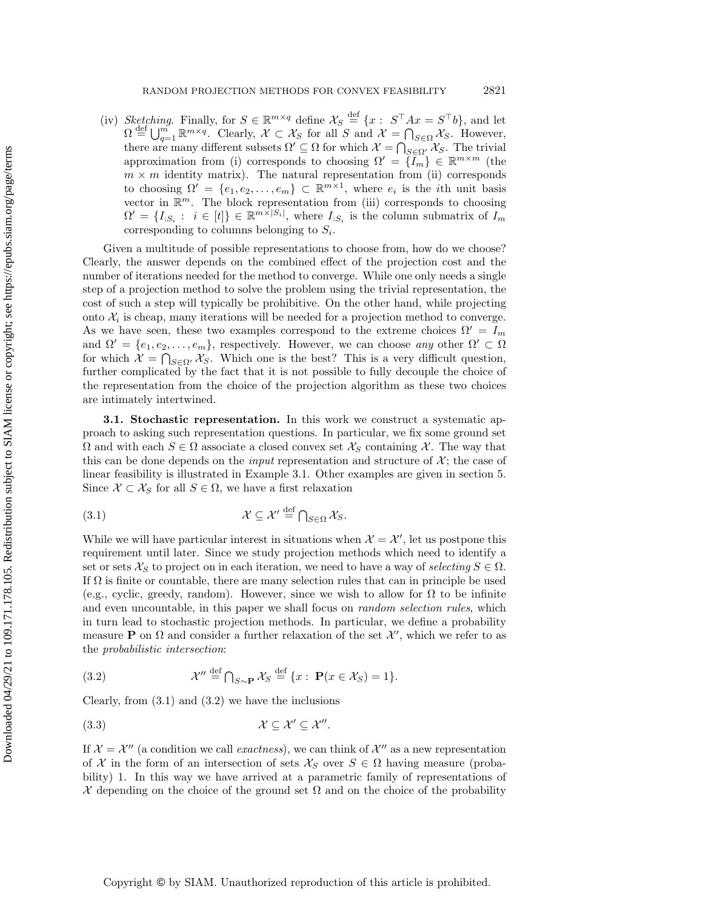(iv) Sketching. Finally, for  $S \in \mathbb{R}^{m \times q}$  define  $\mathcal{X}_S \stackrel{\text{def}}{=} \{x : S^\top A x = S^\top b\}$ , and let  $\Omega \stackrel{\text{def}}{=} \bigcup_{q=1}^{m} \mathbb{R}^{m \times q}$ . Clearly,  $\mathcal{X} \subset \mathcal{X}_S$  for all S and  $\mathcal{X} = \bigcap_{S \in \Omega} \mathcal{X}_S$ . However, there are many different subsets  $\Omega' \subseteq \Omega$  for which  $\mathcal{X} = \bigcap_{S \in \Omega'} \mathcal{X}_S$ . The trivial approximation from (i) corresponds to choosing  $\Omega' = \{I_m\} \in \mathbb{R}^{m \times m}$  (the  $m \times m$  identity matrix). The natural representation from (ii) corresponds to choosing  $\Omega' = \{e_1, e_2, \ldots, e_m\} \subset \mathbb{R}^{m \times 1}$ , where  $e_i$  is the *i*th unit basis vector in  $\mathbb{R}^m$ . The block representation from (iii) corresponds to choosing  $\Omega' = \{I_{:S_i}: i \in [t]\} \in \mathbb{R}^{m \times |S_i|}$ , where  $I_{:S_i}$  is the column submatrix of  $I_m$ corresponding to columns belonging to  $S_i$ .

Given a multitude of possible representations to choose from, how do we choose? Clearly, the answer depends on the combined effect of the projection cost and the number of iterations needed for the method to converge. While one only needs a single step of a projection method to solve the problem using the trivial representation, the cost of such a step will typically be prohibitive. On the other hand, while projecting onto  $\mathcal{X}_i$  is cheap, many iterations will be needed for a projection method to converge. As we have seen, these two examples correspond to the extreme choices  $\Omega' = I_m$ and  $\Omega' = \{e_1, e_2, \ldots, e_m\}$ , respectively. However, we can choose any other  $\Omega' \subset \Omega$ for which  $\mathcal{X} = \bigcap_{S \in \Omega'} \mathcal{X}_S$ . Which one is the best? This is a very difficult question, further complicated by the fact that it is not possible to fully decouple the choice of the representation from the choice of the projection algorithm as these two choices are intimately intertwined.

3.1. Stochastic representation. In this work we construct a systematic approach to asking such representation questions. In particular, we fix some ground set  $\Omega$  and with each  $S \in \Omega$  associate a closed convex set  $\mathcal{X}_S$  containing X. The way that this can be done depends on the *input* representation and structure of  $\mathcal{X}$ ; the case of linear feasibility is illustrated in Example [3.1.](#page-6-0) Other examples are given in section 5. Since  $\mathcal{X} \subset \mathcal{X}_S$  for all  $S \in \Omega$ , we have a first relaxation

<span id="page-7-0"></span>(3.1) 
$$
\mathcal{X} \subseteq \mathcal{X}' \stackrel{\text{def}}{=} \bigcap_{S \in \Omega} \mathcal{X}_S.
$$

While we will have particular interest in situations when  $\mathcal{X} = \mathcal{X}'$ , let us postpone this requirement until later. Since we study projection methods which need to identify a set or sets  $\mathcal{X}_S$  to project on in each iteration, we need to have a way of selecting  $S \in \Omega$ . If  $\Omega$  is finite or countable, there are many selection rules that can in principle be used (e.g., cyclic, greedy, random). However, since we wish to allow for  $\Omega$  to be infinite and even uncountable, in this paper we shall focus on *random selection rules*, which in turn lead to stochastic projection methods. In particular, we define a probability measure **P** on  $\Omega$  and consider a further relaxation of the set  $\mathcal{X}'$ , which we refer to as the probabilistic intersection:

<span id="page-7-1"></span>(3.2) 
$$
\mathcal{X}'' \stackrel{\text{def}}{=} \bigcap_{S \sim \mathbf{P}} \mathcal{X}_S \stackrel{\text{def}}{=} \{x : \mathbf{P}(x \in \mathcal{X}_S) = 1\}.
$$

Clearly, from  $(3.1)$  and  $(3.2)$  we have the inclusions

<span id="page-7-2"></span>
$$
(3.3) \t\t \mathcal{X} \subseteq \mathcal{X}' \subseteq \mathcal{X}''.
$$

If  $\mathcal{X} = \mathcal{X}''$  (a condition we call exactness), we can think of  $\mathcal{X}''$  as a new representation of X in the form of an intersection of sets  $\mathcal{X}_S$  over  $S \in \Omega$  having measure (probability) 1. In this way we have arrived at a parametric family of representations of X depending on the choice of the ground set  $\Omega$  and on the choice of the probability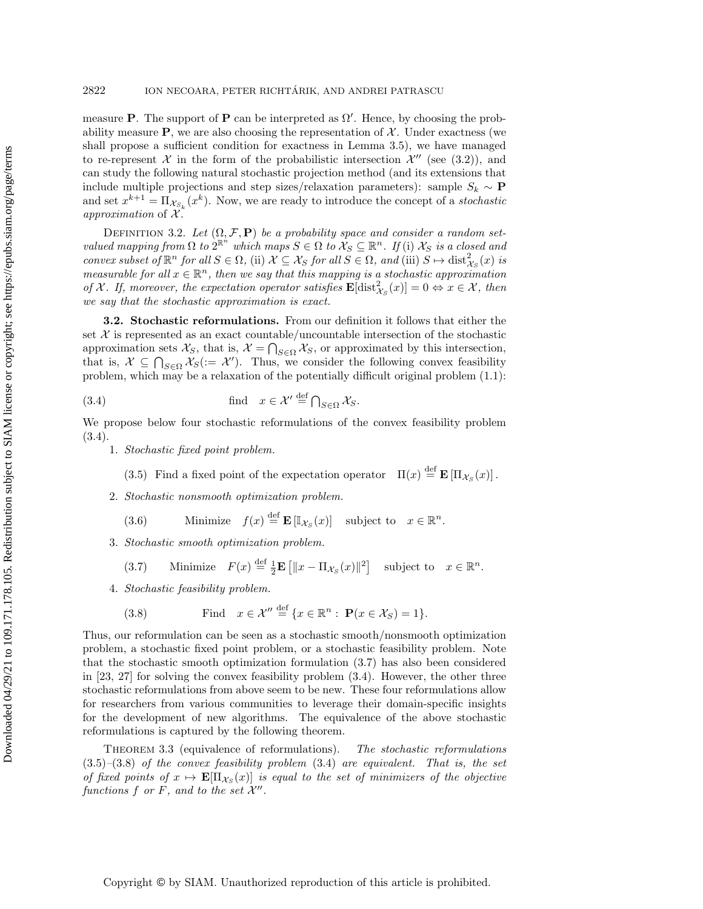measure **P**. The support of **P** can be interpreted as  $\Omega'$ . Hence, by choosing the probability measure  $P$ , we are also choosing the representation of  $\mathcal{X}$ . Under exactness (we shall propose a sufficient condition for exactness in Lemma [3.5\)](#page-10-0), we have managed to re-represent X in the form of the probabilistic intersection  $\mathcal{X}''$  (see [\(3.2\)](#page-7-1)), and can study the following natural stochastic projection method (and its extensions that include multiple projections and step sizes/relaxation parameters): sample  $S_k \sim \mathbf{P}$ and set  $x^{k+1} = \prod_{\mathcal{X}_{S_k}} (x^k)$ . Now, we are ready to introduce the concept of a *stochastic* approximation of  $\mathcal{X}$ .

<span id="page-8-6"></span>DEFINITION 3.2. Let  $(\Omega, \mathcal{F}, \mathbf{P})$  be a probability space and consider a random setvalued mapping from  $\Omega$  to  $2^{\mathbb{R}^n}$  which maps  $S \in \Omega$  to  $X_S \subseteq \mathbb{R}^n$ . If (i)  $X_S$  is a closed and convex subset of  $\mathbb{R}^n$  for all  $S \in \Omega$ , (ii)  $\mathcal{X} \subseteq \mathcal{X}_S$  for all  $S \in \Omega$ , and (iii)  $S \mapsto \text{dist}_{\mathcal{X}_S}^2(x)$  is measurable for all  $x \in \mathbb{R}^n$ , then we say that this mapping is a stochastic approximation of X. If, moreover, the expectation operator satisfies  $\mathbf{E}[\text{dist}_{X_{\mathcal{S}}}^2(x)] = 0 \Leftrightarrow x \in \mathcal{X}$ , then we say that the stochastic approximation is exact.

3.2. Stochastic reformulations. From our definition it follows that either the set  $X$  is represented as an exact countable/uncountable intersection of the stochastic approximation sets  $\mathcal{X}_S$ , that is,  $\mathcal{X} = \bigcap_{S \in \Omega} \mathcal{X}_S$ , or approximated by this intersection, that is,  $X \subseteq \bigcap_{S \in \Omega} X_S (= X')$ . Thus, we consider the following convex feasibility problem, which may be a relaxation of the potentially difficult original problem [\(1.1\)](#page-0-0):

(3.4) find 
$$
x \in \mathcal{X}' \stackrel{\text{def}}{=} \bigcap_{S \in \Omega} \mathcal{X}_S
$$
.

We propose below four stochastic reformulations of the convex feasibility problem [\(3.4\)](#page-8-2).

1. Stochastic fixed point problem.

<span id="page-8-2"></span><span id="page-8-0"></span>(3.5) Find a fixed point of the expectation operator  $\Pi(x) \stackrel{\text{def}}{=} \mathbf{E} [\Pi_{\mathcal{X}_S}(x)]$ .

2. Stochastic nonsmooth optimization problem.

<span id="page-8-4"></span>(3.6) Minimize 
$$
f(x) \stackrel{\text{def}}{=} \mathbf{E} [\mathbb{I}_{\mathcal{X}_S}(x)]
$$
 subject to  $x \in \mathbb{R}^n$ .

3. Stochastic smooth optimization problem.

<span id="page-8-3"></span>(3.7) Minimize 
$$
F(x) \stackrel{\text{def}}{=} \frac{1}{2} \mathbf{E} [||x - \Pi_{\mathcal{X}_S}(x)||^2]
$$
 subject to  $x \in \mathbb{R}^n$ .

4. Stochastic feasibility problem.

(3.8) Find 
$$
x \in \mathcal{X}'' \stackrel{\text{def}}{=} \{x \in \mathbb{R}^n : \mathbf{P}(x \in \mathcal{X}_S) = 1\}.
$$

<span id="page-8-1"></span> $\overline{a}$ 

Thus, our reformulation can be seen as a stochastic smooth/nonsmooth optimization problem, a stochastic fixed point problem, or a stochastic feasibility problem. Note that the stochastic smooth optimization formulation [\(3.7\)](#page-8-3) has also been considered in [\[23,](#page-37-13) [27\]](#page-37-18) for solving the convex feasibility problem [\(3.4\)](#page-8-2). However, the other three stochastic reformulations from above seem to be new. These four reformulations allow for researchers from various communities to leverage their domain-specific insights for the development of new algorithms. The equivalence of the above stochastic reformulations is captured by the following theorem.

<span id="page-8-5"></span>THEOREM 3.3 (equivalence of reformulations). The stochastic reformulations  $(3.5)-(3.8)$  $(3.5)-(3.8)$  $(3.5)-(3.8)$  of the convex feasibility problem  $(3.4)$  are equivalent. That is, the set of fixed points of  $x \mapsto \mathbf{E}[\Pi_{\mathcal{X}_S}(x)]$  is equal to the set of minimizers of the objective functions f or F, and to the set  $\mathcal{X}''$ .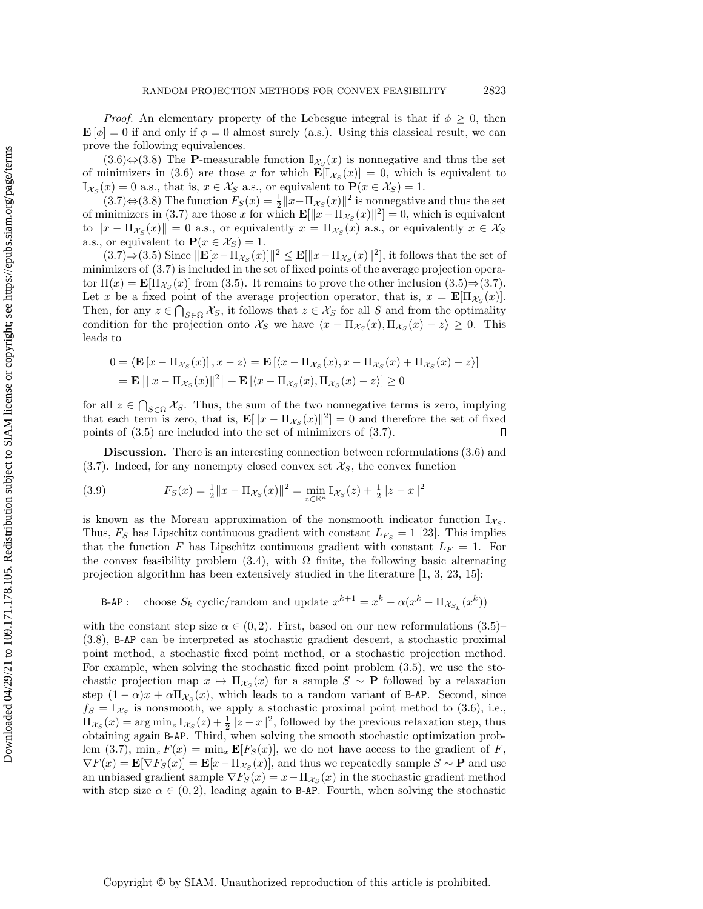*Proof.* An elementary property of the Lebesgue integral is that if  $\phi \geq 0$ , then  $\mathbf{E}[\phi] = 0$  if and only if  $\phi = 0$  almost surely (a.s.). Using this classical result, we can prove the following equivalences.

 $(3.6)$ ⇔ $(3.8)$  The P-measurable function  $\mathbb{I}_{\mathcal{X}_S}(x)$  is nonnegative and thus the set of minimizers in [\(3.6\)](#page-8-4) are those x for which  $\mathbf{E}[\mathbb{I}_{\mathcal{X}_S}(x)] = 0$ , which is equivalent to  $\mathbb{I}_{\mathcal{X}_S}(x) = 0$  a.s., that is,  $x \in \mathcal{X}_S$  a.s., or equivalent to  $\mathbf{P}(x \in \mathcal{X}_S) = 1$ .

 $(3.7) \Leftrightarrow (3.8)$  $(3.7) \Leftrightarrow (3.8)$  $(3.7) \Leftrightarrow (3.8)$  The function  $F_S(x) = \frac{1}{2} ||x - \Pi_{\mathcal{X}_S}(x)||^2$  is nonnegative and thus the set of minimizers in [\(3.7\)](#page-8-3) are those x for which  $\mathbf{E}[\Vert x - \Pi_{\mathcal{X}_{\mathcal{S}}}(x)\Vert^2] = 0$ , which is equivalent to  $||x - \Pi_{\mathcal{X}_S}(x)|| = 0$  a.s., or equivalently  $x = \Pi_{\mathcal{X}_S}(x)$  a.s., or equivalently  $x \in \mathcal{X}_S$ a.s., or equivalent to  $P(x \in \mathcal{X}_S) = 1$ .

 $(3.7) \Rightarrow (3.5)$  $(3.7) \Rightarrow (3.5)$  $(3.7) \Rightarrow (3.5)$  Since  $\|\mathbf{E}[x - \Pi_{\mathcal{X}_S}(x)]\|^2 \leq \mathbf{E}[\|x - \Pi_{\mathcal{X}_S}(x)\|^2]$ , it follows that the set of minimizers of [\(3.7\)](#page-8-3) is included in the set of fixed points of the average projection operator  $\Pi(x) = \mathbf{E}[\Pi_{\mathcal{X}_S}(x)]$  from [\(3.5\)](#page-8-0). It remains to prove the other inclusion (3.5) $\Rightarrow$ [\(3.7\)](#page-8-3). Let x be a fixed point of the average projection operator, that is,  $x = \mathbf{E}[\Pi_{\mathcal{X}_S}(x)].$ Then, for any  $z \in \bigcap_{S \in \Omega} \mathcal{X}_S$ , it follows that  $z \in \mathcal{X}_S$  for all S and from the optimality condition for the projection onto  $\mathcal{X}_S$  we have  $\langle x - \Pi_{\mathcal{X}_S}(x), \Pi_{\mathcal{X}_S}(x) - z \rangle \geq 0$ . This leads to

$$
0 = \langle \mathbf{E} \left[ x - \Pi_{\mathcal{X}_S}(x) \right], x - z \rangle = \mathbf{E} \left[ \langle x - \Pi_{\mathcal{X}_S}(x), x - \Pi_{\mathcal{X}_S}(x) + \Pi_{\mathcal{X}_S}(x) - z \rangle \right]
$$
  
=  $\mathbf{E} \left[ \|x - \Pi_{\mathcal{X}_S}(x)\|^2 \right] + \mathbf{E} \left[ \langle x - \Pi_{\mathcal{X}_S}(x), \Pi_{\mathcal{X}_S}(x) - z \rangle \right] \ge 0$ 

for all  $z \in \bigcap_{S \in \Omega} \mathcal{X}_S$ . Thus, the sum of the two nonnegative terms is zero, implying that each term is zero, that is,  $\mathbf{E}[\|x - \Pi_{\mathcal{X}_{\mathcal{S}}}(x)\|^2] = 0$  and therefore the set of fixed points of [\(3.5\)](#page-8-0) are included into the set of minimizers of [\(3.7\)](#page-8-3).  $\Box$ 

Discussion. There is an interesting connection between reformulations [\(3.6\)](#page-8-4) and  $(3.7)$ . Indeed, for any nonempty closed convex set  $\mathcal{X}_S$ , the convex function

(3.9) 
$$
F_S(x) = \frac{1}{2} ||x - \Pi_{\mathcal{X}_S}(x)||^2 = \min_{z \in \mathbb{R}^n} \mathbb{I}_{\mathcal{X}_S}(z) + \frac{1}{2} ||z - x||^2
$$

is known as the Moreau approximation of the nonsmooth indicator function  $\mathbb{I}_{\mathcal{X}_S}$ . Thus,  $F_S$  has Lipschitz continuous gradient with constant  $L_{F_S} = 1$  [\[23\]](#page-37-13). This implies that the function F has Lipschitz continuous gradient with constant  $L_F = 1$ . For the convex feasibility problem [\(3.4\)](#page-8-2), with  $\Omega$  finite, the following basic alternating projection algorithm has been extensively studied in the literature [\[1,](#page-36-2) [3,](#page-36-0) [23,](#page-37-13) [15\]](#page-37-19):

B-AP: choose 
$$
S_k
$$
 cyclic/random and update  $x^{k+1} = x^k - \alpha(x^k - \Pi_{\mathcal{X}_{S_k}}(x^k))$ 

with the constant step size  $\alpha \in (0, 2)$ . First, based on our new reformulations  $(3.5)$ – [\(3.8\)](#page-8-1), B-AP can be interpreted as stochastic gradient descent, a stochastic proximal point method, a stochastic fixed point method, or a stochastic projection method. For example, when solving the stochastic fixed point problem [\(3.5\)](#page-8-0), we use the stochastic projection map  $x \mapsto \Pi_{\mathcal{X}_S}(x)$  for a sample  $S \sim \mathbf{P}$  followed by a relaxation step  $(1 - \alpha)x + \alpha \Pi_{\mathcal{X}_S}(x)$ , which leads to a random variant of B-AP. Second, since  $f_S = \mathbb{I}_{\mathcal{X}_S}$  is nonsmooth, we apply a stochastic proximal point method to [\(3.6\)](#page-8-4), i.e.,  $\Pi_{\mathcal{X}_S}(x) = \arg \min_z \mathbb{I}_{\mathcal{X}_S}(z) + \frac{1}{2} \|z - x\|^2$ , followed by the previous relaxation step, thus obtaining again B-AP. Third, when solving the smooth stochastic optimization prob-lem [\(3.7\)](#page-8-3),  $\min_x F(x) = \min_x \mathbf{E}[F_S(x)]$ , we do not have access to the gradient of F,  $\nabla F(x) = \mathbf{E}[\nabla F_S(x)] = \mathbf{E}[x - \Pi_{\mathcal{X}_S}(x)]$ , and thus we repeatedly sample  $S \sim \mathbf{P}$  and use an unbiased gradient sample  $\nabla F_S(x) = x - \Pi_{\mathcal{X}_S}(x)$  in the stochastic gradient method with step size  $\alpha \in (0, 2)$ , leading again to B-AP. Fourth, when solving the stochastic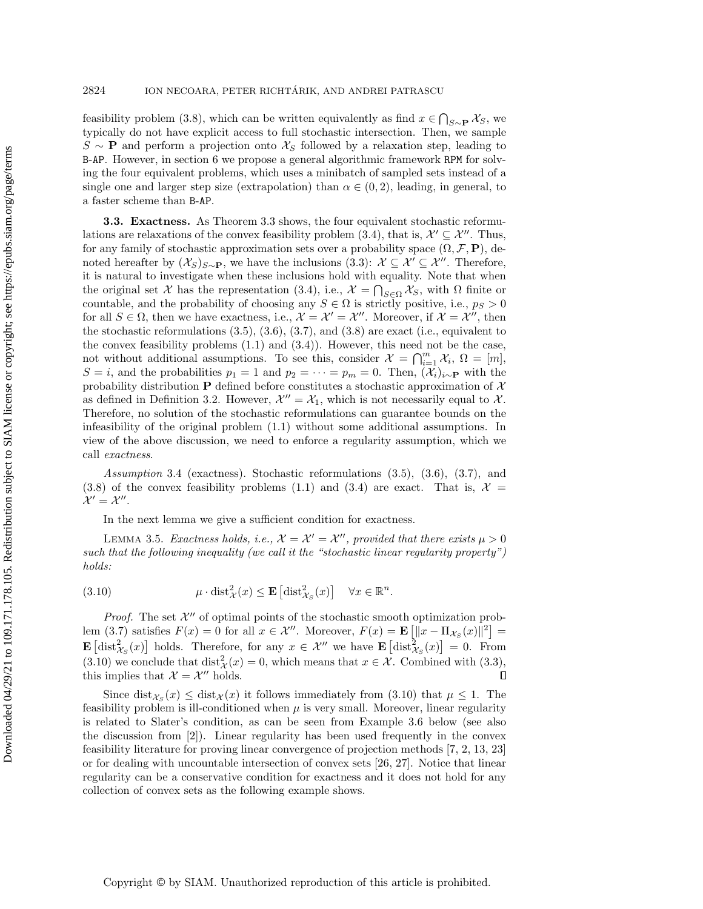feasibility problem [\(3.8\)](#page-8-1), which can be written equivalently as find  $x \in \bigcap_{S \sim \mathbf{P}} \mathcal{X}_S$ , we typically do not have explicit access to full stochastic intersection. Then, we sample  $S \sim \mathbf{P}$  and perform a projection onto  $\mathcal{X}_S$  followed by a relaxation step, leading to B-AP. However, in section [6](#page-23-0) we propose a general algorithmic framework RPM for solving the four equivalent problems, which uses a minibatch of sampled sets instead of a single one and larger step size (extrapolation) than  $\alpha \in (0, 2)$ , leading, in general, to a faster scheme than B-AP.

3.3. Exactness. As Theorem [3.3](#page-8-5) shows, the four equivalent stochastic reformu-lations are relaxations of the convex feasibility problem [\(3.4\)](#page-8-2), that is,  $\mathcal{X}' \subseteq \mathcal{X}''$ . Thus, for any family of stochastic approximation sets over a probability space  $(\Omega, \mathcal{F}, \mathbf{P})$ , denoted hereafter by  $(\mathcal{X}_S)_{S \sim \mathbf{P}}$ , we have the inclusions [\(3.3\)](#page-7-2):  $\mathcal{X} \subseteq \mathcal{X}' \subseteq \mathcal{X}''$ . Therefore, it is natural to investigate when these inclusions hold with equality. Note that when the original set X has the representation [\(3.4\)](#page-8-2), i.e.,  $\mathcal{X} = \bigcap_{S \in \Omega} \mathcal{X}_S$ , with  $\Omega$  finite or countable, and the probability of choosing any  $S \in \Omega$  is strictly positive, i.e.,  $p_S > 0$ for all  $S \in \Omega$ , then we have exactness, i.e.,  $\mathcal{X} = \mathcal{X}' = \mathcal{X}''$ . Moreover, if  $\mathcal{X} = \mathcal{X}''$ , then the stochastic reformulations  $(3.5), (3.6), (3.7),$  $(3.5), (3.6), (3.7),$  $(3.5), (3.6), (3.7),$  $(3.5), (3.6), (3.7),$  $(3.5), (3.6), (3.7),$  $(3.5), (3.6), (3.7),$  and  $(3.8)$  are exact (i.e., equivalent to the convex feasibility problems  $(1.1)$  and  $(3.4)$ ). However, this need not be the case, not without additional assumptions. To see this, consider  $\mathcal{X} = \bigcap_{i=1}^m \mathcal{X}_i$ ,  $\Omega = [m]$ , S = i, and the probabilities  $p_1 = 1$  and  $p_2 = \cdots = p_m = 0$ . Then,  $(\mathcal{X}_i)_{i \sim \mathbf{P}}$  with the probability distribution **P** defined before constitutes a stochastic approximation of  $\mathcal{X}$ as defined in Definition [3.2.](#page-8-6) However,  $\mathcal{X}'' = \mathcal{X}_1$ , which is not necessarily equal to  $\mathcal{X}$ . Therefore, no solution of the stochastic reformulations can guarantee bounds on the infeasibility of the original problem [\(1.1\)](#page-0-0) without some additional assumptions. In view of the above discussion, we need to enforce a regularity assumption, which we call exactness.

Assumption 3.4 (exactness). Stochastic reformulations [\(3.5\)](#page-8-0), [\(3.6\)](#page-8-4), [\(3.7\)](#page-8-3), and [\(3.8\)](#page-8-1) of the convex feasibility problems [\(1.1\)](#page-0-0) and [\(3.4\)](#page-8-2) are exact. That is,  $\mathcal{X} =$  $\mathcal{X}'=\mathcal{X}''$ .

In the next lemma we give a sufficient condition for exactness.

<span id="page-10-0"></span>LEMMA 3.5. Exactness holds, i.e.,  $\mathcal{X} = \mathcal{X}' = \mathcal{X}''$ , provided that there exists  $\mu > 0$ such that the following inequality (we call it the "stochastic linear regularity property") holds:

<span id="page-10-1"></span>(3.10) 
$$
\mu \cdot \text{dist}_{\mathcal{X}}^2(x) \leq \mathbf{E} \left[ \text{dist}_{\mathcal{X}_S}^2(x) \right] \quad \forall x \in \mathbb{R}^n.
$$

*Proof.* The set  $\mathcal{X}''$  of optimal points of the stochastic smooth optimization prob-lem [\(3.7\)](#page-8-3) satisfies  $F(x) = 0$  for all  $x \in \mathcal{X}''$ . Moreover,  $F(x) = \mathbf{E}\left[\|x - \Pi_{\mathcal{X}_S}(x)\|^2\right] =$ **E**  $\left[ \text{dist}_{\mathcal{X}_{\mathcal{S}}}^2(x) \right]$  holds. Therefore, for any  $x \in \mathcal{X}''$  we have **E**  $\left[ \text{dist}_{\mathcal{X}_{\mathcal{S}}}^2(x) \right] = 0$ . From [\(3.10\)](#page-10-1) we conclude that  $dist^2_{\mathcal{X}}(x) = 0$ , which means that  $x \in \mathcal{X}$ . Combined with [\(3.3\)](#page-7-2), this implies that  $\mathcal{X} = \mathcal{X}''$  holds.

<span id="page-10-2"></span>Since  $dist_{\mathcal{X}_{\mathcal{S}}}(x) \leq dist_{\mathcal{X}}(x)$  it follows immediately from [\(3.10\)](#page-10-1) that  $\mu \leq 1$ . The feasibility problem is ill-conditioned when  $\mu$  is very small. Moreover, linear regularity is related to Slater's condition, as can be seen from Example [3.6](#page-10-2) below (see also the discussion from [\[2\]](#page-36-1)). Linear regularity has been used frequently in the convex feasibility literature for proving linear convergence of projection methods [\[7,](#page-37-20) [2,](#page-36-1) [13,](#page-37-21) [23\]](#page-37-13) or for dealing with uncountable intersection of convex sets [\[26,](#page-37-7) [27\]](#page-37-18). Notice that linear regularity can be a conservative condition for exactness and it does not hold for any collection of convex sets as the following example shows.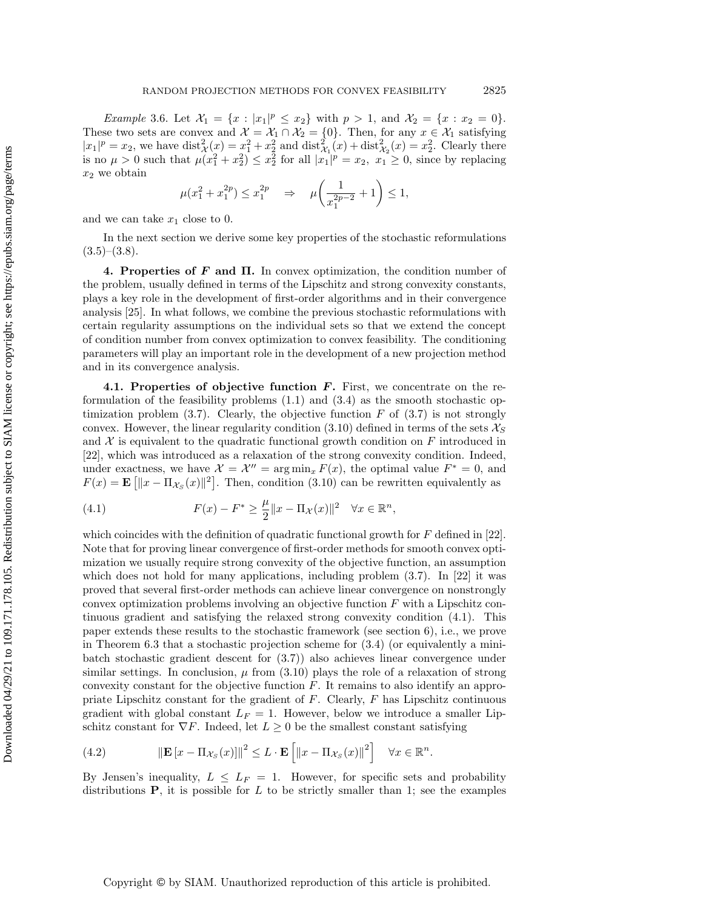*Example* 3.6. Let  $\mathcal{X}_1 = \{x : |x_1|^p \le x_2\}$  with  $p > 1$ , and  $\mathcal{X}_2 = \{x : x_2 = 0\}.$ These two sets are convex and  $\mathcal{X} = \mathcal{X}_1 \cap \mathcal{X}_2 = \{0\}$ . Then, for any  $x \in \mathcal{X}_1$  satisfying  $|x_1|^p = x_2$ , we have  $\text{dist}_{\mathcal{X}}^2(x) = x_1^2 + x_2^2$  and  $\text{dist}_{\mathcal{X}_1}^2(x) + \text{dist}_{\mathcal{X}_2}^2(x) = x_2^2$ . Clearly there is no  $\mu > 0$  such that  $\mu(x_1^2 + x_2^2) \le x_2^2$  for all  $|x_1|^p = x_2$ ,  $x_1 \ge 0$ , since by replacing  $x_2$  we obtain

$$
\mu(x_1^2 + x_1^{2p}) \le x_1^{2p} \Rightarrow \mu\left(\frac{1}{x_1^{2p-2}} + 1\right) \le 1,
$$

and we can take  $x_1$  close to 0.

In the next section we derive some key properties of the stochastic reformulations  $(3.5)$ – $(3.8)$ .

<span id="page-11-0"></span>4. Properties of  $F$  and  $\Pi$ . In convex optimization, the condition number of the problem, usually defined in terms of the Lipschitz and strong convexity constants, plays a key role in the development of first-order algorithms and in their convergence analysis [\[25\]](#page-37-22). In what follows, we combine the previous stochastic reformulations with certain regularity assumptions on the individual sets so that we extend the concept of condition number from convex optimization to convex feasibility. The conditioning parameters will play an important role in the development of a new projection method and in its convergence analysis.

4.1. Properties of objective function  $\vec{F}$ . First, we concentrate on the reformulation of the feasibility problems  $(1.1)$  and  $(3.4)$  as the smooth stochastic optimization problem  $(3.7)$ . Clearly, the objective function F of  $(3.7)$  is not strongly convex. However, the linear regularity condition [\(3.10\)](#page-10-1) defined in terms of the sets  $\mathcal{X}_S$ and  $\mathcal X$  is equivalent to the quadratic functional growth condition on  $F$  introduced in [\[22\]](#page-37-23), which was introduced as a relaxation of the strong convexity condition. Indeed, under exactness, we have  $\mathcal{X} = \mathcal{X}'' = \arg \min_x F(x)$ , the optimal value  $F^* = 0$ , and  $F(x) = \mathbf{E} \left[ \|x - \Pi_{\mathcal{X}_S}(x)\|^2 \right].$  Then, condition [\(3.10\)](#page-10-1) can be rewritten equivalently as

<span id="page-11-1"></span>(4.1) 
$$
F(x) - F^* \ge \frac{\mu}{2} \|x - \Pi_{\mathcal{X}}(x)\|^2 \quad \forall x \in \mathbb{R}^n,
$$

which coincides with the definition of quadratic functional growth for  $F$  defined in [\[22\]](#page-37-23). Note that for proving linear convergence of first-order methods for smooth convex optimization we usually require strong convexity of the objective function, an assumption which does not hold for many applications, including problem [\(3.7\)](#page-8-3). In [\[22\]](#page-37-23) it was proved that several first-order methods can achieve linear convergence on nonstrongly convex optimization problems involving an objective function F with a Lipschitz continuous gradient and satisfying the relaxed strong convexity condition [\(4.1\)](#page-11-1). This paper extends these results to the stochastic framework (see section 6), i.e., we prove in Theorem 6.3 that a stochastic projection scheme for [\(3.4\)](#page-8-2) (or equivalently a minibatch stochastic gradient descent for [\(3.7\)](#page-8-3)) also achieves linear convergence under similar settings. In conclusion,  $\mu$  from [\(3.10\)](#page-10-1) plays the role of a relaxation of strong convexity constant for the objective function F. It remains to also identify an appropriate Lipschitz constant for the gradient of  $F$ . Clearly,  $F$  has Lipschitz continuous gradient with global constant  $L_F = 1$ . However, below we introduce a smaller Lipschitz constant for  $\nabla F$ . Indeed, let  $L \geq 0$  be the smallest constant satisfying

<span id="page-11-2"></span>(4.2) 
$$
\|\mathbf{E}\left[x-\Pi_{\mathcal{X}_S}(x)\right]\|^2 \leq L \cdot \mathbf{E}\left[\left\|x-\Pi_{\mathcal{X}_S}(x)\right\|^2\right] \quad \forall x \in \mathbb{R}^n.
$$

By Jensen's inequality,  $L \leq L_F = 1$ . However, for specific sets and probability distributions  $P$ , it is possible for L to be strictly smaller than 1; see the examples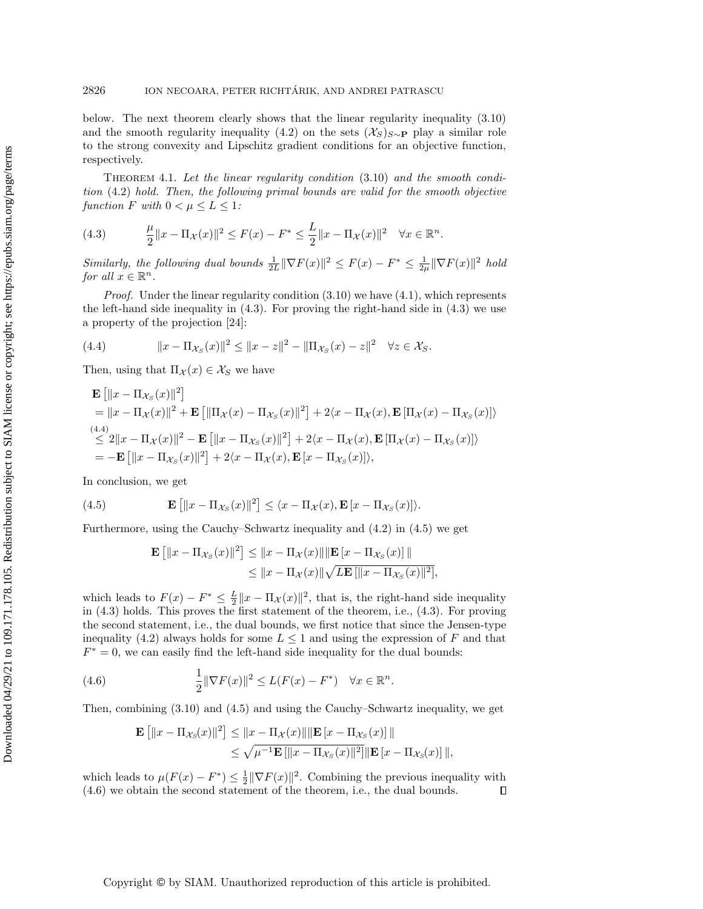below. The next theorem clearly shows that the linear regularity inequality [\(3.10\)](#page-10-1) and the smooth regularity inequality [\(4.2\)](#page-11-2) on the sets  $(\mathcal{X}_S)_{S\sim P}$  play a similar role to the strong convexity and Lipschitz gradient conditions for an objective function, respectively.

<span id="page-12-0"></span>Theorem 4.1. Let the linear regularity condition [\(3.10\)](#page-10-1) and the smooth condition [\(4.2\)](#page-11-2) hold. Then, the following primal bounds are valid for the smooth objective function F with  $0 < \mu \leq L \leq 1$ :

<span id="page-12-1"></span>(4.3) 
$$
\frac{\mu}{2} \|x - \Pi_{\mathcal{X}}(x)\|^2 \le F(x) - F^* \le \frac{L}{2} \|x - \Pi_{\mathcal{X}}(x)\|^2 \quad \forall x \in \mathbb{R}^n.
$$

Similarly, the following dual bounds  $\frac{1}{2L} \|\nabla F(x)\|^2 \leq F(x) - F^* \leq \frac{1}{2\mu} \|\nabla F(x)\|^2$  hold for all  $x \in \mathbb{R}^n$ .

*Proof.* Under the linear regularity condition  $(3.10)$  we have  $(4.1)$ , which represents the left-hand side inequality in  $(4.3)$ . For proving the right-hand side in  $(4.3)$  we use a property of the projection [\[24\]](#page-37-16):

<span id="page-12-2"></span>(4.4) 
$$
||x - \Pi_{\mathcal{X}_S}(x)||^2 \le ||x - z||^2 - ||\Pi_{\mathcal{X}_S}(x) - z||^2 \quad \forall z \in \mathcal{X}_S.
$$

Then, using that  $\Pi_{\mathcal{X}}(x) \in \mathcal{X}_S$  we have

$$
\mathbf{E} [||x - \Pi_{\mathcal{X}_S}(x)||^2]
$$
\n
$$
= ||x - \Pi_{\mathcal{X}}(x)||^2 + \mathbf{E} [||\Pi_{\mathcal{X}}(x) - \Pi_{\mathcal{X}_S}(x)||^2] + 2\langle x - \Pi_{\mathcal{X}}(x), \mathbf{E} [\Pi_{\mathcal{X}}(x) - \Pi_{\mathcal{X}_S}(x)] \rangle
$$
\n
$$
\leq 2||x - \Pi_{\mathcal{X}}(x)||^2 - \mathbf{E} [||x - \Pi_{\mathcal{X}_S}(x)||^2] + 2\langle x - \Pi_{\mathcal{X}}(x), \mathbf{E} [\Pi_{\mathcal{X}}(x) - \Pi_{\mathcal{X}_S}(x)] \rangle
$$
\n
$$
= -\mathbf{E} [||x - \Pi_{\mathcal{X}_S}(x)||^2] + 2\langle x - \Pi_{\mathcal{X}}(x), \mathbf{E} [x - \Pi_{\mathcal{X}_S}(x)] \rangle,
$$

In conclusion, we get

<span id="page-12-3"></span>(4.5) 
$$
\mathbf{E}\left[\|x-\Pi_{\mathcal{X}_S}(x)\|^2\right] \leq \langle x-\Pi_{\mathcal{X}}(x),\mathbf{E}\left[x-\Pi_{\mathcal{X}_S}(x)\right]\rangle.
$$

Furthermore, using the Cauchy–Schwartz inequality and [\(4.2\)](#page-11-2) in [\(4.5\)](#page-12-3) we get

$$
\mathbf{E}\left[\|x - \Pi_{\mathcal{X}_S}(x)\|^2\right] \le \|x - \Pi_{\mathcal{X}}(x)\| \|\mathbf{E}\left[x - \Pi_{\mathcal{X}_S}(x)\right]\| \le \|x - \Pi_{\mathcal{X}}(x)\| \sqrt{L\mathbf{E}\left[\|x - \Pi_{\mathcal{X}_S}(x)\|^2\right]},
$$

which leads to  $F(x) - F^* \leq \frac{L}{2} ||x - \Pi_{\mathcal{X}}(x)||^2$ , that is, the right-hand side inequality in [\(4.3\)](#page-12-1) holds. This proves the first statement of the theorem, i.e., [\(4.3\)](#page-12-1). For proving the second statement, i.e., the dual bounds, we first notice that since the Jensen-type inequality [\(4.2\)](#page-11-2) always holds for some  $L \leq 1$  and using the expression of F and that  $F^* = 0$ , we can easily find the left-hand side inequality for the dual bounds:

<span id="page-12-4"></span>(4.6) 
$$
\frac{1}{2} \|\nabla F(x)\|^2 \le L(F(x) - F^*) \quad \forall x \in \mathbb{R}^n.
$$

Then, combining [\(3.10\)](#page-10-1) and [\(4.5\)](#page-12-3) and using the Cauchy–Schwartz inequality, we get

$$
\mathbf{E}\left[\|x - \Pi_{\mathcal{X}_S}(x)\|^2\right] \le \|x - \Pi_{\mathcal{X}}(x)\| \|\mathbf{E}\left[x - \Pi_{\mathcal{X}_S}(x)\right]\| \le \sqrt{\mu^{-1}\mathbf{E}\left[\|x - \Pi_{\mathcal{X}_S}(x)\|^2\right]}\|\mathbf{E}\left[x - \Pi_{\mathcal{X}_S}(x)\right]\|,
$$

which leads to  $\mu(F(x) - F^*) \leq \frac{1}{2} \|\nabla F(x)\|^2$ . Combining the previous inequality with [\(4.6\)](#page-12-4) we obtain the second statement of the theorem, i.e., the dual bounds.  $\Box$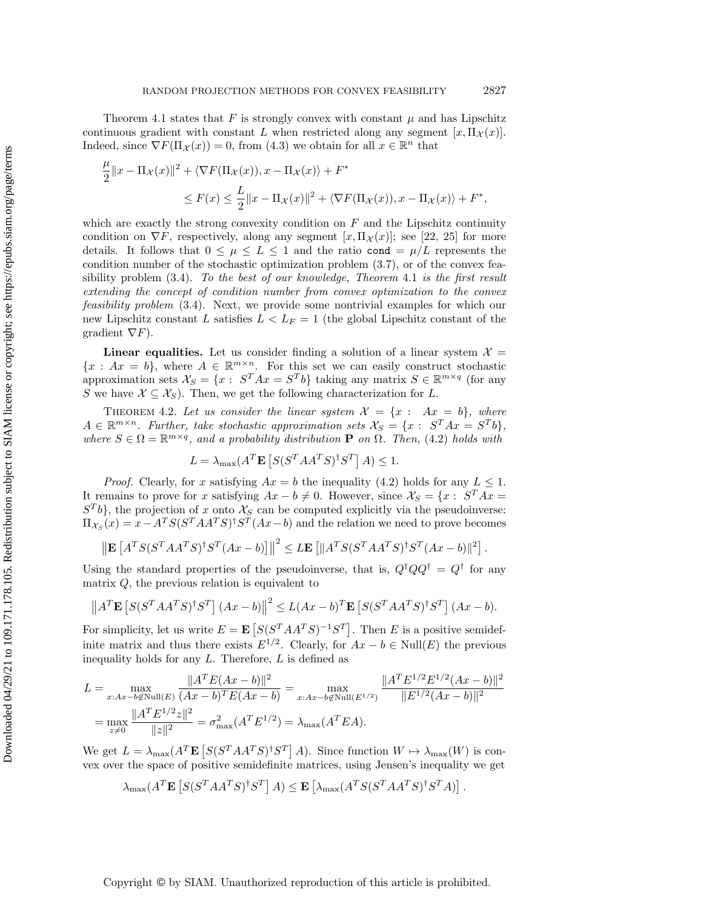Theorem [4.1](#page-12-0) states that F is strongly convex with constant  $\mu$  and has Lipschitz continuous gradient with constant L when restricted along any segment  $[x, \Pi_{\mathcal{X}}(x)].$ Indeed, since  $\nabla F(\Pi_{\mathcal{X}}(x)) = 0$ , from [\(4.3\)](#page-12-1) we obtain for all  $x \in \mathbb{R}^n$  that

$$
\frac{\mu}{2}||x - \Pi_{\mathcal{X}}(x)||^2 + \langle \nabla F(\Pi_{\mathcal{X}}(x)), x - \Pi_{\mathcal{X}}(x) \rangle + F^*
$$
  

$$
\leq F(x) \leq \frac{L}{2}||x - \Pi_{\mathcal{X}}(x)||^2 + \langle \nabla F(\Pi_{\mathcal{X}}(x)), x - \Pi_{\mathcal{X}}(x) \rangle + F^*,
$$

which are exactly the strong convexity condition on  $F$  and the Lipschitz continuity condition on  $\nabla F$ , respectively, along any segment  $[x,\Pi_{\mathcal{X}}(x)]$ ; see [\[22,](#page-37-23) [25\]](#page-37-22) for more details. It follows that  $0 \leq \mu \leq L \leq 1$  and the ratio cond  $= \mu/L$  represents the condition number of the stochastic optimization problem [\(3.7\)](#page-8-3), or of the convex feasibility problem  $(3.4)$ . To the best of our knowledge, Theorem [4](#page-12-0).1 is the first result extending the concept of condition number from convex optimization to the convex feasibility problem [\(3.4\)](#page-8-2). Next, we provide some nontrivial examples for which our new Lipschitz constant L satisfies  $L < L_F = 1$  (the global Lipschitz constant of the gradient  $\nabla F$ ).

**Linear equalities.** Let us consider finding a solution of a linear system  $\mathcal{X} =$  ${x : Ax = b}$ , where  $A \in \mathbb{R}^{m \times n}$ . For this set we can easily construct stochastic approximation sets  $\mathcal{X}_S = \{x : S^T A x = S^T b\}$  taking any matrix  $S \in \mathbb{R}^{m \times q}$  (for any S we have  $\mathcal{X} \subseteq \mathcal{X}_S$ . Then, we get the following characterization for L.

<span id="page-13-0"></span>THEOREM 4.2. Let us consider the linear system  $\mathcal{X} = \{x : Ax = b\}$ , where  $A \in \mathbb{R}^{m \times n}$ . Further, take stochastic approximation sets  $\mathcal{X}_S = \{x : S^T A x = S^T b\},$ where  $S \in \Omega = \mathbb{R}^{m \times q}$ , and a probability distribution **P** on  $\Omega$ . Then, [\(4.2\)](#page-11-2) holds with

$$
L = \lambda_{\max}(A^T \mathbf{E} \left[ S(S^T A A^T S)^{\dagger} S^T \right] A) \le 1.
$$

*Proof.* Clearly, for x satisfying  $Ax = b$  the inequality [\(4.2\)](#page-11-2) holds for any  $L \leq 1$ . It remains to prove for x satisfying  $Ax - b \neq 0$ . However, since  $\mathcal{X}_S = \{x : S^T A x =$  $S<sup>T</sup>b$ , the projection of x onto  $\mathcal{X}_S$  can be computed explicitly via the pseudoinverse:  $\Pi_{\mathcal{X}_S}(x) = x - A^T S (S^T A A^T S)^{\dagger} S^T (A x - b)$  and the relation we need to prove becomes

$$
\left\| \mathbf{E} \left[ A^T S (S^T A A^T S)^{\dagger} S^T (A x - b) \right] \right\|^2 \leq L \mathbf{E} \left[ \| A^T S (S^T A A^T S)^{\dagger} S^T (A x - b) \|^2 \right].
$$

Using the standard properties of the pseudoinverse, that is,  $Q^{\dagger}QQ^{\dagger} = Q^{\dagger}$  for any matrix  $Q$ , the previous relation is equivalent to

$$
\left\|A^T \mathbf{E}\left[S(S^T A A^T S)^{\dagger} S^T\right] (Ax - b)\right\|^2 \le L(Ax - b)^T \mathbf{E}\left[S(S^T A A^T S)^{\dagger} S^T\right] (Ax - b).
$$

For simplicity, let us write  $E = \mathbf{E} \left[ S(S^T A A^T S)^{-1} S^T \right]$ . Then E is a positive semidefinite matrix and thus there exists  $E^{1/2}$ . Clearly, for  $Ax - b \in Null(E)$  the previous inequality holds for any  $L$ . Therefore,  $L$  is defined as

$$
L = \max_{x:Ax-b\notin \text{Null}(E)} \frac{\|A^T E(Ax-b)\|^2}{(Ax-b)^T E(Ax-b)} = \max_{x:Ax-b\notin \text{Null}(E^{1/2})} \frac{\|A^T E^{1/2} E^{1/2} (Ax-b)\|^2}{\|E^{1/2} (Ax-b)\|^2}
$$

$$
= \max_{z\neq 0} \frac{\|A^T E^{1/2} z\|^2}{\|z\|^2} = \sigma_{\text{max}}^2 (A^T E^{1/2}) = \lambda_{\text{max}} (A^T E A).
$$

We get  $L = \lambda_{\text{max}}(A^T \mathbf{E} [S(S^T A A^T S)^{\dagger} S^T] A)$ . Since function  $W \mapsto \lambda_{\text{max}}(W)$  is convex over the space of positive semidefinite matrices, using Jensen's inequality we get

$$
\lambda_{\max}(A^T \mathbf{E} \left[ S(S^T A A^T S)^{\dagger} S^T \right] A) \leq \mathbf{E} \left[ \lambda_{\max}(A^T S (S^T A A^T S)^{\dagger} S^T A) \right].
$$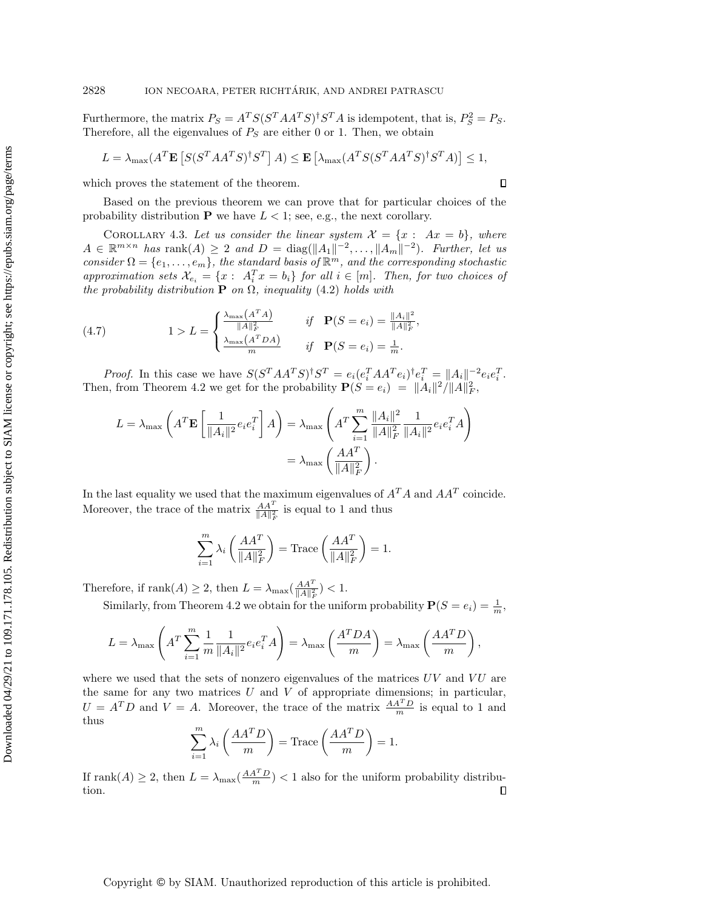Furthermore, the matrix  $P_S = A^T S (S^T A A^T S)^{\dagger} S^T A$  is idempotent, that is,  $P_S^2 = P_S$ . Therefore, all the eigenvalues of  $P_S$  are either 0 or 1. Then, we obtain

$$
L = \lambda_{\max}(A^T \mathbf{E}\left[S(S^T A A^T S)^{\dagger} S^T\right] A) \le \mathbf{E}\left[\lambda_{\max}(A^T S(S^T A A^T S)^{\dagger} S^T A)\right] \le 1,
$$

which proves the statement of the theorem.

Based on the previous theorem we can prove that for particular choices of the probability distribution **P** we have  $L < 1$ ; see, e.g., the next corollary.

<span id="page-14-0"></span>COROLLARY 4.3. Let us consider the linear system  $\mathcal{X} = \{x : Ax = b\}$ , where  $A \in \mathbb{R}^{m \times n}$  has  $\text{rank}(A) \geq 2$  and  $D = \text{diag}(\|A_1\|^{-2}, \ldots, \|A_m\|^{-2})$ . Further, let us consider  $\Omega = \{e_1, \ldots, e_m\}$ , the standard basis of  $\mathbb{R}^m$ , and the corresponding stochastic approximation sets  $\mathcal{X}_{e_i} = \{x : A_i^T x = b_i\}$  for all  $i \in [m]$ . Then, for two choices of the probability distribution **P** on  $\Omega$ , inequality [\(4.2\)](#page-11-2) holds with

<span id="page-14-1"></span>(4.7) 
$$
1 > L = \begin{cases} \frac{\lambda_{\max}(A^T A)}{\|A\|_F^2} & \text{if } \mathbf{P}(S = e_i) = \frac{\|A_i\|^2}{\|A\|_F^2}, \\ \frac{\lambda_{\max}(A^T D A)}{m} & \text{if } \mathbf{P}(S = e_i) = \frac{1}{m}. \end{cases}
$$

*Proof.* In this case we have  $S(S^T A A^T S)^{\dagger} S^T = e_i (e_i^T A A^T e_i)^{\dagger} e_i^T = ||A_i||^{-2} e_i e_i^T$ . Then, from Theorem [4.2](#page-13-0) we get for the probability  $P(S = e_i) = ||A_i||^2 / ||A||_F^2$ ,

$$
L = \lambda_{\max} \left( A^T \mathbf{E} \left[ \frac{1}{\|A_i\|^2} e_i e_i^T \right] A \right) = \lambda_{\max} \left( A^T \sum_{i=1}^m \frac{\|A_i\|^2}{\|A\|_F^2} \frac{1}{\|A_i\|^2} e_i e_i^T A \right)
$$

$$
= \lambda_{\max} \left( \frac{A A^T}{\|A\|_F^2} \right).
$$

In the last equality we used that the maximum eigenvalues of  $A<sup>T</sup>A$  and  $AA<sup>T</sup>$  coincide. Moreover, the trace of the matrix  $\frac{AA^T}{\|A\|_F^2}$  is equal to 1 and thus

$$
\sum_{i=1}^{m} \lambda_i \left( \frac{A A^T}{\|A\|_F^2} \right) = \text{Trace}\left( \frac{A A^T}{\|A\|_F^2} \right) = 1.
$$

Therefore, if  $\text{rank}(A) \geq 2$ , then  $L = \lambda_{\text{max}} \left( \frac{A A^T}{||A||_F^2} \right) < 1$ .

Similarly, from Theorem [4.2](#page-13-0) we obtain for the uniform probability  $P(S = e_i) = \frac{1}{m}$ ,

$$
L = \lambda_{\max} \left( A^T \sum_{i=1}^m \frac{1}{m} \frac{1}{\|A_i\|^2} e_i e_i^T A \right) = \lambda_{\max} \left( \frac{A^T D A}{m} \right) = \lambda_{\max} \left( \frac{A A^T D}{m} \right),
$$

where we used that the sets of nonzero eigenvalues of the matrices  $UV$  and  $VU$  are the same for any two matrices  $U$  and  $V$  of appropriate dimensions; in particular,  $U = A^T D$  and  $V = A$ . Moreover, the trace of the matrix  $\frac{A A^T D}{m}$  is equal to 1 and thus

$$
\sum_{i=1}^{m} \lambda_i \left( \frac{A A^T D}{m} \right) = \text{Trace} \left( \frac{A A^T D}{m} \right) = 1.
$$

If  $\text{rank}(A) \geq 2$ , then  $L = \lambda_{\text{max}}(\frac{AA^T D}{m}) < 1$  also for the uniform probability distribution.

## Copyright © by SIAM. Unauthorized reproduction of this article is prohibited.

 $\Box$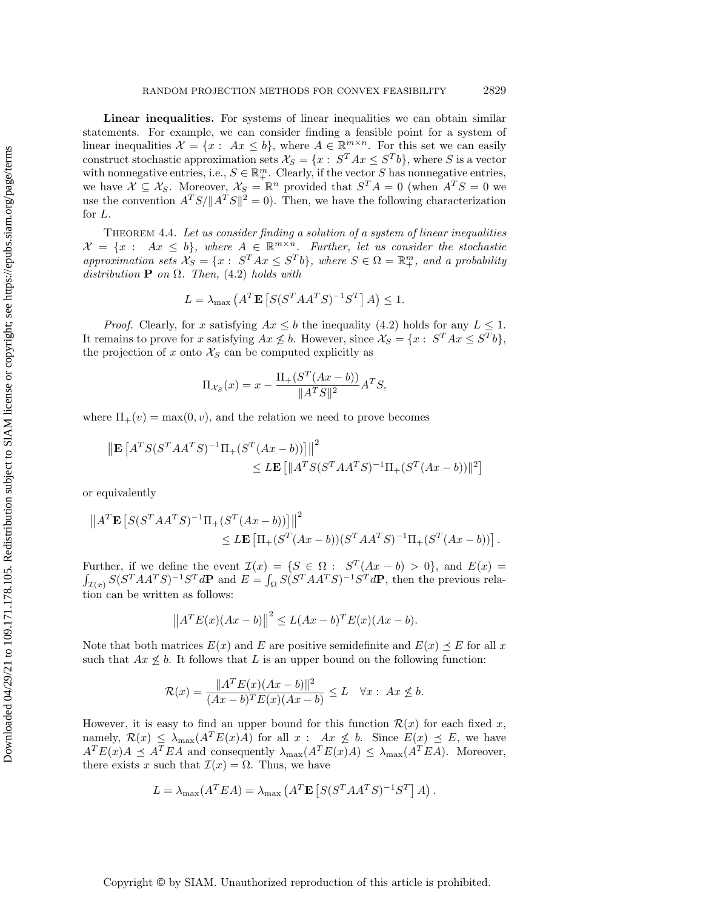Linear inequalities. For systems of linear inequalities we can obtain similar statements. For example, we can consider finding a feasible point for a system of linear inequalities  $\mathcal{X} = \{x : Ax \leq b\}$ , where  $A \in \mathbb{R}^{m \times n}$ . For this set we can easily construct stochastic approximation sets  $\mathcal{X}_S = \{x : S^T A x \leq S^T b\}$ , where S is a vector with nonnegative entries, i.e.,  $S \in \mathbb{R}^m_+$ . Clearly, if the vector S has nonnegative entries, we have  $X \subseteq \mathcal{X}_S$ . Moreover,  $\mathcal{X}_S = \mathbb{R}^n$  provided that  $S^T A = 0$  (when  $A^T S = 0$  we use the convention  $A^T S / \|A^T S\|^2 = 0$ . Then, we have the following characterization for L.

THEOREM 4.4. Let us consider finding a solution of a system of linear inequalities  $\mathcal{X} = \{x : Ax \leq b\},\$  where  $A \in \mathbb{R}^{m \times n}$ . Further, let us consider the stochastic approximation sets  $\mathcal{X}_S = \{x : S^T A x \leq S^T b\}$ , where  $S \in \Omega = \mathbb{R}^m_+$ , and a probability distribution **P** on  $\Omega$ . Then, [\(4.2\)](#page-11-2) holds with

$$
L = \lambda_{\max} \left( A^T \mathbf{E} \left[ S(S^T A A^T S)^{-1} S^T \right] A \right) \le 1.
$$

*Proof.* Clearly, for x satisfying  $Ax \leq b$  the inequality [\(4.2\)](#page-11-2) holds for any  $L \leq 1$ . It remains to prove for x satisfying  $Ax \nleq b$ . However, since  $\mathcal{X}_S = \{x : S^T A x \leq S^T b\}$ , the projection of x onto  $\mathcal{X}_S$  can be computed explicitly as

$$
\Pi_{\mathcal{X}_S}(x) = x - \frac{\Pi_+(S^T(Ax - b))}{\|A^TS\|^2}A^TS,
$$

where  $\Pi_{+}(v) = \max(0, v)$ , and the relation we need to prove becomes

$$
\|\mathbf{E}\left[A^TS(S^TAA^TS)^{-1}\Pi_+(S^T(Ax-b))\right]\|^2 \leq L\mathbf{E}\left[\|A^TS(S^TAA^TS)^{-1}\Pi_+(S^T(Ax-b))\|^2\right]
$$

or equivalently

$$
||AT \mathbf{E} [S(ST AAT S)-1 \Pi+ (ST (Ax - b))]]||2\leq L \mathbf{E} [\Pi+ (ST (Ax - b))(ST AAT S)-1 \Pi+ (ST (Ax - b))].
$$

Further, if we define the event  $\mathcal{I}(x) = \{ S \in \Omega : S^T(Ax - b) > 0 \}$ , and  $E(x) =$  $\int_{\mathcal{I}(x)} S(S^T A A^T S)^{-1} S^T d\mathbf{P}$  and  $E = \int_{\Omega} S(S^T A A^T S)^{-1} S^T d\mathbf{P}$ , then the previous relation can be written as follows:

$$
||ATE(x)(Ax - b)||2 \le L(Ax - b)TE(x)(Ax - b).
$$

Note that both matrices  $E(x)$  and E are positive semidefinite and  $E(x) \preceq E$  for all x such that  $Ax \nleq b$ . It follows that L is an upper bound on the following function:

$$
\mathcal{R}(x) = \frac{\|A^T E(x)(Ax - b)\|^2}{(Ax - b)^T E(x)(Ax - b)} \le L \quad \forall x : Ax \not\le b.
$$

However, it is easy to find an upper bound for this function  $\mathcal{R}(x)$  for each fixed x, namely,  $\mathcal{R}(x) \leq \lambda_{\max}(A^T E(x)A)$  for all  $x : Ax \nleq b$ . Since  $E(x) \preceq E$ , we have  $A<sup>T</sup>E(x)A \preceq A<sup>T</sup>EA$  and consequently  $\lambda_{\max}(A<sup>T</sup>E(x)A) \leq \lambda_{\max}(A<sup>T</sup>EA)$ . Moreover, there exists x such that  $\mathcal{I}(x) = \Omega$ . Thus, we have

$$
L = \lambda_{\max}(A^T E A) = \lambda_{\max}(A^T \mathbf{E}[S(S^T A A^T S)^{-1} S^T] A).
$$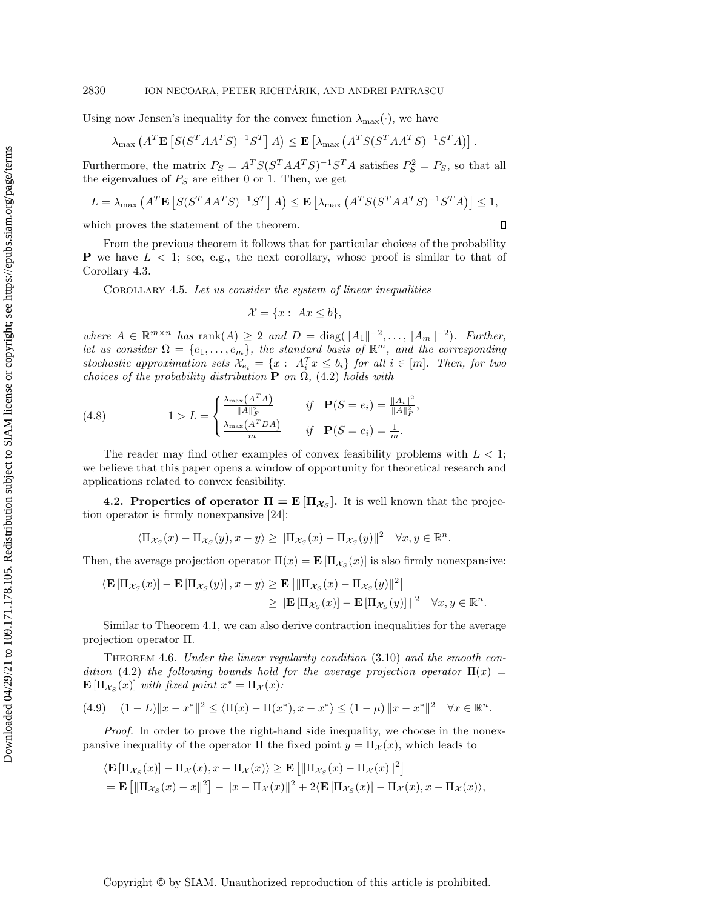### 2830 ION NECOARA, PETER RICHTÁRIK, AND ANDREI PATRASCU

Using now Jensen's inequality for the convex function  $\lambda_{\max}(\cdot)$ , we have

$$
\lambda_{\max}\left(A^T \mathbf{E}\left[S(S^T A A^T S)^{-1} S^T\right] A\right) \leq \mathbf{E}\left[\lambda_{\max}\left(A^T S(S^T A A^T S)^{-1} S^T A\right)\right].
$$

Furthermore, the matrix  $P_S = A^T S (S^T A A^T S)^{-1} S^T A$  satisfies  $P_S^2 = P_S$ , so that all the eigenvalues of  $P_S$  are either 0 or 1. Then, we get

$$
L = \lambda_{\max} \left( A^T \mathbf{E} \left[ S(S^T A A^T S)^{-1} S^T \right] A \right) \le \mathbf{E} \left[ \lambda_{\max} \left( A^T S(S^T A A^T S)^{-1} S^T A \right) \right] \le 1,
$$

which proves the statement of the theorem.

 $\Box$ 

From the previous theorem it follows that for particular choices of the probability **P** we have  $L < 1$ ; see, e.g., the next corollary, whose proof is similar to that of Corollary [4.3.](#page-14-0)

COROLLARY 4.5. Let us consider the system of linear inequalities

$$
\mathcal{X} = \{x : Ax \le b\},\
$$

where  $A \in \mathbb{R}^{m \times n}$  has  $\text{rank}(A) \geq 2$  and  $D = \text{diag}(\|A_1\|^{-2}, \ldots, \|A_m\|^{-2})$ . Further, let us consider  $\Omega = \{e_1, \ldots, e_m\}$ , the standard basis of  $\mathbb{R}^m$ , and the corresponding stochastic approximation sets  $\mathcal{X}_{e_i} = \{x : A_i^T x \leq b_i\}$  for all  $i \in [m]$ . Then, for two choices of the probability distribution **P** on  $\Omega$ , [\(4.2\)](#page-11-2) holds with

<span id="page-16-1"></span>(4.8) 
$$
1 > L = \begin{cases} \frac{\lambda_{\max}(A^T A)}{\|A\|_F^2} & \text{if } \mathbf{P}(S = e_i) = \frac{\|A_i\|^2}{\|A\|_F^2}, \\ \frac{\lambda_{\max}(A^T D A)}{m} & \text{if } \mathbf{P}(S = e_i) = \frac{1}{m}. \end{cases}
$$

The reader may find other examples of convex feasibility problems with  $L < 1$ ; we believe that this paper opens a window of opportunity for theoretical research and applications related to convex feasibility.

**4.2. Properties of operator**  $\Pi = \mathbf{E} [\Pi_{\mathcal{X}_S}]$ **.** It is well known that the projection operator is firmly nonexpansive [\[24\]](#page-37-16):

$$
\langle \Pi_{\mathcal{X}_S}(x) - \Pi_{\mathcal{X}_S}(y), x - y \rangle \geq ||\Pi_{\mathcal{X}_S}(x) - \Pi_{\mathcal{X}_S}(y)||^2 \quad \forall x, y \in \mathbb{R}^n.
$$

Then, the average projection operator  $\Pi(x) = \mathbf{E} [\Pi_{\mathcal{X}_S}(x)]$  is also firmly nonexpansive:

$$
\langle \mathbf{E} \left[ \Pi_{\mathcal{X}_S}(x) \right] - \mathbf{E} \left[ \Pi_{\mathcal{X}_S}(y) \right], x - y \rangle \ge \mathbf{E} \left[ \| \Pi_{\mathcal{X}_S}(x) - \Pi_{\mathcal{X}_S}(y) \|^2 \right] \\
\ge \|\mathbf{E} \left[ \Pi_{\mathcal{X}_S}(x) \right] - \mathbf{E} \left[ \Pi_{\mathcal{X}_S}(y) \right] \|^2 \quad \forall x, y \in \mathbb{R}^n.
$$

Similar to Theorem [4.1,](#page-12-0) we can also derive contraction inequalities for the average projection operator Π.

<span id="page-16-0"></span>THEOREM 4.6. Under the linear regularity condition  $(3.10)$  and the smooth con-dition [\(4.2\)](#page-11-2) the following bounds hold for the average projection operator  $\Pi(x)$  =  $\mathbf{E}[\Pi_{\mathcal{X}_S}(x)]$  with fixed point  $x^* = \Pi_{\mathcal{X}}(x)$ :

$$
(4.9) \quad (1 - L) \|x - x^*\|^2 \le \langle \Pi(x) - \Pi(x^*), x - x^* \rangle \le (1 - \mu) \|x - x^*\|^2 \quad \forall x \in \mathbb{R}^n.
$$

Proof. In order to prove the right-hand side inequality, we choose in the nonexpansive inequality of the operator  $\Pi$  the fixed point  $y = \Pi_{\mathcal{X}}(x)$ , which leads to

$$
\langle \mathbf{E} \left[ \Pi_{\mathcal{X}_S}(x) \right] - \Pi_{\mathcal{X}}(x), x - \Pi_{\mathcal{X}}(x) \rangle \ge \mathbf{E} \left[ \| \Pi_{\mathcal{X}_S}(x) - \Pi_{\mathcal{X}}(x) \|^2 \right]
$$
  
=  $\mathbf{E} \left[ \| \Pi_{\mathcal{X}_S}(x) - x \|^2 \right] - \|x - \Pi_{\mathcal{X}}(x) \|^2 + 2 \langle \mathbf{E} \left[ \Pi_{\mathcal{X}_S}(x) \right] - \Pi_{\mathcal{X}}(x), x - \Pi_{\mathcal{X}}(x) \rangle$ ,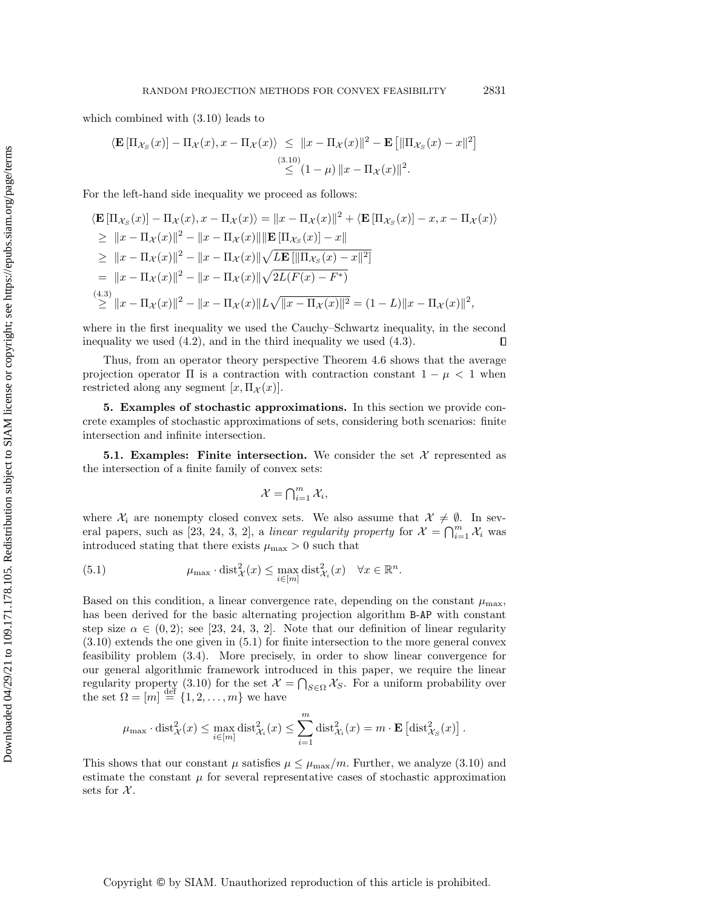which combined with [\(3.10\)](#page-10-1) leads to

$$
\langle \mathbf{E} \left[ \Pi_{\mathcal{X}_S}(x) \right] - \Pi_{\mathcal{X}}(x), x - \Pi_{\mathcal{X}}(x) \rangle \leq \|x - \Pi_{\mathcal{X}}(x)\|^2 - \mathbf{E} \left[ \|\Pi_{\mathcal{X}_S}(x) - x\|^2 \right] \leq (1 - \mu) \|x - \Pi_{\mathcal{X}}(x)\|^2.
$$

For the left-hand side inequality we proceed as follows:

$$
\langle \mathbf{E} [\Pi_{\mathcal{X}_S}(x)] - \Pi_{\mathcal{X}}(x), x - \Pi_{\mathcal{X}}(x) \rangle = \|x - \Pi_{\mathcal{X}}(x)\|^2 + \langle \mathbf{E} [\Pi_{\mathcal{X}_S}(x)] - x, x - \Pi_{\mathcal{X}}(x) \rangle
$$
  
\n
$$
\geq \|x - \Pi_{\mathcal{X}}(x)\|^2 - \|x - \Pi_{\mathcal{X}}(x)\| \|\mathbf{E} [\Pi_{\mathcal{X}_S}(x)] - x\|
$$
  
\n
$$
\geq \|x - \Pi_{\mathcal{X}}(x)\|^2 - \|x - \Pi_{\mathcal{X}}(x)\| \sqrt{L\mathbf{E} [\|\Pi_{\mathcal{X}_S}(x) - x\|^2]}
$$
  
\n
$$
= \|x - \Pi_{\mathcal{X}}(x)\|^2 - \|x - \Pi_{\mathcal{X}}(x)\| \sqrt{2L(F(x) - F^*)}
$$
  
\n
$$
\stackrel{(4.3)}{\geq} \|x - \Pi_{\mathcal{X}}(x)\|^2 - \|x - \Pi_{\mathcal{X}}(x)\| L_{\mathcal{Y}} \sqrt{\|x - \Pi_{\mathcal{X}}(x)\|^2} = (1 - L) \|x - \Pi_{\mathcal{X}}(x)\|^2,
$$

where in the first inequality we used the Cauchy–Schwartz inequality, in the second inequality we used [\(4.2\)](#page-11-2), and in the third inequality we used [\(4.3\)](#page-12-1).  $\Box$ 

Thus, from an operator theory perspective Theorem [4.6](#page-16-0) shows that the average projection operator  $\Pi$  is a contraction with contraction constant  $1 - \mu < 1$  when restricted along any segment  $[x,\Pi_{\mathcal{X}}(x)].$ 

5. Examples of stochastic approximations. In this section we provide concrete examples of stochastic approximations of sets, considering both scenarios: finite intersection and infinite intersection.

**5.1. Examples:** Finite intersection. We consider the set  $\mathcal{X}$  represented as the intersection of a finite family of convex sets:

$$
\mathcal{X} = \bigcap_{i=1}^m \mathcal{X}_i,
$$

where  $\mathcal{X}_i$  are nonempty closed convex sets. We also assume that  $\mathcal{X} \neq \emptyset$ . In sev-eral papers, such as [\[23,](#page-37-13) [24,](#page-37-16) [3,](#page-36-0) [2\]](#page-36-1), a linear regularity property for  $\mathcal{X} = \bigcap_{i=1}^m \mathcal{X}_i$  was introduced stating that there exists  $\mu_{\text{max}} > 0$  such that

<span id="page-17-0"></span>(5.1) 
$$
\mu_{\max} \cdot \text{dist}_{\mathcal{X}}^2(x) \leq \max_{i \in [m]} \text{dist}_{\mathcal{X}_i}^2(x) \quad \forall x \in \mathbb{R}^n.
$$

Based on this condition, a linear convergence rate, depending on the constant  $\mu_{\text{max}}$ , has been derived for the basic alternating projection algorithm B-AP with constant step size  $\alpha \in (0, 2)$ ; see [\[23,](#page-37-13) [24,](#page-37-16) [3,](#page-36-0) [2\]](#page-36-1). Note that our definition of linear regularity [\(3.10\)](#page-10-1) extends the one given in [\(5.1\)](#page-17-0) for finite intersection to the more general convex feasibility problem [\(3.4\)](#page-8-2). More precisely, in order to show linear convergence for our general algorithmic framework introduced in this paper, we require the linear regularity property [\(3.10\)](#page-10-1) for the set  $\mathcal{X} = \bigcap_{S \in \Omega} \mathcal{X}_S$ . For a uniform probability over the set  $\Omega = [m] \stackrel{\text{def}}{=} \{1, 2, \ldots, m\}$  we have

$$
\mu_{\max} \cdot \text{dist}_{\mathcal{X}}^2(x) \le \max_{i \in [m]} \text{dist}_{\mathcal{X}_i}^2(x) \le \sum_{i=1}^m \text{dist}_{\mathcal{X}_i}^2(x) = m \cdot \mathbf{E} \left[ \text{dist}_{\mathcal{X}_S}^2(x) \right].
$$

This shows that our constant  $\mu$  satisfies  $\mu \leq \mu_{\text{max}}/m$ . Further, we analyze [\(3.10\)](#page-10-1) and estimate the constant  $\mu$  for several representative cases of stochastic approximation sets for  $\mathcal{X}$ .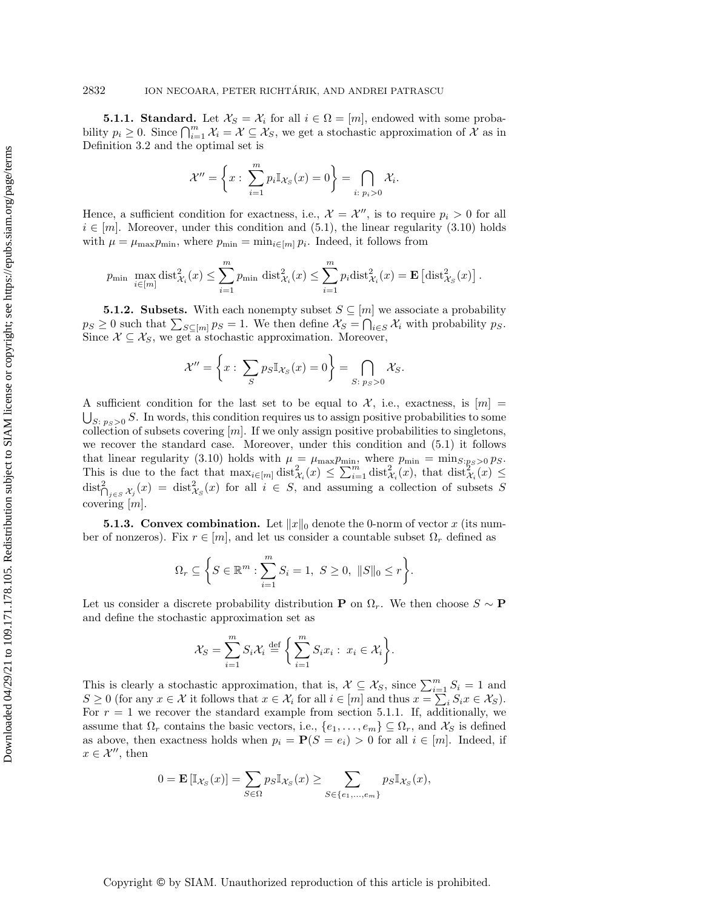<span id="page-18-0"></span>**5.1.1. Standard.** Let  $\mathcal{X}_S = \mathcal{X}_i$  for all  $i \in \Omega = [m]$ , endowed with some probability  $p_i \geq 0$ . Since  $\bigcap_{i=1}^m \mathcal{X}_i = \mathcal{X} \subseteq \mathcal{X}_S$ , we get a stochastic approximation of  $\mathcal{X}$  as in Definition [3.2](#page-8-6) and the optimal set is

$$
\mathcal{X}'' = \left\{ x : \sum_{i=1}^m p_i \mathbb{I}_{\mathcal{X}_S}(x) = 0 \right\} = \bigcap_{i:\; p_i > 0} \mathcal{X}_i.
$$

Hence, a sufficient condition for exactness, i.e.,  $\mathcal{X} = \mathcal{X}''$ , is to require  $p_i > 0$  for all  $i \in [m]$ . Moreover, under this condition and [\(5.1\)](#page-17-0), the linear regularity [\(3.10\)](#page-10-1) holds with  $\mu = \mu_{\max} p_{\min}$ , where  $p_{\min} = \min_{i \in [m]} p_i$ . Indeed, it follows from

$$
p_{\min} \max_{i \in [m]} \text{dist}_{\mathcal{X}_i}^2(x) \le \sum_{i=1}^m p_{\min} \text{ dist}_{\mathcal{X}_i}^2(x) \le \sum_{i=1}^m p_i \text{dist}_{\mathcal{X}_i}^2(x) = \mathbf{E} \left[ \text{dist}_{\mathcal{X}_S}^2(x) \right].
$$

**5.1.2. Subsets.** With each nonempty subset  $S \subseteq [m]$  we associate a probability  $p_S \geq 0$  such that  $\sum_{S \subseteq [m]} p_S = 1$ . We then define  $\mathcal{X}_S = \bigcap_{i \in S} \mathcal{X}_i$  with probability  $p_S$ . Since  $X \subseteq X_S$ , we get a stochastic approximation. Moreover,

$$
\mathcal{X}'' = \left\{ x : \sum_{S} p_S \mathbb{I}_{\mathcal{X}_S}(x) = 0 \right\} = \bigcap_{S: \ p_S > 0} \mathcal{X}_S.
$$

A sufficient condition for the last set to be equal to  $\mathcal{X}$ , i.e., exactness, is  $[m] =$  $\bigcup_{S:\; p_S>0} S$ . In words, this condition requires us to assign positive probabilities to some collection of subsets covering  $[m]$ . If we only assign positive probabilities to singletons, we recover the standard case. Moreover, under this condition and [\(5.1\)](#page-17-0) it follows that linear regularity [\(3.10\)](#page-10-1) holds with  $\mu = \mu_{\text{max}} p_{\text{min}}$ , where  $p_{\text{min}} = \min_{S: p_S > 0} p_S$ . This is due to the fact that  $\max_{i \in [m]} \text{dist}_{\mathcal{X}_i}^2(x) \leq \sum_{i=1}^m \text{dist}_{\mathcal{X}_i}^2(x)$ , that  $\text{dist}_{\mathcal{X}_i}^2(x) \leq$  $\text{dist}_{\bigcap_{j\in S}X_j}^2(x) = \text{dist}_{X_S}^2(x)$  for all  $i \in S$ , and assuming a collection of subsets S covering [m].

**5.1.3. Convex combination.** Let  $||x||_0$  denote the 0-norm of vector x (its number of nonzeros). Fix  $r \in [m]$ , and let us consider a countable subset  $\Omega_r$  defined as

$$
\Omega_r \subseteq \left\{ S \in \mathbb{R}^m : \sum_{i=1}^m S_i = 1, \ S \ge 0, \ \|S\|_0 \le r \right\}.
$$

Let us consider a discrete probability distribution **P** on  $\Omega_r$ . We then choose  $S \sim \mathbf{P}$ and define the stochastic approximation set as

$$
\mathcal{X}_S = \sum_{i=1}^m S_i \mathcal{X}_i \stackrel{\text{def}}{=} \left\{ \sum_{i=1}^m S_i x_i : x_i \in \mathcal{X}_i \right\}.
$$

This is clearly a stochastic approximation, that is,  $\mathcal{X} \subseteq \mathcal{X}_S$ , since  $\sum_{i=1}^m S_i = 1$  and  $S \geq 0$  (for any  $x \in \mathcal{X}$  it follows that  $x \in \mathcal{X}_i$  for all  $i \in [m]$  and thus  $x = \sum_i S_i x \in \mathcal{X}_S$ ). For  $r = 1$  we recover the standard example from section [5.1.1.](#page-18-0) If, additionally, we assume that  $\Omega_r$  contains the basic vectors, i.e.,  $\{e_1, \ldots, e_m\} \subseteq \Omega_r$ , and  $\mathcal{X}_S$  is defined as above, then exactness holds when  $p_i = P(S = e_i) > 0$  for all  $i \in [m]$ . Indeed, if  $x \in \mathcal{X}''$ , then

$$
0 = \mathbf{E}\left[\mathbb{I}_{\mathcal{X}_S}(x)\right] = \sum_{S \in \Omega} p_S \mathbb{I}_{\mathcal{X}_S}(x) \ge \sum_{S \in \{e_1, \dots, e_m\}} p_S \mathbb{I}_{\mathcal{X}_S}(x),
$$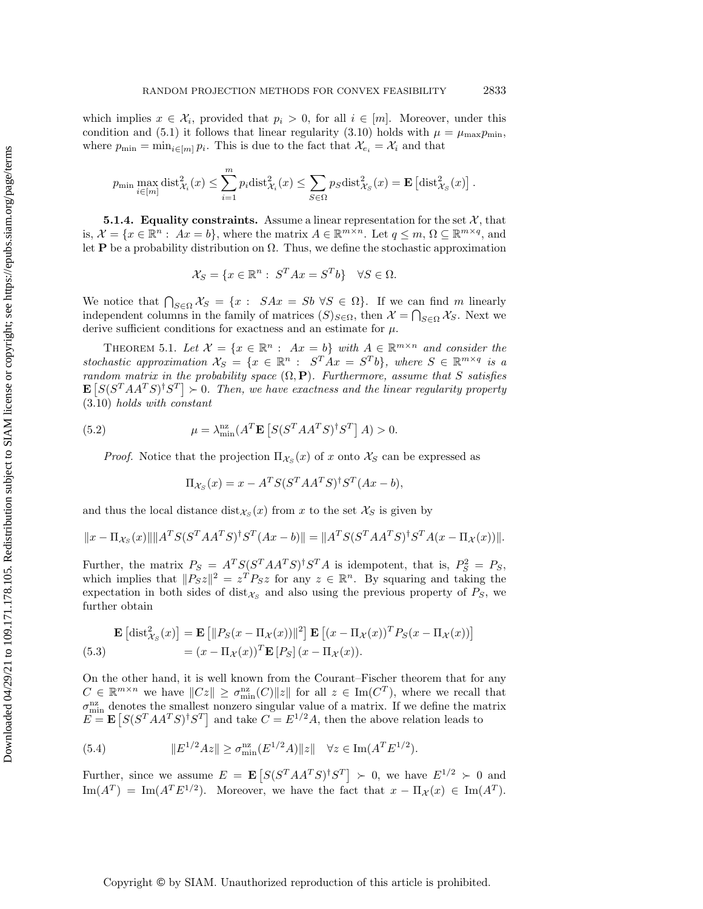which implies  $x \in \mathcal{X}_i$ , provided that  $p_i > 0$ , for all  $i \in [m]$ . Moreover, under this condition and [\(5.1\)](#page-17-0) it follows that linear regularity [\(3.10\)](#page-10-1) holds with  $\mu = \mu_{\text{max}} p_{\text{min}}$ , where  $p_{\min} = \min_{i \in [m]} p_i$ . This is due to the fact that  $\mathcal{X}_{e_i} = \mathcal{X}_i$  and that

$$
p_{\min} \max_{i \in [m]} \text{dist}_{\mathcal{X}_i}^2(x) \le \sum_{i=1}^m p_i \text{dist}_{\mathcal{X}_i}^2(x) \le \sum_{S \in \Omega} p_S \text{dist}_{\mathcal{X}_S}^2(x) = \mathbf{E} \left[ \text{dist}_{\mathcal{X}_S}^2(x) \right].
$$

**5.1.4.** Equality constraints. Assume a linear representation for the set  $\mathcal{X}$ , that is,  $\mathcal{X} = \{x \in \mathbb{R}^n : Ax = b\}$ , where the matrix  $A \in \mathbb{R}^{m \times n}$ . Let  $q \leq m, \Omega \subseteq \mathbb{R}^{m \times q}$ , and let **P** be a probability distribution on  $\Omega$ . Thus, we define the stochastic approximation

$$
\mathcal{X}_S = \{ x \in \mathbb{R}^n : S^T A x = S^T b \} \quad \forall S \in \Omega.
$$

We notice that  $\bigcap_{S \in \Omega} \mathcal{X}_S = \{x : S A x = S b \ \forall S \in \Omega\}$ . If we can find m linearly independent columns in the family of matrices  $(S)_{S \in \Omega}$ , then  $\mathcal{X} = \bigcap_{S \in \Omega} \mathcal{X}_S$ . Next we derive sufficient conditions for exactness and an estimate for  $\mu$ .

THEOREM 5.1. Let  $\mathcal{X} = \{x \in \mathbb{R}^n : Ax = b\}$  with  $A \in \mathbb{R}^{m \times n}$  and consider the stochastic approximation  $\mathcal{X}_S = \{x \in \mathbb{R}^n : S^T A x = S^T b\}$ , where  $S \in \mathbb{R}^{m \times q}$  is a random matrix in the probability space  $(\Omega, \mathbf{P})$ . Furthermore, assume that S satisfies  $\mathbf{E}\left[ S(S^T A A^T S)^{\dagger} S^T \right] \succ 0$ . Then, we have exactness and the linear regularity property [\(3.10\)](#page-10-1) holds with constant

(5.2) 
$$
\mu = \lambda_{\min}^{\text{nz}} (A^T \mathbf{E} \left[ S (S^T A A^T S)^{\dagger} S^T \right] A) > 0.
$$

*Proof.* Notice that the projection  $\Pi_{\mathcal{X}_S}(x)$  of x onto  $\mathcal{X}_S$  can be expressed as

<span id="page-19-2"></span>
$$
\Pi_{\mathcal{X}_S}(x) = x - A^T S (S^T A A^T S)^{\dagger} S^T (Ax - b),
$$

and thus the local distance  $dist_{\mathcal{X}_S}(x)$  from x to the set  $\mathcal{X}_S$  is given by

$$
||x - \Pi_{\mathcal{X}_S}(x)|| ||A^T S (S^T A A^T S)^{\dagger} S^T (Ax - b)|| = ||A^T S (S^T A A^T S)^{\dagger} S^T A (x - \Pi_{\mathcal{X}}(x))||.
$$

Further, the matrix  $P_S = A^T S (S^T A A^T S)^{\dagger} S^T A$  is idempotent, that is,  $P_S^2 = P_S$ , which implies that  $||P_Sz||^2 = z^T P_Sz$  for any  $z \in \mathbb{R}^n$ . By squaring and taking the expectation in both sides of dist $\chi_{S}$  and also using the previous property of  $P_{S}$ , we further obtain

<span id="page-19-1"></span>
$$
\mathbf{E}\left[\text{dist}_{\mathcal{X}_S}^2(x)\right] = \mathbf{E}\left[\|P_S(x - \Pi_{\mathcal{X}}(x))\|^2\right] \mathbf{E}\left[(x - \Pi_{\mathcal{X}}(x))^T P_S(x - \Pi_{\mathcal{X}}(x))\right]
$$
\n(5.3)\n
$$
= (x - \Pi_{\mathcal{X}}(x))^T \mathbf{E}\left[P_S\right](x - \Pi_{\mathcal{X}}(x)).
$$

On the other hand, it is well known from the Courant–Fischer theorem that for any  $C \in \mathbb{R}^{m \times n}$  we have  $||Cz|| \geq \sigma_{\min}^{\text{nz}}(C)||z||$  for all  $z \in \text{Im}(C^T)$ , where we recall that  $\sigma_{\min}^{\text{nz}}$  denotes the smallest nonzero singular value of a matrix. If we define the matrix  $E = \mathbf{E} [S(S^T A A^T S)^{\dagger} S^T]$  and take  $C = E^{1/2} A$ , then the above relation leads to

<span id="page-19-0"></span>(5.4) 
$$
||E^{1/2}Az|| \ge \sigma_{\min}^{\text{nz}}(E^{1/2}A)||z|| \quad \forall z \in \text{Im}(A^T E^{1/2}).
$$

Further, since we assume  $E = \mathbf{E} [S(S^T A A^T S)^{\dagger} S^T] \succ 0$ , we have  $E^{1/2} \succ 0$  and  $\text{Im}(A^T) = \text{Im}(A^T E^{1/2})$ . Moreover, we have the fact that  $x - \Pi_{\mathcal{X}}(x) \in \text{Im}(A^T)$ .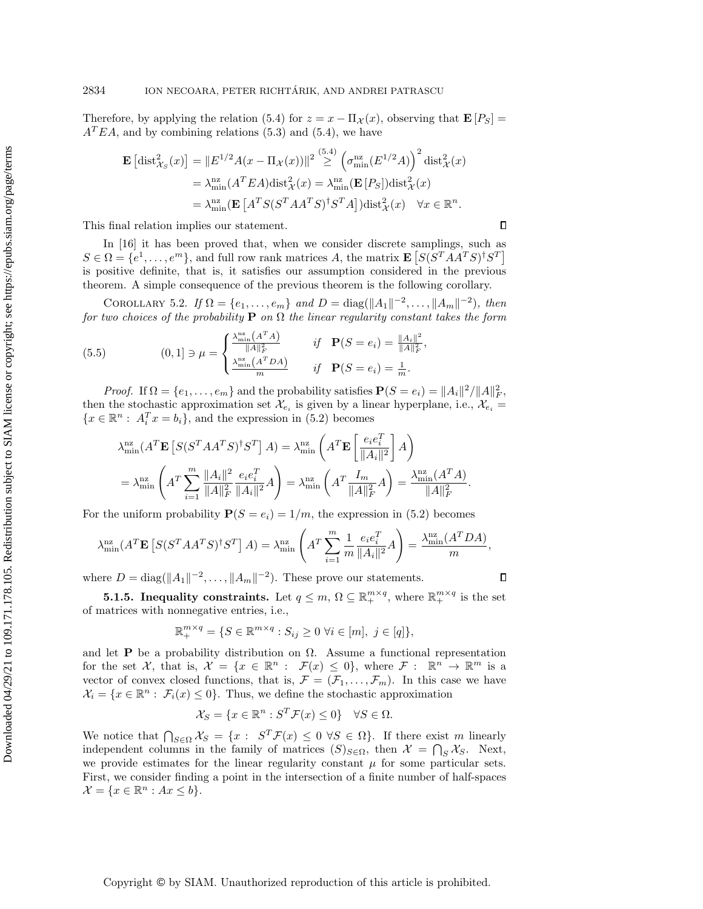Therefore, by applying the relation [\(5.4\)](#page-19-0) for  $z = x - \Pi_{\mathcal{X}}(x)$ , observing that  $\mathbf{E}[P_S] =$  $A<sup>T</sup>EA$ , and by combining relations [\(5.3\)](#page-19-1) and [\(5.4\)](#page-19-0), we have

$$
\mathbf{E}\left[\text{dist}_{\mathcal{X}_S}^2(x)\right] = \|E^{1/2}A(x - \Pi_{\mathcal{X}}(x))\|^2 \stackrel{(5.4)}{\geq} \left(\sigma_{\min}^{nz}(E^{1/2}A)\right)^2 \text{dist}_{\mathcal{X}}^2(x)
$$

$$
= \lambda_{\min}^{nz}(A^TEA)\text{dist}_{\mathcal{X}}^2(x) = \lambda_{\min}^{nz}\left(\mathbf{E}\left[P_S\right]\right) \text{dist}_{\mathcal{X}}^2(x)
$$

$$
= \lambda_{\min}^{nz}\left(\mathbf{E}\left[A^TS(S^TAA^TS)^{\dagger}S^TA\right]\right) \text{dist}_{\mathcal{X}}^2(x) \quad \forall x \in \mathbb{R}^n.
$$

This final relation implies our statement.

In [\[16\]](#page-37-12) it has been proved that, when we consider discrete samplings, such as  $S \in \Omega = \{e^1, \ldots, e^m\}$ , and full row rank matrices A, the matrix  $\mathbf{E}\left[ S(S^T A A^T S)^{\dagger} S^T \right]$ is positive definite, that is, it satisfies our assumption considered in the previous theorem. A simple consequence of the previous theorem is the following corollary.

COROLLARY 5.2. If  $\Omega = \{e_1, ..., e_m\}$  and  $D = \text{diag}(\|A_1\|^{-2}, ..., \|A_m\|^{-2}),$  then for two choices of the probability **P** on  $\Omega$  the linear regularity constant takes the form

,

 $\Box$ 

 $\Box$ 

<span id="page-20-1"></span>(5.5) 
$$
(0,1] \ni \mu = \begin{cases} \frac{\lambda_{\min}^{n} (A^{T} A)}{\|A\|_{F}^{2}} & \text{if } \mathbf{P}(S = e_{i}) = \frac{\|A_{i}\|^{2}}{\|A\|_{F}^{2}}\\ \frac{\lambda_{\min}^{n} (A^{T} D A)}{m} & \text{if } \mathbf{P}(S = e_{i}) = \frac{1}{m}.\end{cases}
$$

*Proof.* If  $\Omega = \{e_1, \ldots, e_m\}$  and the probability satisfies  $P(S = e_i) = ||A_i||^2 / ||A||_F^2$ , then the stochastic approximation set  $\mathcal{X}_{e_i}$  is given by a linear hyperplane, i.e.,  $\mathcal{X}_{e_i} =$  ${x \in \mathbb{R}^n : A_i^T x = b_i},$  and the expression in [\(5.2\)](#page-19-2) becomes

$$
\lambda_{\min}^{\mathrm{nz}}(A^T \mathbf{E} \left[ S(S^T A A^T S)^{\dagger} S^T \right] A) = \lambda_{\min}^{\mathrm{nz}} \left( A^T \mathbf{E} \left[ \frac{e_i e_i^T}{\|A_i\|^2} \right] A \right)
$$
  
= 
$$
\lambda_{\min}^{\mathrm{nz}} \left( A^T \sum_{i=1}^m \frac{\|A_i\|^2}{\|A\|_F^2} \frac{e_i e_i^T}{\|A_i\|^2} A \right) = \lambda_{\min}^{\mathrm{nz}} \left( A^T \frac{I_m}{\|A\|_F^2} A \right) = \frac{\lambda_{\min}^{\mathrm{nz}}(A^T A)}{\|A\|_F^2}.
$$

For the uniform probability  $P(S = e_i) = 1/m$ , the expression in [\(5.2\)](#page-19-2) becomes

$$
\lambda_{\min}^{\text{nz}}(A^T \mathbf{E}\left[S(S^T A A^T S)^{\dagger} S^T\right] A) = \lambda_{\min}^{\text{nz}} \left(A^T \sum_{i=1}^m \frac{1}{m} \frac{e_i e_i^T}{\|A_i\|^2} A\right) = \frac{\lambda_{\min}^{\text{nz}}(A^T D A)}{m},
$$

where  $D = \text{diag}(\Vert A_1 \Vert^{-2}, \dots, \Vert A_m \Vert^{-2})$ . These prove our statements.

**5.1.5. Inequality constraints.** Let  $q \leq m, \Omega \subseteq \mathbb{R}^{m \times q}_+$ , where  $\mathbb{R}^{m \times q}_+$  is the set of matrices with nonnegative entries, i.e.,

$$
\mathbb{R}_+^{m \times q} = \{ S \in \mathbb{R}^{m \times q} : S_{ij} \ge 0 \,\,\forall i \in [m], \,\, j \in [q] \},
$$

and let **P** be a probability distribution on  $\Omega$ . Assume a functional representation for the set X, that is,  $\mathcal{X} = \{x \in \mathbb{R}^n : \mathcal{F}(x) \leq 0\}$ , where  $\mathcal{F} : \mathbb{R}^n \to \mathbb{R}^m$  is a vector of convex closed functions, that is,  $\mathcal{F} = (\mathcal{F}_1, \ldots, \mathcal{F}_m)$ . In this case we have  $\mathcal{X}_i = \{x \in \mathbb{R}^n : \mathcal{F}_i(x) \leq 0\}.$  Thus, we define the stochastic approximation

$$
\mathcal{X}_S = \{ x \in \mathbb{R}^n : S^T \mathcal{F}(x) \le 0 \} \quad \forall S \in \Omega.
$$

<span id="page-20-0"></span>We notice that  $\bigcap_{S \in \Omega} \mathcal{X}_S = \{x : S^T \mathcal{F}(x) \leq 0 \ \forall S \in \Omega\}$ . If there exist m linearly independent columns in the family of matrices  $(S)_{S \in \Omega}$ , then  $\mathcal{X} = \bigcap_S \mathcal{X}_S$ . Next, we provide estimates for the linear regularity constant  $\mu$  for some particular sets. First, we consider finding a point in the intersection of a finite number of half-spaces  $\mathcal{X} = \{x \in \mathbb{R}^n : Ax \leq b\}.$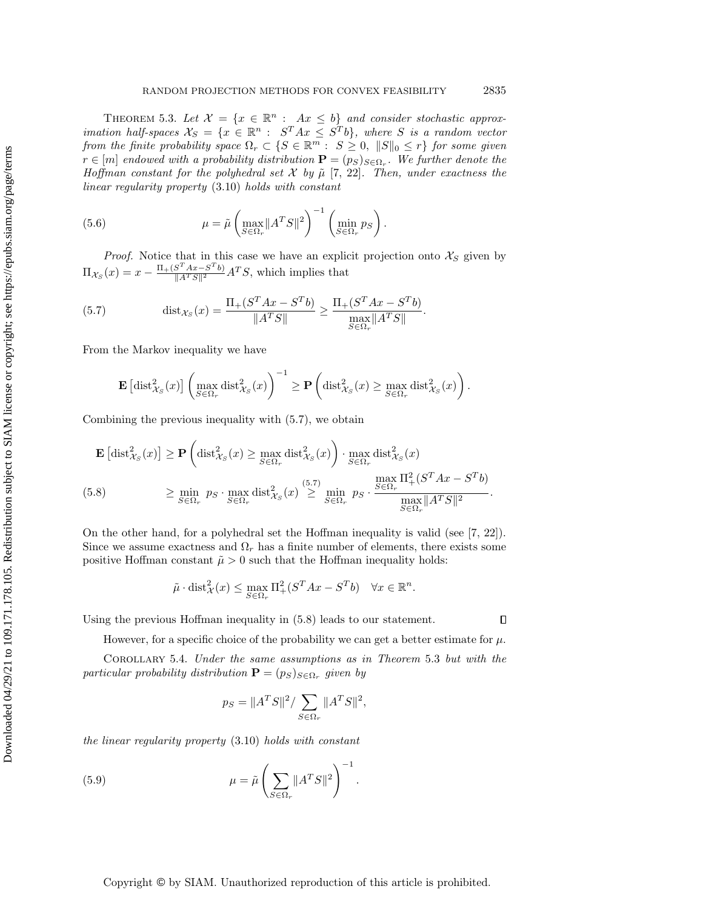THEOREM 5.3. Let  $\mathcal{X} = \{x \in \mathbb{R}^n : Ax \leq b\}$  and consider stochastic approximation half-spaces  $\mathcal{X}_S = \{x \in \mathbb{R}^n : S^T A x \leq S^T b\}$ , where S is a random vector from the finite probability space  $\Omega_r \subset \{S \in \mathbb{R}^m : S \geq 0, ||S||_0 \leq r\}$  for some given  $r \in [m]$  endowed with a probability distribution  $\mathbf{P} = (p_S)_{S \in \Omega_r}$ . We further denote the Hoffman constant for the polyhedral set  $\mathcal X$  by  $\tilde \mu$  [\[7,](#page-37-20) [22\]](#page-37-23). Then, under exactness the linear regularity property [\(3.10\)](#page-10-1) holds with constant

<span id="page-21-2"></span>(5.6) 
$$
\mu = \tilde{\mu} \left( \max_{S \in \Omega_r} \|A^T S\|^2 \right)^{-1} \left( \min_{S \in \Omega_r} p_S \right).
$$

*Proof.* Notice that in this case we have an explicit projection onto  $\mathcal{X}_S$  given by  $\Pi_{\mathcal{X}_S}(x) = x - \frac{\Pi_+(S^T A x - S^T b)}{\|A^T S\|^2} A^T S$ , which implies that

<span id="page-21-0"></span>(5.7) 
$$
\text{dist}_{\mathcal{X}_S}(x) = \frac{\Pi_+(S^T A x - S^T b)}{\|A^T S\|} \ge \frac{\Pi_+(S^T A x - S^T b)}{\max_{S \in \Omega_r} \|A^T S\|}.
$$

From the Markov inequality we have

$$
\mathbf{E}\left[\mathrm{dist}_{\mathcal{X}_S}^2(x)\right] \left(\max_{S \in \Omega_r} \mathrm{dist}_{\mathcal{X}_S}^2(x)\right)^{-1} \geq \mathbf{P}\left(\mathrm{dist}_{\mathcal{X}_S}^2(x) \geq \max_{S \in \Omega_r} \mathrm{dist}_{\mathcal{X}_S}^2(x)\right).
$$

Combining the previous inequality with [\(5.7\)](#page-21-0), we obtain

<span id="page-21-1"></span>
$$
\mathbf{E}\left[\text{dist}_{\mathcal{X}_S}^2(x)\right] \ge \mathbf{P}\left(\text{dist}_{\mathcal{X}_S}^2(x) \ge \max_{S \in \Omega_r} \text{dist}_{\mathcal{X}_S}^2(x)\right) \cdot \max_{S \in \Omega_r} \text{dist}_{\mathcal{X}_S}^2(x)
$$
\n
$$
\ge \min_{S \in \Omega_r} p_S \cdot \max_{S \in \Omega_r} \text{dist}_{\mathcal{X}_S}^2(x) \ge \min_{S \in \Omega_r} p_S \cdot \frac{\max_{S \in \Omega_r} \Pi_+^2(S^T A x - S^T b)}{\max_{S \in \Omega_r} \|A^T S\|^2}.
$$

On the other hand, for a polyhedral set the Hoffman inequality is valid (see [\[7,](#page-37-20) [22\]](#page-37-23)). Since we assume exactness and  $\Omega_r$  has a finite number of elements, there exists some positive Hoffman constant  $\tilde{\mu} > 0$  such that the Hoffman inequality holds:

$$
\tilde{\mu} \cdot \text{dist}_{\mathcal{X}}^2(x) \le \max_{S \in \Omega_r} \Pi^2_+(S^T A x - S^T b) \quad \forall x \in \mathbb{R}^n.
$$

Using the previous Hoffman inequality in [\(5.8\)](#page-21-1) leads to our statement.

However, for a specific choice of the probability we can get a better estimate for  $\mu$ .

<span id="page-21-4"></span>Corollary 5.4. Under the same assumptions as in Theorem [5.3](#page-20-0) but with the particular probability distribution  $\mathbf{P} = (p_S)_{S \in \Omega_r}$  given by

<span id="page-21-3"></span>
$$
p_S = ||A^T S||^2 / \sum_{S \in \Omega_r} ||A^T S||^2,
$$

the linear regularity property [\(3.10\)](#page-10-1) holds with constant

(5.9) 
$$
\mu = \tilde{\mu} \left( \sum_{S \in \Omega_r} ||A^T S||^2 \right)^{-1}.
$$

 $\Box$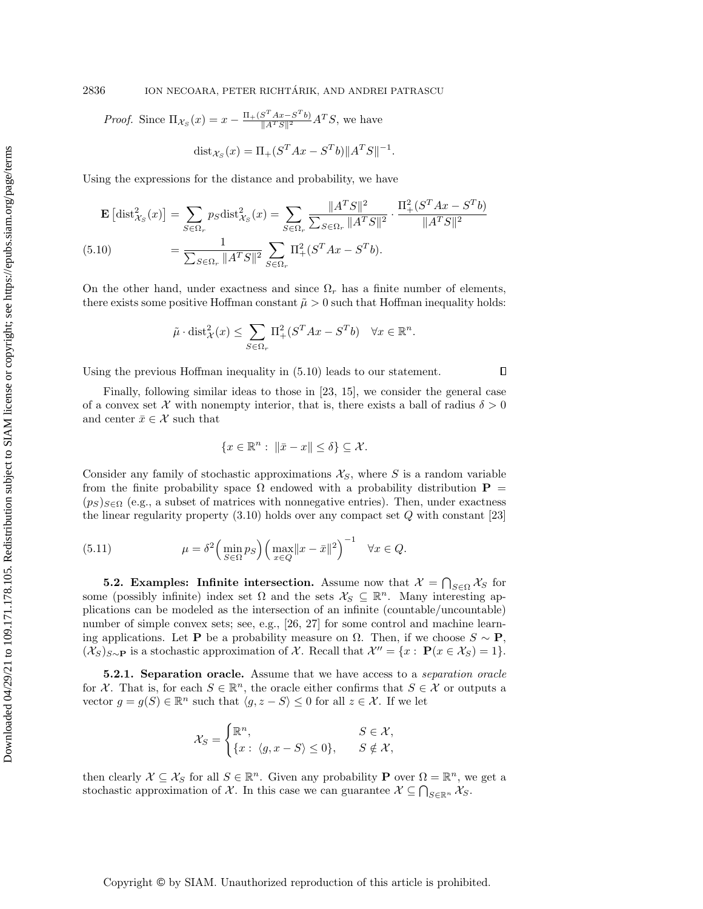2836 ION NECOARA, PETER RICHTÁRIK, AND ANDREI PATRASCU

*Proof.* Since  $\Pi_{\mathcal{X}_S}(x) = x - \frac{\Pi_+(S^T A x - S^T b)}{\|A^T S\|^2} A^T S$ , we have

$$
dist_{\mathcal{X}_S}(x) = \Pi_+(S^T A x - S^T b) \|A^T S\|^{-1}.
$$

Using the expressions for the distance and probability, we have

<span id="page-22-0"></span>
$$
\mathbf{E}\left[\text{dist}_{\mathcal{X}_{S}}^{2}(x)\right] = \sum_{S \in \Omega_{r}} p_{S} \text{dist}_{\mathcal{X}_{S}}^{2}(x) = \sum_{S \in \Omega_{r}} \frac{\|A^{T}S\|^{2}}{\sum_{S \in \Omega_{r}} \|A^{T}S\|^{2}} \cdot \frac{\Pi_{+}^{2}(S^{T}Ax - S^{T}b)}{\|A^{T}S\|^{2}}
$$
\n(5.10)\n
$$
= \frac{1}{\sum_{S \in \Omega_{r}} \|A^{T}S\|^{2}} \sum_{S \in \Omega_{r}} \Pi_{+}^{2}(S^{T}Ax - S^{T}b).
$$

On the other hand, under exactness and since  $\Omega_r$  has a finite number of elements, there exists some positive Hoffman constant  $\tilde{\mu} > 0$  such that Hoffman inequality holds:

$$
\tilde{\mu} \cdot \text{dist}_{\mathcal{X}}^2(x) \le \sum_{S \in \Omega_r} \Pi^2_+(S^T A x - S^T b) \quad \forall x \in \mathbb{R}^n.
$$

Using the previous Hoffman inequality in [\(5.10\)](#page-22-0) leads to our statement.

Finally, following similar ideas to those in [\[23,](#page-37-13) [15\]](#page-37-19), we consider the general case of a convex set X with nonempty interior, that is, there exists a ball of radius  $\delta > 0$ and center  $\bar{x} \in \mathcal{X}$  such that

 $\Box$ 

$$
\{x \in \mathbb{R}^n : \ \|\bar{x} - x\| \le \delta\} \subseteq \mathcal{X}.
$$

Consider any family of stochastic approximations  $\mathcal{X}_S$ , where S is a random variable from the finite probability space  $\Omega$  endowed with a probability distribution  $P =$  $(p_S)_{S \in \Omega}$  (e.g., a subset of matrices with nonnegative entries). Then, under exactness the linear regularity property  $(3.10)$  holds over any compact set  $Q$  with constant  $[23]$ 

<span id="page-22-1"></span>(5.11) 
$$
\mu = \delta^2 \left( \min_{S \in \Omega} p_S \right) \left( \max_{x \in Q} ||x - \bar{x}||^2 \right)^{-1} \quad \forall x \in Q.
$$

**5.2.** Examples: Infinite intersection. Assume now that  $\mathcal{X} = \bigcap_{S \in \Omega} \mathcal{X}_S$  for some (possibly infinite) index set  $\Omega$  and the sets  $\mathcal{X}_S \subseteq \mathbb{R}^n$ . Many interesting applications can be modeled as the intersection of an infinite (countable/uncountable) number of simple convex sets; see, e.g., [\[26,](#page-37-7) [27\]](#page-37-18) for some control and machine learning applications. Let **P** be a probability measure on  $\Omega$ . Then, if we choose  $S \sim \mathbf{P}$ ,  $(\mathcal{X}_S)_{S \sim \mathbf{P}}$  is a stochastic approximation of X. Recall that  $\mathcal{X}'' = \{x : \mathbf{P}(x \in \mathcal{X}_S) = 1\}.$ 

**5.2.1. Separation oracle.** Assume that we have access to a *separation oracle* for X. That is, for each  $S \in \mathbb{R}^n$ , the oracle either confirms that  $S \in \mathcal{X}$  or outputs a vector  $g = g(S) \in \mathbb{R}^n$  such that  $\langle g, z - S \rangle \leq 0$  for all  $z \in \mathcal{X}$ . If we let

$$
\mathcal{X}_S = \begin{cases} \mathbb{R}^n, & S \in \mathcal{X}, \\ \{x: \langle g, x - S \rangle \le 0 \}, & S \notin \mathcal{X}, \end{cases}
$$

then clearly  $\mathcal{X} \subseteq \mathcal{X}_S$  for all  $S \in \mathbb{R}^n$ . Given any probability **P** over  $\Omega = \mathbb{R}^n$ , we get a stochastic approximation of X. In this case we can guarantee  $X \subseteq \bigcap_{S \in \mathbb{R}^n} X_S$ .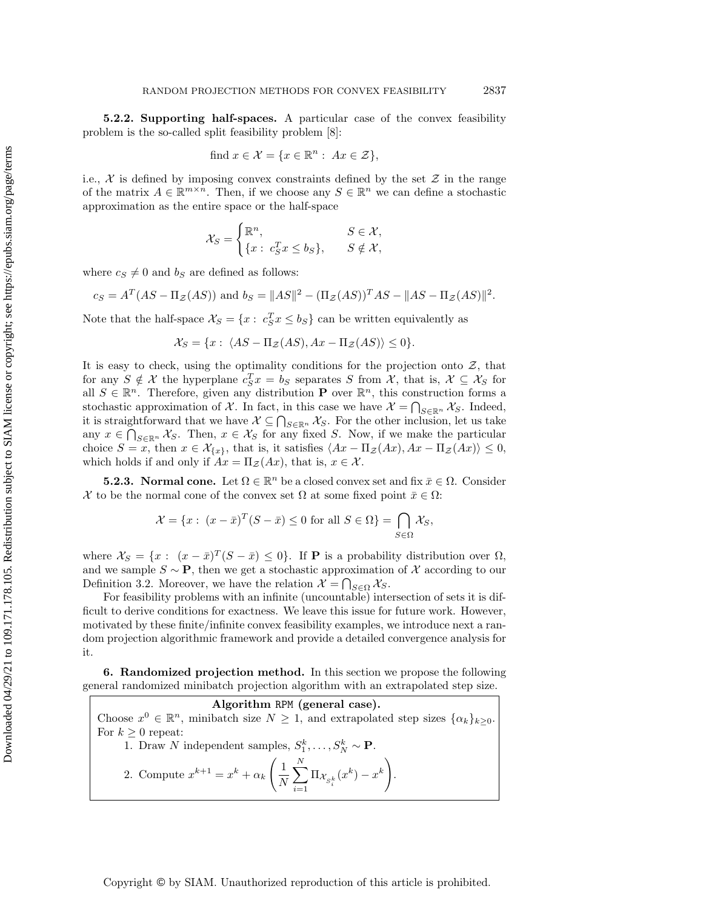5.2.2. Supporting half-spaces. A particular case of the convex feasibility problem is the so-called split feasibility problem [\[8\]](#page-37-24):

find 
$$
x \in \mathcal{X} = \{x \in \mathbb{R}^n : Ax \in \mathcal{Z}\},\
$$

i.e.,  $\mathcal X$  is defined by imposing convex constraints defined by the set  $\mathcal Z$  in the range of the matrix  $A \in \mathbb{R}^{m \times n}$ . Then, if we choose any  $S \in \mathbb{R}^n$  we can define a stochastic approximation as the entire space or the half-space

$$
\mathcal{X}_S = \begin{cases} \mathbb{R}^n, & S \in \mathcal{X}, \\ \{x: c_S^T x \le b_S\}, & S \notin \mathcal{X}, \end{cases}
$$

where  $c_S \neq 0$  and  $b_S$  are defined as follows:

$$
c_S = A^T (AS - \Pi_{\mathcal{Z}}(AS))
$$
 and  $b_S = ||AS||^2 - (\Pi_{\mathcal{Z}}(AS))^T AS - ||AS - \Pi_{\mathcal{Z}}(AS)||^2$ .

Note that the half-space  $\mathcal{X}_S = \{x : c_S^T x \leq b_S\}$  can be written equivalently as

$$
\mathcal{X}_S = \{x : \langle AS - \Pi_{\mathcal{Z}}(AS), Ax - \Pi_{\mathcal{Z}}(AS) \rangle \le 0\}.
$$

It is easy to check, using the optimality conditions for the projection onto  $\mathcal{Z}$ , that for any  $S \notin \mathcal{X}$  the hyperplane  $c_S^T x = b_S$  separates S from  $\mathcal{X}$ , that is,  $\mathcal{X} \subseteq \mathcal{X}_S$  for all  $S \in \mathbb{R}^n$ . Therefore, given any distribution **P** over  $\mathbb{R}^n$ , this construction forms a stochastic approximation of  $X$ . In fact, in this case we have  $\mathcal{X} = \bigcap_{S \in \mathbb{R}^n} \mathcal{X}_S$ . Indeed, it is straightforward that we have  $\mathcal{X} \subseteq \bigcap_{S \in \mathbb{R}^n} \mathcal{X}_S$ . For the other inclusion, let us take any  $x \in \bigcap_{S \in \mathbb{R}^n} \mathcal{X}_S$ . Then,  $x \in \mathcal{X}_S$  for any fixed S. Now, if we make the particular choice  $S = x$ , then  $x \in \mathcal{X}_{\{x\}}$ , that is, it satisfies  $\langle Ax - \Pi_{\mathcal{Z}}(Ax), Ax - \Pi_{\mathcal{Z}}(Ax)\rangle \leq 0$ , which holds if and only if  $Ax = \Pi_{\mathcal{Z}}(Ax)$ , that is,  $x \in \mathcal{X}$ .

**5.2.3.** Normal cone. Let  $\Omega \in \mathbb{R}^n$  be a closed convex set and fix  $\bar{x} \in \Omega$ . Consider X to be the normal cone of the convex set  $\Omega$  at some fixed point  $\bar{x} \in \Omega$ :

$$
\mathcal{X} = \{x : (x - \bar{x})^T (S - \bar{x}) \le 0 \text{ for all } S \in \Omega\} = \bigcap_{S \in \Omega} \mathcal{X}_S,
$$

where  $\mathcal{X}_S = \{x : (x - \bar{x})^T (S - \bar{x}) \leq 0\}$ . If **P** is a probability distribution over  $\Omega$ , and we sample  $S \sim \mathbf{P}$ , then we get a stochastic approximation of X according to our Definition [3.2.](#page-8-6) Moreover, we have the relation  $\mathcal{X} = \bigcap_{S \in \Omega} \mathcal{X}_S$ .

For feasibility problems with an infinite (uncountable) intersection of sets it is difficult to derive conditions for exactness. We leave this issue for future work. However, motivated by these finite/infinite convex feasibility examples, we introduce next a random projection algorithmic framework and provide a detailed convergence analysis for it.

<span id="page-23-0"></span>6. Randomized projection method. In this section we propose the following general randomized minibatch projection algorithm with an extrapolated step size.

Algorithm RPM (general case). Choose  $x^0 \in \mathbb{R}^n$ , minibatch size  $N \geq 1$ , and extrapolated step sizes  $\{\alpha_k\}_{k \geq 0}$ . For  $k \geq 0$  repeat: 1. Draw N independent samples,  $S_1^k, \ldots, S_N^k \sim \mathbf{P}$ . 2. Compute  $x^{k+1} = x^k + \alpha_k$  $\sqrt{1}$ N  $\sum_{i=1}^{N}$  $\sum_{i=1}^N \Pi_{\mathcal{X}_{S_i^k}}(x^k) - x^k\Bigg)$ .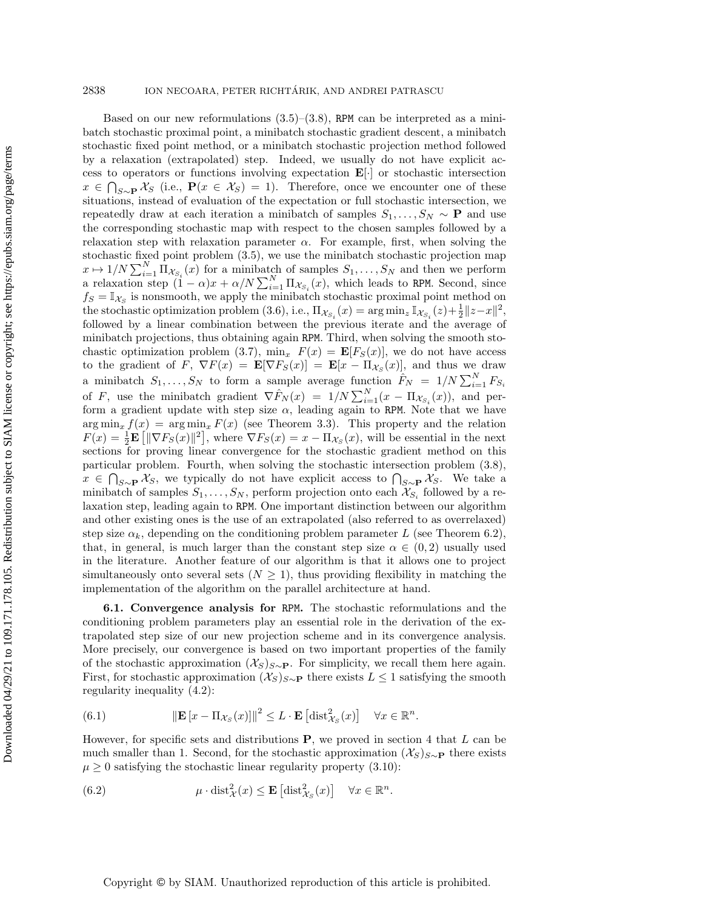### 2838 ION NECOARA, PETER RICHTÁRIK, AND ANDREI PATRASCU

Based on our new reformulations  $(3.5)-(3.8)$  $(3.5)-(3.8)$  $(3.5)-(3.8)$ , RPM can be interpreted as a minibatch stochastic proximal point, a minibatch stochastic gradient descent, a minibatch stochastic fixed point method, or a minibatch stochastic projection method followed by a relaxation (extrapolated) step. Indeed, we usually do not have explicit access to operators or functions involving expectation E[·] or stochastic intersection  $x \in \bigcap_{S \sim \mathbf{P}} \mathcal{X}_S$  (i.e.,  $\mathbf{P}(x \in \mathcal{X}_S) = 1$ ). Therefore, once we encounter one of these situations, instead of evaluation of the expectation or full stochastic intersection, we repeatedly draw at each iteration a minibatch of samples  $S_1, \ldots, S_N \sim \mathbf{P}$  and use the corresponding stochastic map with respect to the chosen samples followed by a relaxation step with relaxation parameter  $\alpha$ . For example, first, when solving the stochastic fixed point problem [\(3.5\)](#page-8-0), we use the minibatch stochastic projection map  $x \mapsto 1/N \sum_{i=1}^{N} \Pi_{\mathcal{X}_{S_i}}(x)$  for a minibatch of samples  $S_1, \ldots, S_N$  and then we perform a relaxation step  $(1 - \alpha)x + \alpha/N \sum_{i=1}^{N} \Pi_{\mathcal{X}_{S_i}}(x)$ , which leads to RPM. Second, since  $f_S = \mathbb{I}_{\mathcal{X}_S}$  is nonsmooth, we apply the minibatch stochastic proximal point method on the stochastic optimization problem [\(3.6\)](#page-8-4), i.e.,  $\Pi_{\mathcal{X}_{S_i}}(x) = \arg \min_z \mathbb{I}_{\mathcal{X}_{S_i}}(z) + \frac{1}{2} \|z - x\|^2$ , followed by a linear combination between the previous iterate and the average of minibatch projections, thus obtaining again RPM. Third, when solving the smooth sto-chastic optimization problem [\(3.7\)](#page-8-3),  $\min_x F(x) = \mathbf{E}[F_S(x)]$ , we do not have access to the gradient of F,  $\nabla F(x) = \mathbf{E}[\nabla F_S(x)] = \mathbf{E}[x - \Pi_{\mathcal{X}_S}(x)]$ , and thus we draw a minibatch  $S_1, \ldots, S_N$  to form a sample average function  $\hat{F}_N = 1/N \sum_{i=1}^N F_{S_i}$ of F, use the minibatch gradient  $\nabla \hat{F}_N(x) = 1/N \sum_{i=1}^N (x - \Pi_{\mathcal{X}_{S_i}}(x))$ , and perform a gradient update with step size  $\alpha$ , leading again to RPM. Note that we have  $\arg \min_x f(x) = \arg \min_x F(x)$  (see Theorem [3.3\)](#page-8-5). This property and the relation  $F(x) = \frac{1}{2} \mathbf{E} \left[ \|\nabla F_S(x)\|^2 \right],$  where  $\nabla F_S(x) = x - \Pi_{\mathcal{X}_S}(x)$ , will be essential in the next sections for proving linear convergence for the stochastic gradient method on this particular problem. Fourth, when solving the stochastic intersection problem [\(3.8\)](#page-8-1),  $x \in \bigcap_{S\sim P} \mathcal{X}_S$ , we typically do not have explicit access to  $\bigcap_{S\sim P} \mathcal{X}_S$ . We take a minibatch of samples  $S_1, \ldots, S_N$ , perform projection onto each  $\mathcal{X}_{S_i}$  followed by a relaxation step, leading again to RPM. One important distinction between our algorithm and other existing ones is the use of an extrapolated (also referred to as overrelaxed) step size  $\alpha_k$ , depending on the conditioning problem parameter L (see Theorem 6.2), that, in general, is much larger than the constant step size  $\alpha \in (0, 2)$  usually used in the literature. Another feature of our algorithm is that it allows one to project simultaneously onto several sets  $(N \geq 1)$ , thus providing flexibility in matching the implementation of the algorithm on the parallel architecture at hand.

6.1. Convergence analysis for RPM. The stochastic reformulations and the conditioning problem parameters play an essential role in the derivation of the extrapolated step size of our new projection scheme and in its convergence analysis. More precisely, our convergence is based on two important properties of the family of the stochastic approximation  $(\mathcal{X}_S)_{S \sim \mathbf{P}}$ . For simplicity, we recall them here again. First, for stochastic approximation  $(\mathcal{X}_S)_{S\sim P}$  there exists  $L \leq 1$  satisfying the smooth regularity inequality [\(4.2\)](#page-11-2):

<span id="page-24-0"></span>(6.1) 
$$
\|\mathbf{E}\left[x-\Pi_{\mathcal{X}_S}(x)\right]\|^2 \leq L \cdot \mathbf{E}\left[\mathrm{dist}_{\mathcal{X}_S}^2(x)\right] \quad \forall x \in \mathbb{R}^n.
$$

However, for specific sets and distributions  $P$ , we proved in section [4](#page-11-0) that  $L$  can be much smaller than 1. Second, for the stochastic approximation  $(\mathcal{X}_S)_{S\sim P}$  there exists  $\mu \geq 0$  satisfying the stochastic linear regularity property [\(3.10\)](#page-10-1):

<span id="page-24-1"></span>(6.2) 
$$
\mu \cdot \text{dist}_{\mathcal{X}}^2(x) \leq \mathbf{E} \left[ \text{dist}_{\mathcal{X}_S}^2(x) \right] \quad \forall x \in \mathbb{R}^n.
$$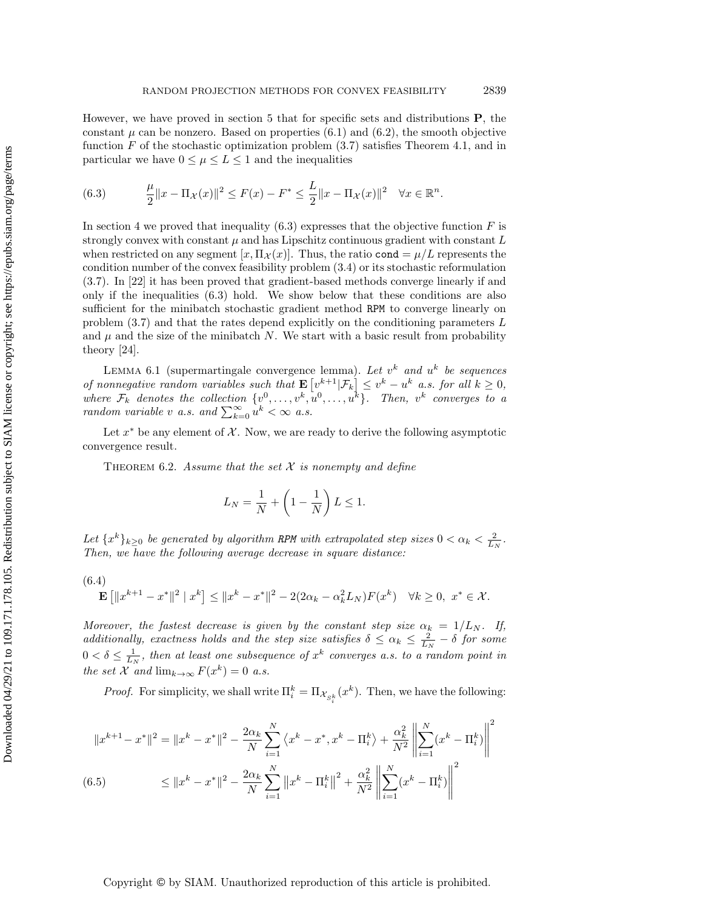However, we have proved in section 5 that for specific sets and distributions P, the constant  $\mu$  can be nonzero. Based on properties [\(6.1\)](#page-24-0) and [\(6.2\)](#page-24-1), the smooth objective function  $F$  of the stochastic optimization problem  $(3.7)$  satisfies Theorem [4.1,](#page-12-0) and in particular we have  $0 \leq \mu \leq L \leq 1$  and the inequalities

<span id="page-25-0"></span>(6.3) 
$$
\frac{\mu}{2} \|x - \Pi_{\mathcal{X}}(x)\|^2 \le F(x) - F^* \le \frac{L}{2} \|x - \Pi_{\mathcal{X}}(x)\|^2 \quad \forall x \in \mathbb{R}^n.
$$

In section [4](#page-11-0) we proved that inequality  $(6.3)$  expresses that the objective function F is strongly convex with constant  $\mu$  and has Lipschitz continuous gradient with constant  $L$ when restricted on any segment  $[x, \Pi_x(x)]$ . Thus, the ratio cond  $=\mu/L$  represents the condition number of the convex feasibility problem [\(3.4\)](#page-8-2) or its stochastic reformulation [\(3.7\)](#page-8-3). In [\[22\]](#page-37-23) it has been proved that gradient-based methods converge linearly if and only if the inequalities [\(6.3\)](#page-25-0) hold. We show below that these conditions are also sufficient for the minibatch stochastic gradient method RPM to converge linearly on problem [\(3.7\)](#page-8-3) and that the rates depend explicitly on the conditioning parameters L and  $\mu$  and the size of the minibatch N. We start with a basic result from probability theory [\[24\]](#page-37-16).

LEMMA 6.1 (supermartingale convergence lemma). Let  $v^k$  and  $u^k$  be sequences of nonnegative random variables such that  $\mathbf{E}\left[v^{k+1}|\mathcal{F}_k\right] \leq v^k - u^k$  a.s. for all  $k \geq 0$ , where  $\mathcal{F}_k$  denotes the collection  $\{v^0, \ldots, v^k, u^0, \ldots, u^k\}$ . Then,  $v^k$  converges to a random variable v a.s. and  $\sum_{k=0}^{\infty} u^k < \infty$  a.s.

Let  $x^*$  be any element of  $\mathcal X$ . Now, we are ready to derive the following asymptotic convergence result.

<span id="page-25-2"></span>THEOREM 6.2. Assume that the set  $X$  is nonempty and define

$$
L_N = \frac{1}{N} + \left(1 - \frac{1}{N}\right)L \le 1.
$$

Let  $\{x^k\}_{k\geq 0}$  be generated by algorithm RPM with extrapolated step sizes  $0 < \alpha_k < \frac{2}{L_N}$ . Then, we have the following average decrease in square distance:

<span id="page-25-1"></span>
$$
\mathbf{E}\left[\|x^{k+1} - x^*\|^2 \mid x^k\right] \le \|x^k - x^*\|^2 - 2(2\alpha_k - \alpha_k^2 L_N)F(x^k) \quad \forall k \ge 0, \ x^* \in \mathcal{X}.
$$

Moreover, the fastest decrease is given by the constant step size  $\alpha_k = 1/L_N$ . If, additionally, exactness holds and the step size satisfies  $\delta \leq \alpha_k \leq \frac{2}{L_N} - \delta$  for some  $0 < \delta \leq \frac{1}{L_N}$ , then at least one subsequence of  $x^k$  converges a.s. to a random point in the set X and  $\lim_{k\to\infty} F(x^k) = 0$  a.s.

*Proof.* For simplicity, we shall write  $\Pi_i^k = \Pi_{\mathcal{X}_{S_i^k}}(x^k)$ . Then, we have the following:

<span id="page-25-3"></span>
$$
||x^{k+1} - x^*||^2 = ||x^k - x^*||^2 - \frac{2\alpha_k}{N} \sum_{i=1}^N \langle x^k - x^*, x^k - \Pi_i^k \rangle + \frac{\alpha_k^2}{N^2} \left\| \sum_{i=1}^N (x^k - \Pi_i^k) \right\|^2
$$
  
(6.5) 
$$
\leq ||x^k - x^*||^2 - \frac{2\alpha_k}{N} \sum_{i=1}^N ||x^k - \Pi_i^k||^2 + \frac{\alpha_k^2}{N^2} \left\| \sum_{i=1}^N (x^k - \Pi_i^k) \right\|^2
$$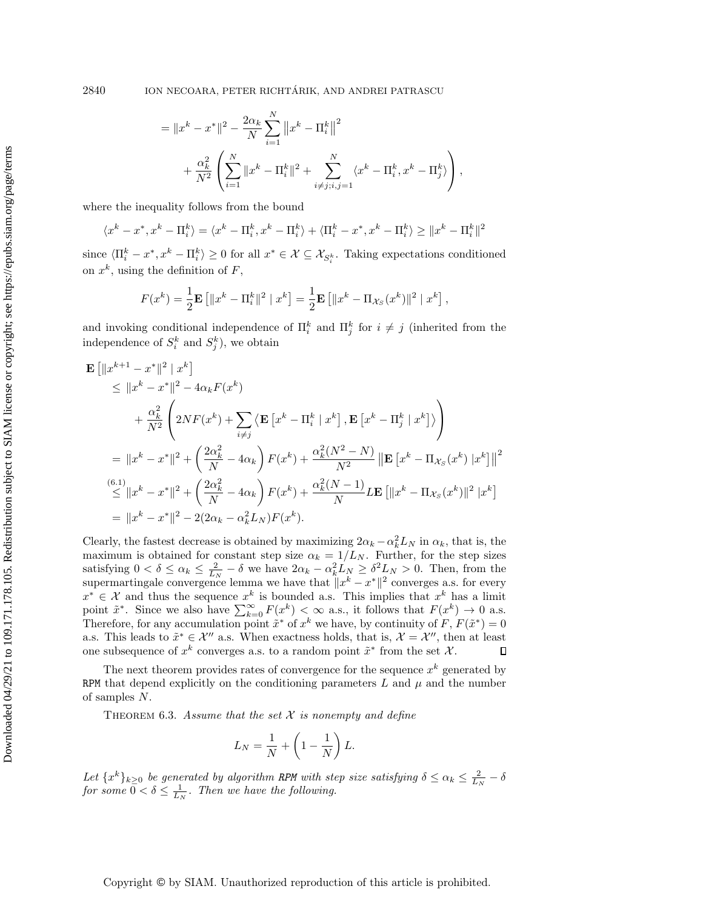$$
= \|x^{k} - x^{*}\|^{2} - \frac{2\alpha_{k}}{N} \sum_{i=1}^{N} \|x^{k} - \Pi_{i}^{k}\|^{2} + \frac{\alpha_{k}^{2}}{N^{2}} \left( \sum_{i=1}^{N} \|x^{k} - \Pi_{i}^{k}\|^{2} + \sum_{i \neq j; i, j=1}^{N} \langle x^{k} - \Pi_{i}^{k}, x^{k} - \Pi_{j}^{k} \rangle \right),
$$

where the inequality follows from the bound

$$
\langle x^k - x^*, x^k - \Pi_i^k \rangle = \langle x^k - \Pi_i^k, x^k - \Pi_i^k \rangle + \langle \Pi_i^k - x^*, x^k - \Pi_i^k \rangle \ge ||x^k - \Pi_i^k||^2
$$

since  $\langle \Pi_i^k - x^*, x^k - \Pi_i^k \rangle \ge 0$  for all  $x^* \in \mathcal{X} \subseteq \mathcal{X}_{S_i^k}$ . Taking expectations conditioned on  $x^k$ , using the definition of  $F$ ,

$$
F(x^{k}) = \frac{1}{2} \mathbf{E} [||x^{k} - \Pi_{i}^{k}||^{2} | x^{k}] = \frac{1}{2} \mathbf{E} [||x^{k} - \Pi_{\mathcal{X}_{S}}(x^{k})||^{2} | x^{k}],
$$

and invoking conditional independence of  $\prod_{i=1}^{k}$  and  $\prod_{j=1}^{k}$  for  $i \neq j$  (inherited from the independence of  $S_i^k$  and  $S_j^k$ ), we obtain

$$
\mathbf{E} \left[ \|x^{k+1} - x^*\|^2 \mid x^k \right] \n\leq \|x^k - x^*\|^2 - 4\alpha_k F(x^k) \n+ \frac{\alpha_k^2}{N^2} \left( 2NF(x^k) + \sum_{i \neq j} \left\langle \mathbf{E} \left[ x^k - \Pi_i^k \mid x^k \right], \mathbf{E} \left[ x^k - \Pi_j^k \mid x^k \right] \right\rangle \right) \n= \|x^k - x^*\|^2 + \left( \frac{2\alpha_k^2}{N} - 4\alpha_k \right) F(x^k) + \frac{\alpha_k^2 (N^2 - N)}{N^2} \left\| \mathbf{E} \left[ x^k - \Pi_{\mathcal{X}_S}(x^k) \mid x^k \right] \right\|^2 \n\leq \|x^k - x^*\|^2 + \left( \frac{2\alpha_k^2}{N} - 4\alpha_k \right) F(x^k) + \frac{\alpha_k^2 (N-1)}{N} L \mathbf{E} \left[ \|x^k - \Pi_{\mathcal{X}_S}(x^k) \|^2 \mid x^k \right] \n= \|x^k - x^*\|^2 - 2(2\alpha_k - \alpha_k^2 L_N) F(x^k).
$$

Clearly, the fastest decrease is obtained by maximizing  $2\alpha_k - \alpha_k^2 L_N$  in  $\alpha_k$ , that is, the maximum is obtained for constant step size  $\alpha_k = 1/L_N$ . Further, for the step sizes satisfying  $0 < \delta \le \alpha_k \le \frac{2}{L_N} - \delta$  we have  $2\alpha_k - \alpha_k^2 L_N \ge \delta^2 L_N > 0$ . Then, from the supermartingale convergence lemma we have that  $||x^k - x^*||^2$  converges a.s. for every  $x^* \in \mathcal{X}$  and thus the sequence  $x^k$  is bounded a.s. This implies that  $x^k$  has a limit point  $\tilde{x}^*$ . Since we also have  $\sum_{k=0}^{\infty} F(x^k) < \infty$  a.s., it follows that  $F(x^k) \to 0$  a.s. Therefore, for any accumulation point  $\tilde{x}^*$  of  $x^k$  we have, by continuity of F,  $F(\tilde{x}^*) = 0$ a.s. This leads to  $\tilde{x}^* \in \mathcal{X}''$  a.s. When exactness holds, that is,  $\mathcal{X} = \mathcal{X}''$ , then at least one subsequence of  $x^k$  converges a.s. to a random point  $\tilde{x}^*$  from the set X.  $\Box$ 

The next theorem provides rates of convergence for the sequence  $x^k$  generated by RPM that depend explicitly on the conditioning parameters  $L$  and  $\mu$  and the number of samples N.

<span id="page-26-0"></span>THEOREM 6.3. Assume that the set  $X$  is nonempty and define

$$
L_N = \frac{1}{N} + \left(1 - \frac{1}{N}\right)L.
$$

Let  $\{x^k\}_{k\geq 0}$  be generated by algorithm RPM with step size satisfying  $\delta \leq \alpha_k \leq \frac{2}{L_N} - \delta$ for some  $0 < \delta \leq \frac{1}{L_N}$ . Then we have the following.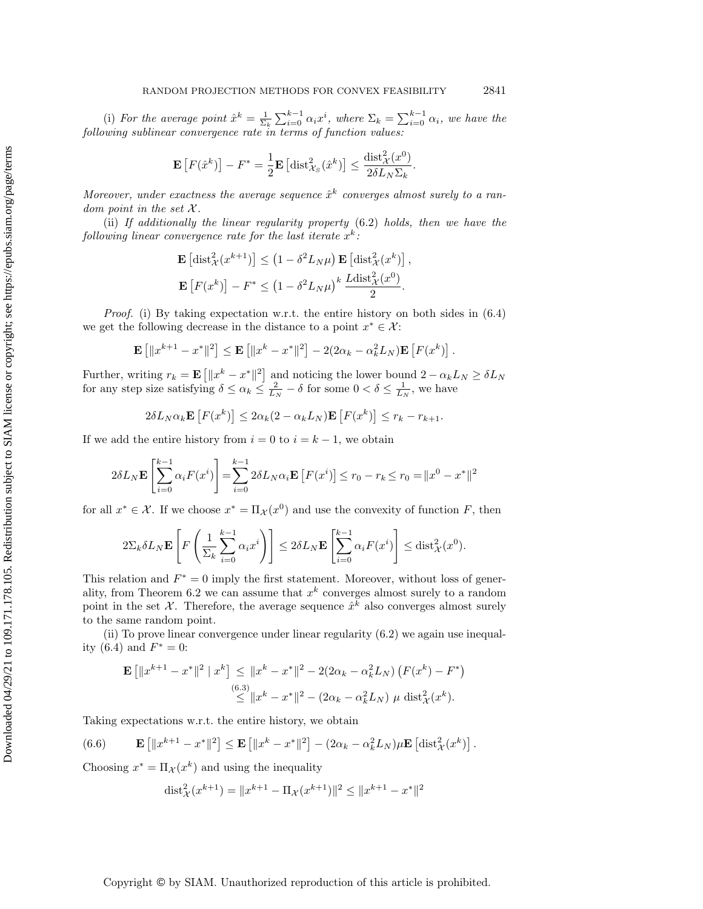(i) For the average point  $\hat{x}^k = \frac{1}{\Sigma_k} \sum_{i=0}^{k-1} \alpha_i x^i$ , where  $\Sigma_k = \sum_{i=0}^{k-1} \alpha_i$ , we have the following sublinear convergence rate in terms of function values:

$$
\mathbf{E}\left[F(\hat{x}^k)\right] - F^* = \frac{1}{2}\mathbf{E}\left[\mathrm{dist}_{\mathcal{X}_S}^2(\hat{x}^k)\right] \le \frac{\mathrm{dist}_{\mathcal{X}}^2(x^0)}{2\delta L_N \Sigma_k}.
$$

Moreover, under exactness the average sequence  $\hat{x}^k$  converges almost surely to a random point in the set  $\mathcal{X}$ .

(ii) If additionally the linear regularity property [\(6.2\)](#page-24-1) holds, then we have the following linear convergence rate for the last iterate  $x^k$ :

$$
\mathbf{E}\left[\text{dist}_{\mathcal{X}}^2(x^{k+1})\right] \leq \left(1 - \delta^2 L_N \mu\right) \mathbf{E}\left[\text{dist}_{\mathcal{X}}^2(x^k)\right],
$$
  

$$
\mathbf{E}\left[F(x^k)\right] - F^* \leq \left(1 - \delta^2 L_N \mu\right)^k \frac{L \text{dist}_{\mathcal{X}}^2(x^0)}{2}.
$$

*Proof.* (i) By taking expectation w.r.t. the entire history on both sides in  $(6.4)$ we get the following decrease in the distance to a point  $x^* \in \mathcal{X}$ :

$$
\mathbf{E}\left[\|x^{k+1}-x^*\|^2\right] \leq \mathbf{E}\left[\|x^k-x^*\|^2\right] - 2(2\alpha_k - \alpha_k^2 L_N)\mathbf{E}\left[F(x^k)\right].
$$

Further, writing  $r_k = \mathbf{E}\left[\|x^k - x^*\|^2\right]$  and noticing the lower bound  $2 - \alpha_k L_N \ge \delta L_N$ for any step size satisfying  $\delta \leq \alpha_k \leq \frac{2}{L_N} - \delta$  for some  $0 < \delta \leq \frac{1}{L_N}$ , we have

$$
2\delta L_N \alpha_k \mathbf{E}\left[F(x^k)\right] \leq 2\alpha_k (2 - \alpha_k L_N) \mathbf{E}\left[F(x^k)\right] \leq r_k - r_{k+1}.
$$

If we add the entire history from  $i = 0$  to  $i = k - 1$ , we obtain

$$
2\delta L_N \mathbf{E} \left[ \sum_{i=0}^{k-1} \alpha_i F(x^i) \right] = \sum_{i=0}^{k-1} 2\delta L_N \alpha_i \mathbf{E} \left[ F(x^i) \right] \le r_0 - r_k \le r_0 = ||x^0 - x^*||^2
$$

for all  $x^* \in \mathcal{X}$ . If we choose  $x^* = \Pi_{\mathcal{X}}(x^0)$  and use the convexity of function F, then

$$
2\Sigma_k \delta L_N \mathbf{E} \left[ F \left( \frac{1}{\Sigma_k} \sum_{i=0}^{k-1} \alpha_i x^i \right) \right] \leq 2\delta L_N \mathbf{E} \left[ \sum_{i=0}^{k-1} \alpha_i F(x^i) \right] \leq \text{dist}_{\mathcal{X}}^2(x^0).
$$

This relation and  $F^* = 0$  imply the first statement. Moreover, without loss of gener-ality, from Theorem [6.2](#page-25-2) we can assume that  $x^k$  converges almost surely to a random point in the set X. Therefore, the average sequence  $\hat{x}^k$  also converges almost surely to the same random point.

(ii) To prove linear convergence under linear regularity [\(6.2\)](#page-24-1) we again use inequal-ity [\(6.4\)](#page-25-1) and  $F^* = 0$ :

$$
\mathbf{E} \left[ \|x^{k+1} - x^*\|^2 \mid x^k \right] \le \|x^k - x^*\|^2 - 2(2\alpha_k - \alpha_k^2 L_N) \left( F(x^k) - F^* \right)
$$
  

$$
\le (6.3) |x^k - x^*|^2 - (2\alpha_k - \alpha_k^2 L_N) \mu \text{ dist}_{\mathcal{X}}^2(x^k).
$$

Taking expectations w.r.t. the entire history, we obtain

<span id="page-27-0"></span>(6.6) 
$$
\mathbf{E}\left[\|x^{k+1}-x^*\|^2\right] \leq \mathbf{E}\left[\|x^k-x^*\|^2\right] - (2\alpha_k - \alpha_k^2 L_N)\mu \mathbf{E}\left[\mathrm{dist}^2_{\mathcal{X}}(x^k)\right].
$$

Choosing  $x^* = \Pi_{\mathcal{X}}(x^k)$  and using the inequality

$$
\text{dist}_{\mathcal{X}}^2(x^{k+1}) = \|x^{k+1} - \Pi_{\mathcal{X}}(x^{k+1})\|^2 \le \|x^{k+1} - x^*\|^2
$$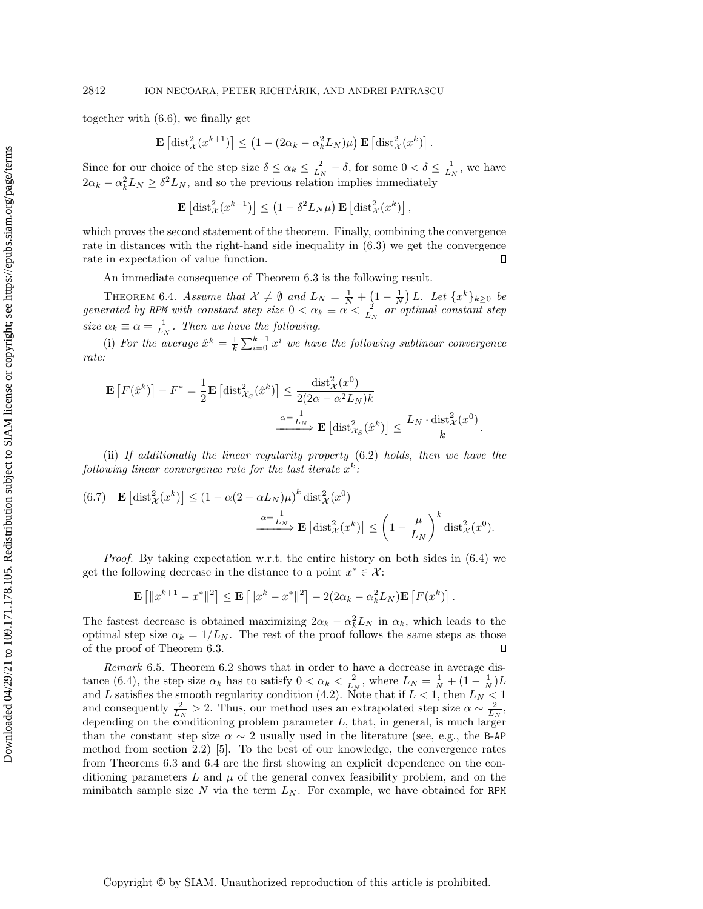together with [\(6.6\)](#page-27-0), we finally get

$$
\mathbf{E}\left[\mathrm{dist}_{\mathcal{X}}^2(x^{k+1})\right] \le \left(1 - (2\alpha_k - \alpha_k^2 L_N)\mu\right) \mathbf{E}\left[\mathrm{dist}_{\mathcal{X}}^2(x^k)\right].
$$

Since for our choice of the step size  $\delta \leq \alpha_k \leq \frac{2}{L_N} - \delta$ , for some  $0 < \delta \leq \frac{1}{L_N}$ , we have  $2\alpha_k - \alpha_k^2 L_N \ge \delta^2 L_N$ , and so the previous relation implies immediately

$$
\mathbf{E}\left[\mathrm{dist}_{\mathcal{X}}^2(x^{k+1})\right] \leq \left(1 - \delta^2 L_N \mu\right) \mathbf{E}\left[\mathrm{dist}_{\mathcal{X}}^2(x^k)\right],
$$

which proves the second statement of the theorem. Finally, combining the convergence rate in distances with the right-hand side inequality in [\(6.3\)](#page-25-0) we get the convergence rate in expectation of value function.  $\Box$ 

An immediate consequence of Theorem [6.3](#page-26-0) is the following result.

<span id="page-28-0"></span>THEOREM 6.4. Assume that  $\mathcal{X} \neq \emptyset$  and  $L_N = \frac{1}{N} + \left(1 - \frac{1}{N}\right)L$ . Let  $\{x^k\}_{k \geq 0}$  be generated by RPM with constant step size  $0 < \alpha_k \equiv \alpha < \frac{2}{L_N}$  or optimal constant step size  $\alpha_k \equiv \alpha = \frac{1}{L_N}$ . Then we have the following.

(i) For the average  $\hat{x}^k = \frac{1}{k} \sum_{i=0}^{k-1} x^i$  we have the following sublinear convergence rate:

$$
\mathbf{E}\left[F(\hat{x}^k)\right] - F^* = \frac{1}{2}\mathbf{E}\left[\text{dist}_{\mathcal{X}_S}^2(\hat{x}^k)\right] \le \frac{\text{dist}_{\mathcal{X}}^2(x^0)}{2(2\alpha - \alpha^2 L_N)k}
$$

$$
\xrightarrow{\alpha = \frac{1}{L_N}} \mathbf{E}\left[\text{dist}_{\mathcal{X}_S}^2(\hat{x}^k)\right] \le \frac{L_N \cdot \text{dist}_{\mathcal{X}}^2(x^0)}{k}.
$$

(ii) If additionally the linear regularity property [\(6.2\)](#page-24-1) holds, then we have the following linear convergence rate for the last iterate  $x^k$ :

<span id="page-28-1"></span>(6.7) 
$$
\mathbf{E}\left[\text{dist}_{\mathcal{X}}^{2}(x^{k})\right] \leq (1 - \alpha(2 - \alpha L_{N})\mu)^{k} \text{dist}_{\mathcal{X}}^{2}(x^{0})
$$

$$
\xrightarrow{\alpha = \frac{1}{L_{N}}}\mathbf{E}\left[\text{dist}_{\mathcal{X}}^{2}(x^{k})\right] \leq \left(1 - \frac{\mu}{L_{N}}\right)^{k} \text{dist}_{\mathcal{X}}^{2}(x^{0}).
$$

*Proof.* By taking expectation w.r.t. the entire history on both sides in  $(6.4)$  we get the following decrease in the distance to a point  $x^* \in \mathcal{X}$ :

$$
\mathbf{E}\left[\|x^{k+1} - x^*\|^2\right] \le \mathbf{E}\left[\|x^k - x^*\|^2\right] - 2(2\alpha_k - \alpha_k^2 L_N)\mathbf{E}\left[F(x^k)\right].
$$

The fastest decrease is obtained maximizing  $2\alpha_k - \alpha_k^2 L_N$  in  $\alpha_k$ , which leads to the optimal step size  $\alpha_k = 1/L_N$ . The rest of the proof follows the same steps as those of the proof of Theorem [6.3.](#page-26-0)  $\Box$ 

<span id="page-28-2"></span>Remark 6.5. Theorem [6.2](#page-25-2) shows that in order to have a decrease in average dis-tance [\(6.4\)](#page-25-1), the step size  $\alpha_k$  has to satisfy  $0 < \alpha_k < \frac{2}{L_N}$ , where  $L_N = \frac{1}{N} + (1 - \frac{1}{N})L$ and L satisfies the smooth regularity condition [\(4.2\)](#page-11-2). Note that if  $L < 1$ , then  $L<sub>N</sub> < 1$ and consequently  $\frac{2}{L_N} > 2$ . Thus, our method uses an extrapolated step size  $\alpha \sim \frac{2}{L_N}$ , depending on the conditioning problem parameter  $L$ , that, in general, is much larger than the constant step size  $\alpha \sim 2$  usually used in the literature (see, e.g., the B-AP method from section 2.2) [\[5\]](#page-37-17). To the best of our knowledge, the convergence rates from Theorems [6.3](#page-26-0) and [6.4](#page-28-0) are the first showing an explicit dependence on the conditioning parameters  $L$  and  $\mu$  of the general convex feasibility problem, and on the minibatch sample size N via the term  $L_N$ . For example, we have obtained for RPM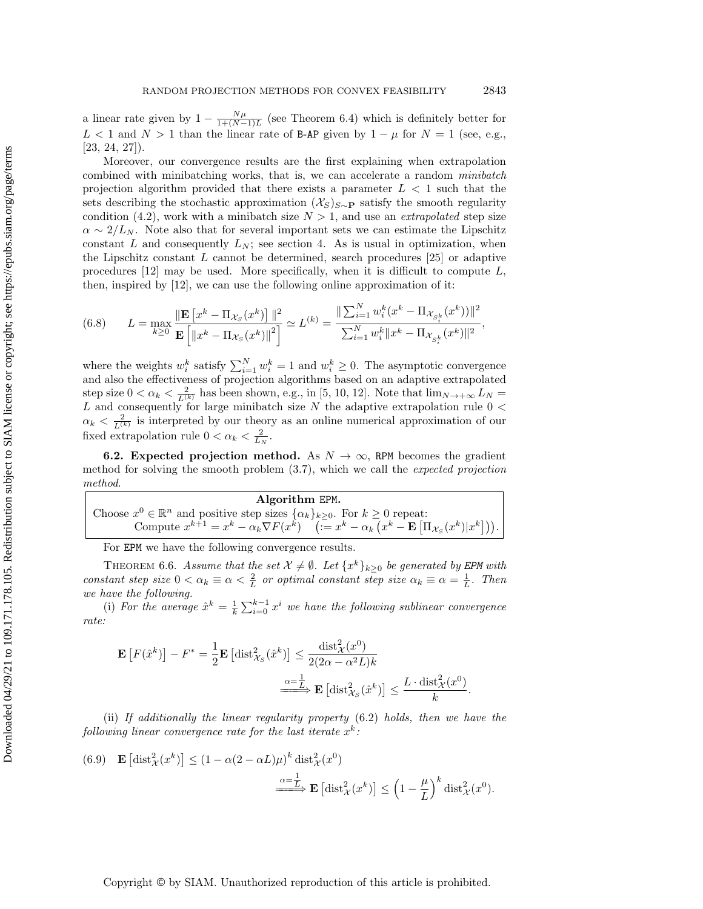a linear rate given by  $1 - \frac{N\mu}{1 + (N-1)L}$  (see Theorem [6.4\)](#page-28-0) which is definitely better for L < 1 and N > 1 than the linear rate of B-AP given by  $1 - \mu$  for  $N = 1$  (see, e.g., [\[23,](#page-37-13) [24,](#page-37-16) [27\]](#page-37-18)).

Moreover, our convergence results are the first explaining when extrapolation combined with minibatching works, that is, we can accelerate a random minibatch projection algorithm provided that there exists a parameter  $L < 1$  such that the sets describing the stochastic approximation  $(X_S)_{S\sim P}$  satisfy the smooth regularity condition [\(4.2\)](#page-11-2), work with a minibatch size  $N > 1$ , and use an *extrapolated* step size  $\alpha \sim 2/L_N$ . Note also that for several important sets we can estimate the Lipschitz constant L and consequently  $L_N$ ; see section [4.](#page-11-0) As is usual in optimization, when the Lipschitz constant  $L$  cannot be determined, search procedures [\[25\]](#page-37-22) or adaptive procedures  $[12]$  may be used. More specifically, when it is difficult to compute  $L$ , then, inspired by [\[12\]](#page-37-10), we can use the following online approximation of it:

(6.8) 
$$
L = \max_{k \geq 0} \frac{\|\mathbf{E}\left[x^k - \Pi_{\mathcal{X}_S}(x^k)\right]\|^2}{\mathbf{E}\left[\left\|x^k - \Pi_{\mathcal{X}_S}(x^k)\right\|^2\right]} \simeq L^{(k)} = \frac{\|\sum_{i=1}^N w_i^k (x^k - \Pi_{\mathcal{X}_{S_i^k}}(x^k))\|^2}{\sum_{i=1}^N w_i^k \|x^k - \Pi_{\mathcal{X}_{S_i^k}}(x^k)\|^2},
$$

where the weights  $w_i^k$  satisfy  $\sum_{i=1}^N w_i^k = 1$  and  $w_i^k \geq 0$ . The asymptotic convergence and also the effectiveness of projection algorithms based on an adaptive extrapolated step size  $0 < \alpha_k < \frac{2}{L^{(k)}}$  has been shown, e.g., in [\[5,](#page-37-17) [10,](#page-37-14) [12\]](#page-37-10). Note that  $\lim_{N \to +\infty} L_N =$  $L$  and consequently for large minibatch size  $N$  the adaptive extrapolation rule  $0 <$  $\alpha_k < \frac{2}{L^{(k)}}$  is interpreted by our theory as an online numerical approximation of our fixed extrapolation rule  $0 < \alpha_k < \frac{2}{L_N}$ .

**6.2.** Expected projection method. As  $N \to \infty$ , RPM becomes the gradient method for solving the smooth problem [\(3.7\)](#page-8-3), which we call the expected projection method.

Algorithm EPM. Choose  $x^0 \in \mathbb{R}^n$  and positive step sizes  $\{\alpha_k\}_{k \geq 0}$ . For  $k \geq 0$  repeat: Compute  $x^{k+1} = x^k - \alpha_k \nabla F(x^k)$   $\left( = x^k - \alpha_k \left( x^k - \mathbf{E} \left[ \Pi_{\mathcal{X}_S}(x^k) | x^k \right] \right) \right).$ 

For EPM we have the following convergence results.

<span id="page-29-0"></span>THEOREM 6.6. Assume that the set  $\mathcal{X} \neq \emptyset$ . Let  $\{x^k\}_{k \geq 0}$  be generated by EPM with constant step size  $0 < \alpha_k \equiv \alpha < \frac{2}{L}$  or optimal constant step size  $\alpha_k \equiv \alpha = \frac{1}{L}$ . Then we have the following.

(i) For the average  $\hat{x}^k = \frac{1}{k} \sum_{i=0}^{k-1} x^i$  we have the following sublinear convergence rate:

$$
\mathbf{E}\left[F(\hat{x}^k)\right] - F^* = \frac{1}{2}\mathbf{E}\left[\text{dist}_{\mathcal{X}_S}^2(\hat{x}^k)\right] \le \frac{\text{dist}_{\mathcal{X}}^2(x^0)}{2(2\alpha - \alpha^2 L)k}
$$

$$
\xrightarrow{\alpha = \frac{1}{L}} \mathbf{E}\left[\text{dist}_{\mathcal{X}_S}^2(\hat{x}^k)\right] \le \frac{L \cdot \text{dist}_{\mathcal{X}}^2(x^0)}{k}.
$$

(ii) If additionally the linear regularity property [\(6.2\)](#page-24-1) holds, then we have the following linear convergence rate for the last iterate  $x^k$ :

<span id="page-29-1"></span>(6.9) 
$$
\mathbf{E}\left[\text{dist}_{\mathcal{X}}^2(x^k)\right] \leq (1 - \alpha(2 - \alpha L)\mu)^k \text{dist}_{\mathcal{X}}^2(x^0)
$$

$$
\xrightarrow{\alpha = \frac{1}{L}} \mathbf{E}\left[\text{dist}_{\mathcal{X}}^2(x^k)\right] \leq \left(1 - \frac{\mu}{L}\right)^k \text{dist}_{\mathcal{X}}^2(x^0).
$$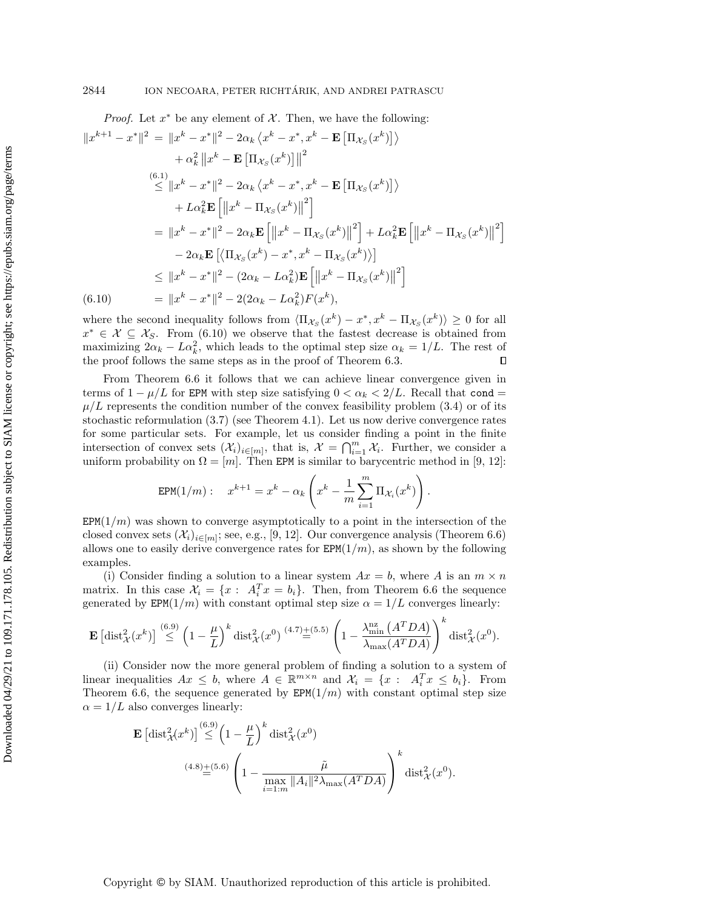*Proof.* Let  $x^*$  be any element of  $\mathcal X$ . Then, we have the following:

$$
||x^{k+1} - x^*||^2 = ||x^k - x^*||^2 - 2\alpha_k \langle x^k - x^*, x^k - \mathbf{E} [\Pi_{\mathcal{X}_S}(x^k)] \rangle
$$
  
+  $\alpha_k^2 ||x^k - \mathbf{E} [\Pi_{\mathcal{X}_S}(x^k)] ||^2$   

$$
\leq ||x^k - x^*||^2 - 2\alpha_k \langle x^k - x^*, x^k - \mathbf{E} [\Pi_{\mathcal{X}_S}(x^k)] \rangle
$$
  
+  $L\alpha_k^2 \mathbf{E} [||x^k - \Pi_{\mathcal{X}_S}(x^k)||^2]$   
=  $||x^k - x^*||^2 - 2\alpha_k \mathbf{E} [||x^k - \Pi_{\mathcal{X}_S}(x^k)||^2] + L\alpha_k^2 \mathbf{E} [||x^k - \Pi_{\mathcal{X}_S}(x^k)||^2]$   
-  $2\alpha_k \mathbf{E} [\langle \Pi_{\mathcal{X}_S}(x^k) - x^*, x^k - \Pi_{\mathcal{X}_S}(x^k) \rangle]$   

$$
\leq ||x^k - x^*||^2 - (2\alpha_k - L\alpha_k^2) \mathbf{E} [||x^k - \Pi_{\mathcal{X}_S}(x^k)||^2]
$$
  
(6.10) =  $||x^k - x^*||^2 - 2(2\alpha_k - L\alpha_k^2)F(x^k),$ 

<span id="page-30-0"></span>where the second inequality follows from  $\langle \Pi_{\mathcal{X}_S}(x^k) - x^*, x^k - \Pi_{\mathcal{X}_S}(x^k) \rangle \ge 0$  for all  $x^* \in \mathcal{X} \subseteq \mathcal{X}_S$ . From [\(6.10\)](#page-30-0) we observe that the fastest decrease is obtained from maximizing  $2\alpha_k - L\alpha_k^2$ , which leads to the optimal step size  $\alpha_k = 1/L$ . The rest of the proof follows the same steps as in the proof of Theorem [6.3.](#page-26-0)  $\Box$ 

From Theorem [6.6](#page-29-0) it follows that we can achieve linear convergence given in terms of  $1 - \mu/L$  for EPM with step size satisfying  $0 < \alpha_k < 2/L$ . Recall that cond =  $\mu/L$  represents the condition number of the convex feasibility problem [\(3.4\)](#page-8-2) or of its stochastic reformulation [\(3.7\)](#page-8-3) (see Theorem [4.1\)](#page-12-0). Let us now derive convergence rates for some particular sets. For example, let us consider finding a point in the finite intersection of convex sets  $(\mathcal{X}_i)_{i\in[m]}$ , that is,  $\mathcal{X} = \bigcap_{i=1}^m \mathcal{X}_i$ . Further, we consider a uniform probability on  $\Omega = [m]$ . Then EPM is similar to barycentric method in [\[9,](#page-37-15) [12\]](#page-37-10):

$$
\text{EPM}(1/m): \quad x^{k+1} = x^k - \alpha_k \left( x^k - \frac{1}{m} \sum_{i=1}^m \Pi_{\mathcal{X}_i}(x^k) \right).
$$

 $EPM(1/m)$  was shown to converge asymptotically to a point in the intersection of the closed convex sets  $(\mathcal{X}_i)_{i \in [m]}$ ; see, e.g., [\[9,](#page-37-15) [12\]](#page-37-10). Our convergence analysis (Theorem [6.6\)](#page-29-0) allows one to easily derive convergence rates for  $EPM(1/m)$ , as shown by the following examples.

(i) Consider finding a solution to a linear system  $Ax = b$ , where A is an  $m \times n$ matrix. In this case  $\mathcal{X}_i = \{x : A_i^T x = b_i\}$ . Then, from Theorem [6.6](#page-29-0) the sequence generated by EPM(1/m) with constant optimal step size  $\alpha = 1/L$  converges linearly:

$$
\mathbf{E}\left[\text{dist}_{\mathcal{X}}^2(x^k)\right] \stackrel{(6.9)}{\leq} \left(1-\frac{\mu}{L}\right)^k \text{dist}_{\mathcal{X}}^2(x^0) \stackrel{(4.7)\pm(5.5)}{=} \left(1-\frac{\lambda_{\min}^{\text{nz}}\left(A^TDA\right)}{\lambda_{\max}(A^TDA)}\right)^k \text{dist}_{\mathcal{X}}^2(x^0).
$$

(ii) Consider now the more general problem of finding a solution to a system of linear inequalities  $Ax \leq b$ , where  $A \in \mathbb{R}^{m \times n}$  and  $\mathcal{X}_i = \{x : A_i^T x \leq b_i\}$ . From Theorem [6.6,](#page-29-0) the sequence generated by  $EPM(1/m)$  with constant optimal step size  $\alpha = 1/L$  also converges linearly:

$$
\mathbf{E} \left[ \text{dist}_{\mathcal{X}}^2(x^k) \right] \stackrel{(6.9)}{\leq} \left( 1 - \frac{\mu}{L} \right)^k \text{dist}_{\mathcal{X}}^2(x^0)
$$
\n
$$
\xrightarrow{(4.8) \pm (5.6)} \left( 1 - \frac{\tilde{\mu}}{\max_{i=1:m} \|A_i\|^2 \lambda_{\max}(A^T DA)} \right)^k \text{dist}_{\mathcal{X}}^2(x^0).
$$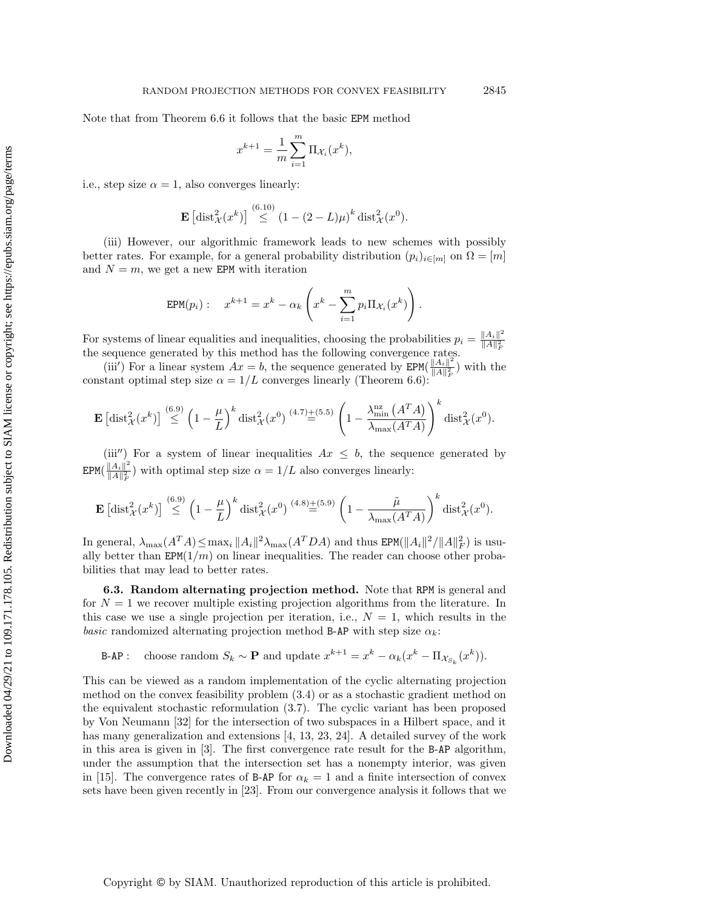Note that from Theorem [6.6](#page-29-0) it follows that the basic EPM method

$$
x^{k+1} = \frac{1}{m} \sum_{i=1}^{m} \Pi_{\mathcal{X}_i}(x^k),
$$

i.e., step size  $\alpha = 1$ , also converges linearly:

$$
\mathbf{E}\left[\mathrm{dist}_{\mathcal{X}}^2(x^k)\right] \stackrel{(6.10)}{\leq} (1-(2-L)\mu)^k \mathrm{dist}_{\mathcal{X}}^2(x^0).
$$

(iii) However, our algorithmic framework leads to new schemes with possibly better rates. For example, for a general probability distribution  $(p_i)_{i \in [m]}$  on  $\Omega = [m]$ and  $N = m$ , we get a new EPM with iteration

$$
EPM(p_i): \quad x^{k+1} = x^k - \alpha_k \left( x^k - \sum_{i=1}^m p_i \Pi_{\mathcal{X}_i}(x^k) \right).
$$

For systems of linear equalities and inequalities, choosing the probabilities  $p_i = \frac{\|A_i\|^2}{\|A\|^2}$  $\overline{\|A\|_F^2}$ the sequence generated by this method has the following convergence rates.

(iii) For a linear system  $Ax = b$ , the sequence generated by EPM( $\frac{||A_i||^2}{||A||^2}$  $\frac{\|A_i\|^{-}}{\|A\|_F^2}$ ) with the constant optimal step size  $\alpha = 1/L$  converges linearly (Theorem [6.6\)](#page-29-0):

$$
\mathbf{E}\left[\text{dist}_{\mathcal{X}}^2(x^k)\right] \stackrel{(6.9)}{\leq} \left(1-\frac{\mu}{L}\right)^k \text{dist}_{\mathcal{X}}^2(x^0) \stackrel{(4.7)\pm(5.5)}{=} \left(1-\frac{\lambda_{\min}^{\text{nz}}\left(A^T A\right)}{\lambda_{\max}(A^T A)}\right)^k \text{dist}_{\mathcal{X}}^2(x^0).
$$

(iii'') For a system of linear inequalities  $Ax \leq b$ , the sequence generated by  $EPM(\frac{||A_i||^2}{||A||^2})$  $\frac{\|A_i\|}{\|A\|_F^2}$  with optimal step size  $\alpha = 1/L$  also converges linearly:

$$
\mathbf{E}\left[\mathrm{dist}_{\mathcal{X}}^2(x^k)\right] \stackrel{(6.9)}{\leq} \left(1-\frac{\mu}{L}\right)^k \mathrm{dist}_{\mathcal{X}}^2(x^0) \stackrel{(4.8)+(5.9)}{=} \left(1-\frac{\tilde{\mu}}{\lambda_{\max}(A^T A)}\right)^k \mathrm{dist}_{\mathcal{X}}^2(x^0).
$$

In general,  $\lambda_{\max}(A^T A) \le \max_i \|A_i\|^2 \lambda_{\max}(A^T D A)$  and thus  $\text{EPM}(\|A_i\|^2 / \|A\|_F^2)$  is usually better than  $EPM(1/m)$  on linear inequalities. The reader can choose other probabilities that may lead to better rates.

<span id="page-31-0"></span>6.3. Random alternating projection method. Note that RPM is general and for  $N = 1$  we recover multiple existing projection algorithms from the literature. In this case we use a single projection per iteration, i.e.,  $N = 1$ , which results in the basic randomized alternating projection method B-AP with step size  $\alpha_k$ :

B-AP: choose random  $S_k \sim \mathbf{P}$  and update  $x^{k+1} = x^k - \alpha_k (x^k - \Pi_{\mathcal{X}_{S_k}}(x^k)).$ 

This can be viewed as a random implementation of the cyclic alternating projection method on the convex feasibility problem [\(3.4\)](#page-8-2) or as a stochastic gradient method on the equivalent stochastic reformulation [\(3.7\)](#page-8-3). The cyclic variant has been proposed by Von Neumann [\[32\]](#page-38-2) for the intersection of two subspaces in a Hilbert space, and it has many generalization and extensions [\[4,](#page-37-11) [13,](#page-37-21) [23,](#page-37-13) [24\]](#page-37-16). A detailed survey of the work in this area is given in [\[3\]](#page-36-0). The first convergence rate result for the B-AP algorithm, under the assumption that the intersection set has a nonempty interior, was given in [\[15\]](#page-37-19). The convergence rates of B-AP for  $\alpha_k = 1$  and a finite intersection of convex sets have been given recently in [\[23\]](#page-37-13). From our convergence analysis it follows that we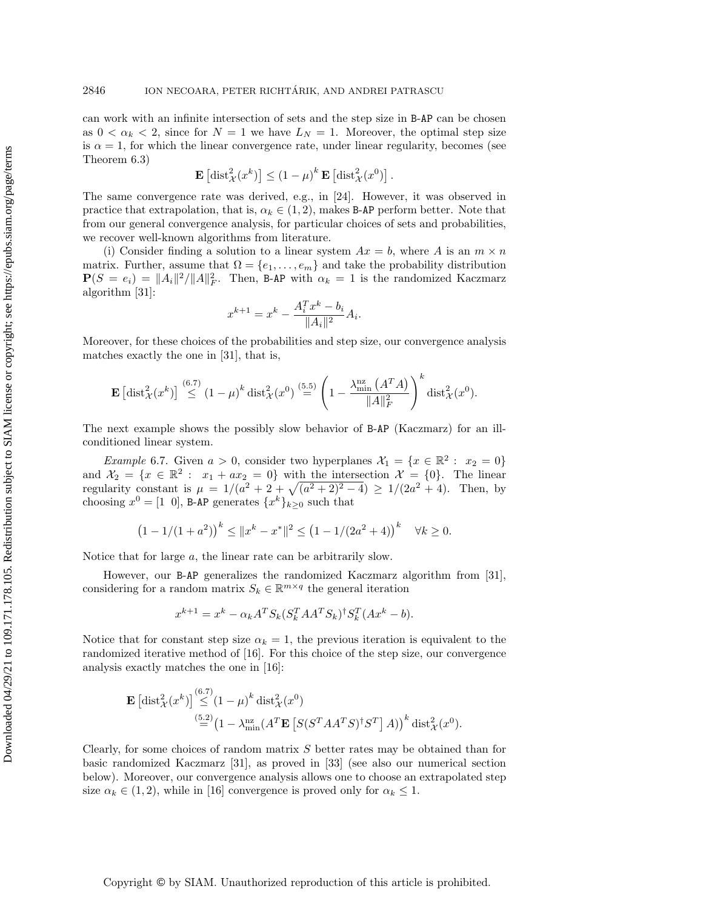can work with an infinite intersection of sets and the step size in B-AP can be chosen as  $0 < \alpha_k < 2$ , since for  $N = 1$  we have  $L_N = 1$ . Moreover, the optimal step size is  $\alpha = 1$ , for which the linear convergence rate, under linear regularity, becomes (see Theorem [6.3\)](#page-26-0)

$$
\mathbf{E}\left[\mathrm{dist}_{\mathcal{X}}^{2}(x^{k})\right] \leq \left(1-\mu\right)^{k} \mathbf{E}\left[\mathrm{dist}_{\mathcal{X}}^{2}(x^{0})\right].
$$

The same convergence rate was derived, e.g., in [\[24\]](#page-37-16). However, it was observed in practice that extrapolation, that is,  $\alpha_k \in (1, 2)$ , makes B-AP perform better. Note that from our general convergence analysis, for particular choices of sets and probabilities, we recover well-known algorithms from literature.

(i) Consider finding a solution to a linear system  $Ax = b$ , where A is an  $m \times n$ matrix. Further, assume that  $\Omega = \{e_1, \ldots, e_m\}$  and take the probability distribution  $P(S = e_i) = ||A_i||^2/||A||_F^2$ . Then, B-AP with  $\alpha_k = 1$  is the randomized Kaczmarz algorithm [\[31\]](#page-38-3):

$$
x^{k+1} = x^k - \frac{A_i^T x^k - b_i}{\|A_i\|^2} A_i.
$$

Moreover, for these choices of the probabilities and step size, our convergence analysis matches exactly the one in [\[31\]](#page-38-3), that is,

$$
\mathbf{E}\left[\mathrm{dist}_{\mathcal{X}}^2(x^k)\right] \stackrel{(6.7)}{\leq} (1-\mu)^k \mathrm{dist}_{\mathcal{X}}^2(x^0) \stackrel{(5.5)}{=} \left(1 - \frac{\lambda_{\min}^{\mathrm{nz}}\left(A^T A\right)}{\|A\|_F^2}\right)^k \mathrm{dist}_{\mathcal{X}}^2(x^0).
$$

The next example shows the possibly slow behavior of B-AP (Kaczmarz) for an illconditioned linear system.

*Example* 6.7. Given  $a > 0$ , consider two hyperplanes  $\mathcal{X}_1 = \{x \in \mathbb{R}^2 : x_2 = 0\}$ and  $\mathcal{X}_2 = \{x \in \mathbb{R}^2 : x_1 + ax_2 = 0\}$  with the intersection  $\mathcal{X} = \{0\}$ . The linear regularity constant is  $\mu = 1/(a^2 + 2 + \sqrt{(a^2 + 2)^2 - 4}) \ge 1/(2a^2 + 4)$ . Then, by choosing  $x^0 = [1 \ 0]$ , B-AP generates  $\{x^k\}_{k \geq 0}$  such that

$$
(1 - 1/(1 + a2))k \le ||xk - x*||2 \le (1 - 1/(2a2 + 4))k \quad \forall k \ge 0.
$$

Notice that for large a, the linear rate can be arbitrarily slow.

However, our B-AP generalizes the randomized Kaczmarz algorithm from [\[31\]](#page-38-3), considering for a random matrix  $S_k \in \mathbb{R}^{m \times q}$  the general iteration

$$
x^{k+1} = x^k - \alpha_k A^T S_k (S_k^T A A^T S_k)^{\dagger} S_k^T (A x^k - b).
$$

Notice that for constant step size  $\alpha_k = 1$ , the previous iteration is equivalent to the randomized iterative method of [\[16\]](#page-37-12). For this choice of the step size, our convergence analysis exactly matches the one in [\[16\]](#page-37-12):

$$
\mathbf{E} \left[ \text{dist}_{\mathcal{X}}^2(x^k) \right] \stackrel{(6.7)}{\leq} (1 - \mu)^k \text{dist}_{\mathcal{X}}^2(x^0)
$$
  

$$
\stackrel{(5.2)}{=} \left( 1 - \lambda_{\min}^{\text{nz}} (A^T \mathbf{E} \left[ S(S^T A A^T S)^{\dagger} S^T \right] A) \right)^k \text{dist}_{\mathcal{X}}^2(x^0).
$$

Clearly, for some choices of random matrix S better rates may be obtained than for basic randomized Kaczmarz [\[31\]](#page-38-3), as proved in [\[33\]](#page-38-1) (see also our numerical section below). Moreover, our convergence analysis allows one to choose an extrapolated step size  $\alpha_k \in (1, 2)$ , while in [\[16\]](#page-37-12) convergence is proved only for  $\alpha_k \leq 1$ .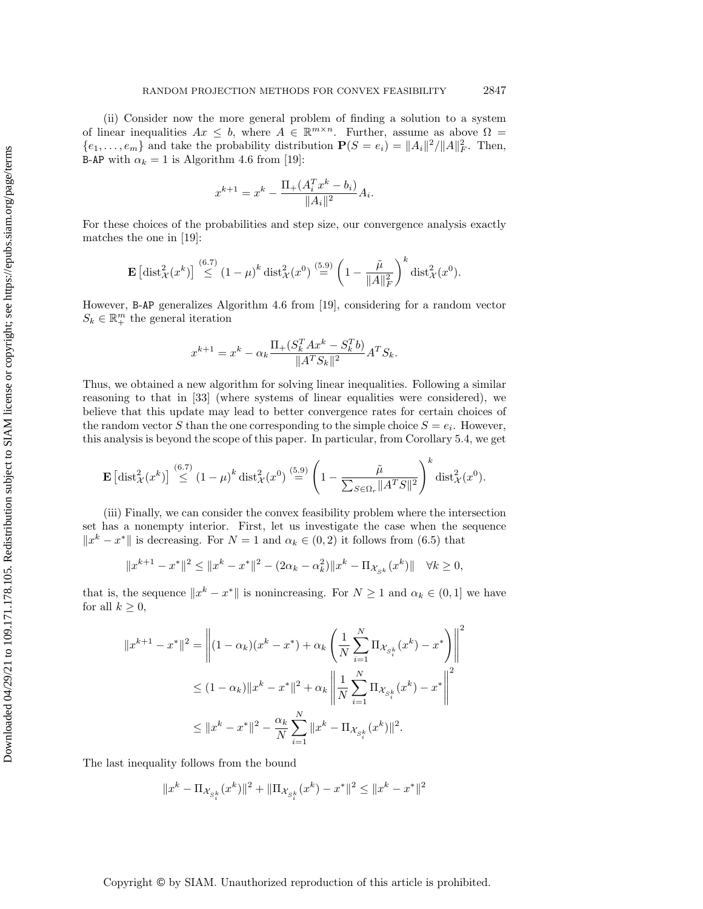(ii) Consider now the more general problem of finding a solution to a system of linear inequalities  $Ax \leq b$ , where  $A \in \mathbb{R}^{m \times n}$ . Further, assume as above  $\Omega =$  $\{e_1, \ldots, e_m\}$  and take the probability distribution  $\mathbf{P}(S = e_i) = ||A_i||^2 / ||A||_F^2$ . Then, **B-AP** with  $\alpha_k = 1$  is Algorithm 4.6 from [\[19\]](#page-37-25):

$$
x^{k+1} = x^k - \frac{\Pi_+(A_i^T x^k - b_i)}{\|A_i\|^2} A_i.
$$

For these choices of the probabilities and step size, our convergence analysis exactly matches the one in [\[19\]](#page-37-25):

$$
\mathbf{E}\left[\mathrm{dist}_{\mathcal{X}}^2(x^k)\right] \stackrel{(6.7)}{\leq} (1-\mu)^k \mathrm{dist}_{\mathcal{X}}^2(x^0) \stackrel{(5.9)}{=} \left(1 - \frac{\tilde{\mu}}{\|A\|_F^2}\right)^k \mathrm{dist}_{\mathcal{X}}^2(x^0).
$$

However, B-AP generalizes Algorithm 4.6 from [\[19\]](#page-37-25), considering for a random vector  $S_k \in \mathbb{R}^m_+$  the general iteration

$$
x^{k+1} = x^k - \alpha_k \frac{\Pi_+(S_k^T A x^k - S_k^T b)}{\|A^T S_k\|^2} A^T S_k.
$$

Thus, we obtained a new algorithm for solving linear inequalities. Following a similar reasoning to that in [\[33\]](#page-38-1) (where systems of linear equalities were considered), we believe that this update may lead to better convergence rates for certain choices of the random vector S than the one corresponding to the simple choice  $S = e_i$ . However, this analysis is beyond the scope of this paper. In particular, from Corollary [5.4,](#page-21-4) we get

$$
\mathbf{E}\left[\mathrm{dist}_{\mathcal{X}}^{2}(x^{k})\right] \stackrel{(6.7)}{\leq} (1-\mu)^{k} \mathrm{dist}_{\mathcal{X}}^{2}(x^{0}) \stackrel{(5.9)}{=} \left(1-\frac{\tilde{\mu}}{\sum_{S \in \Omega_{r}} \|A^{T}S\|^{2}}\right)^{k} \mathrm{dist}_{\mathcal{X}}^{2}(x^{0}).
$$

(iii) Finally, we can consider the convex feasibility problem where the intersection set has a nonempty interior. First, let us investigate the case when the sequence  $||x^k - x^*||$  is decreasing. For  $N = 1$  and  $\alpha_k \in (0, 2)$  it follows from [\(6.5\)](#page-25-3) that

$$
||x^{k+1} - x^*||^2 \le ||x^k - x^*||^2 - (2\alpha_k - \alpha_k^2)||x^k - \Pi_{\mathcal{X}_{S^k}}(x^k)|| \quad \forall k \ge 0,
$$

that is, the sequence  $||x^k - x^*||$  is nonincreasing. For  $N \geq 1$  and  $\alpha_k \in (0, 1]$  we have for all  $k \geq 0$ ,

$$
||x^{k+1} - x^*||^2 = \left\| (1 - \alpha_k)(x^k - x^*) + \alpha_k \left( \frac{1}{N} \sum_{i=1}^N \Pi_{\mathcal{X}_{S_i^k}} (x^k) - x^* \right) \right\|^2
$$
  

$$
\leq (1 - \alpha_k) ||x^k - x^*||^2 + \alpha_k \left\| \frac{1}{N} \sum_{i=1}^N \Pi_{\mathcal{X}_{S_i^k}} (x^k) - x^* \right\|^2
$$
  

$$
\leq ||x^k - x^*||^2 - \frac{\alpha_k}{N} \sum_{i=1}^N ||x^k - \Pi_{\mathcal{X}_{S_i^k}} (x^k)||^2.
$$

The last inequality follows from the bound

$$
\|x^k - \Pi_{\mathcal{X}_{S^k_i}}(x^k)\|^2 + \|\Pi_{\mathcal{X}_{S^k_i}}(x^k) - x^*\|^2 \leq \|x^k - x^*\|^2
$$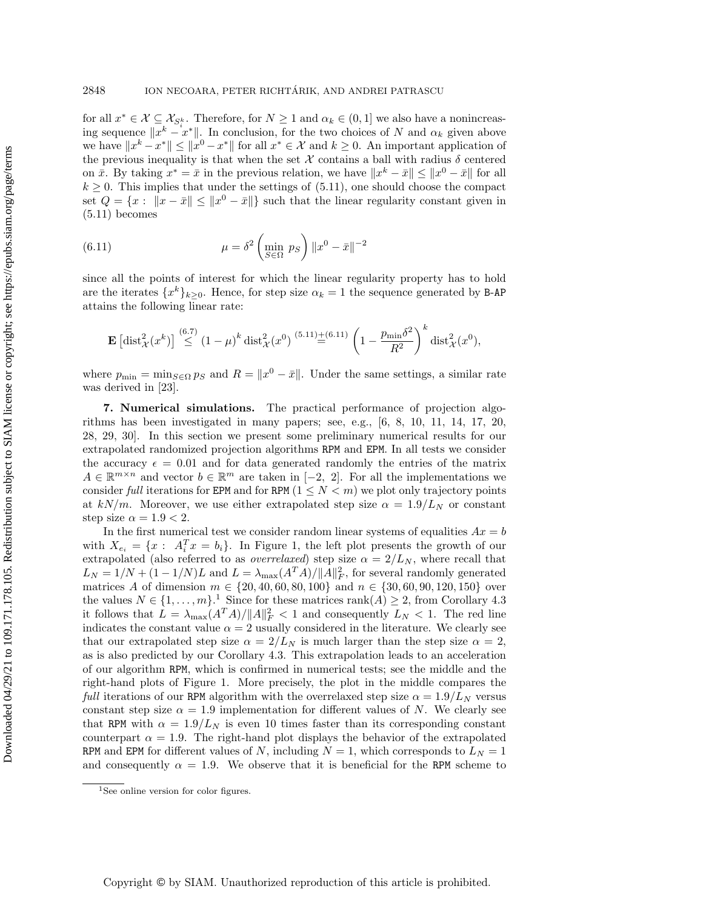for all  $x^* \in \mathcal{X} \subseteq \mathcal{X}_{S^k_i}$ . Therefore, for  $N \geq 1$  and  $\alpha_k \in (0,1]$  we also have a nonincreasing sequence  $\|\bar{x}^k - x^*\|$ . In conclusion, for the two choices of N and  $\alpha_k$  given above we have  $||x^k - x^*|| \le ||x^0 - x^*||$  for all  $x^* \in \mathcal{X}$  and  $k \ge 0$ . An important application of the previous inequality is that when the set X contains a ball with radius  $\delta$  centered on  $\bar{x}$ . By taking  $x^* = \bar{x}$  in the previous relation, we have  $||x^k - \bar{x}|| \le ||x^0 - \bar{x}||$  for all  $k \geq 0$ . This implies that under the settings of [\(5.11\)](#page-22-1), one should choose the compact set  $Q = \{x : ||x - \bar{x}|| \le ||x^0 - \bar{x}||\}$  such that the linear regularity constant given in  $(5.11)$  becomes

<span id="page-34-0"></span>(6.11) 
$$
\mu = \delta^2 \left( \min_{S \in \Omega} p_S \right) ||x^0 - \bar{x}||^{-2}
$$

since all the points of interest for which the linear regularity property has to hold are the iterates  $\{x^k\}_{k\geq 0}$ . Hence, for step size  $\alpha_k = 1$  the sequence generated by B-AP attains the following linear rate:

$$
\mathbf{E}\left[\text{dist}_{\mathcal{X}}^{2}(x^{k})\right] \stackrel{(6.7)}{\leq} (1-\mu)^{k} \text{dist}_{\mathcal{X}}^{2}(x^{0}) \stackrel{(5.11)}{=}{(1-\frac{p_{\min}\delta^{2}}{R^{2}})}^{k} \text{dist}_{\mathcal{X}}^{2}(x^{0}),
$$

where  $p_{\min} = \min_{S \in \Omega} p_S$  and  $R = ||x^0 - \bar{x}||$ . Under the same settings, a similar rate was derived in [\[23\]](#page-37-13).

7. Numerical simulations. The practical performance of projection algorithms has been investigated in many papers; see, e.g., [\[6,](#page-37-5) [8,](#page-37-24) [10,](#page-37-14) [11,](#page-37-2) [14,](#page-37-4) [17,](#page-37-0) [20,](#page-37-6) [28,](#page-37-1) [29,](#page-37-3) [30\]](#page-38-0). In this section we present some preliminary numerical results for our extrapolated randomized projection algorithms RPM and EPM. In all tests we consider the accuracy  $\epsilon = 0.01$  and for data generated randomly the entries of the matrix  $A \in \mathbb{R}^{m \times n}$  and vector  $b \in \mathbb{R}^m$  are taken in  $[-2, 2]$ . For all the implementations we consider full iterations for EPM and for RPM  $(1 \leq N \leq m)$  we plot only trajectory points at  $kN/m$ . Moreover, we use either extrapolated step size  $\alpha = 1.9/L_N$  or constant step size  $\alpha = 1.9 < 2$ .

In the first numerical test we consider random linear systems of equalities  $Ax = b$ with  $X_{e_i} = \{x : A_i^T x = b_i\}$ . In Figure 1, the left plot presents the growth of our extrapolated (also referred to as *overrelaxed*) step size  $\alpha = 2/L_N$ , where recall that  $L_N = 1/N + (1 - 1/N)L$  and  $L = \lambda_{\text{max}}(A^T A) / ||A||_F^2$ , for several randomly generated matrices A of dimension  $m \in \{20, 40, 60, 80, 100\}$  and  $n \in \{30, 60, 90, 120, 150\}$  over the values  $N \in \{1, \ldots, m\}$  $N \in \{1, \ldots, m\}$  $N \in \{1, \ldots, m\}$ <sup>1</sup>. Since for these matrices rank $(A) \geq 2$ , from Corollary [4.3](#page-14-0) it follows that  $L = \lambda_{\text{max}}(A^T A) / ||A||_F^2 < 1$  and consequently  $L_N < 1$ . The red line indicates the constant value  $\alpha = 2$  usually considered in the literature. We clearly see that our extrapolated step size  $\alpha = 2/L_N$  is much larger than the step size  $\alpha = 2$ , as is also predicted by our Corollary [4.3.](#page-14-0) This extrapolation leads to an acceleration of our algorithm RPM, which is confirmed in numerical tests; see the middle and the right-hand plots of Figure 1. More precisely, the plot in the middle compares the full iterations of our RPM algorithm with the overrelaxed step size  $\alpha = 1.9/L_N$  versus constant step size  $\alpha = 1.9$  implementation for different values of N. We clearly see that RPM with  $\alpha = 1.9/L_N$  is even 10 times faster than its corresponding constant counterpart  $\alpha = 1.9$ . The right-hand plot displays the behavior of the extrapolated RPM and EPM for different values of N, including  $N = 1$ , which corresponds to  $L<sub>N</sub> = 1$ and consequently  $\alpha = 1.9$ . We observe that it is beneficial for the RPM scheme to

<span id="page-34-1"></span> $1$ See online version for color figures.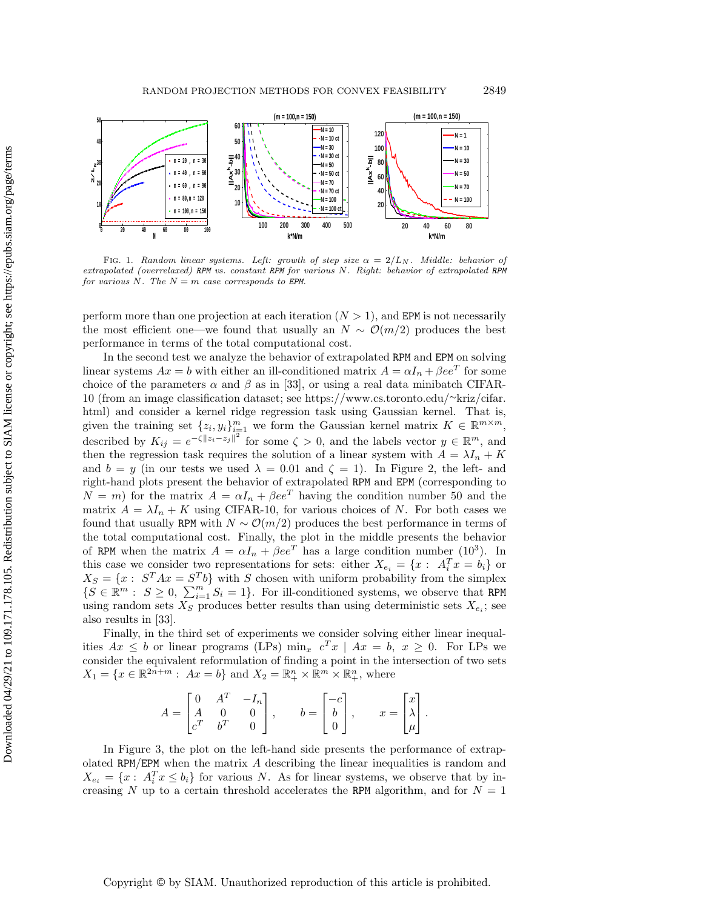

FIG. 1. Random linear systems. Left: growth of step size  $\alpha = 2/L_N$ . Middle: behavior of extrapolated (overrelaxed) RPM vs. constant RPM for various N. Right: behavior of extrapolated RPM for various N. The  $N = m$  case corresponds to EPM.

perform more than one projection at each iteration  $(N > 1)$ , and EPM is not necessarily the most efficient one—we found that usually an  $N \sim \mathcal{O}(m/2)$  produces the best performance in terms of the total computational cost.

In the second test we analyze the behavior of extrapolated RPM and EPM on solving linear systems  $Ax = b$  with either an ill-conditioned matrix  $A = \alpha I_n + \beta ee^T$  for some choice of the parameters  $\alpha$  and  $\beta$  as in [\[33\]](#page-38-1), or using a real data minibatch CIFAR-10 (from an image classification dataset; see [https://www.cs.toronto.edu/](https://www.cs.toronto.edu/~kriz/cifar.html)∼kriz/cifar. [html\)](https://www.cs.toronto.edu/~kriz/cifar.html) and consider a kernel ridge regression task using Gaussian kernel. That is, given the training set  $\{z_i, y_i\}_{i=1}^m$  we form the Gaussian kernel matrix  $K \in \mathbb{R}^{m \times m}$ , described by  $K_{ij} = e^{-\zeta ||z_i - z_j||^2}$  for some  $\zeta > 0$ , and the labels vector  $y \in \mathbb{R}^m$ , and then the regression task requires the solution of a linear system with  $A = \lambda I_n + K$ and  $b = y$  (in our tests we used  $\lambda = 0.01$  and  $\zeta = 1$ ). In Figure 2, the left- and right-hand plots present the behavior of extrapolated RPM and EPM (corresponding to  $N = m$ ) for the matrix  $A = \alpha I_n + \beta ee^T$  having the condition number 50 and the matrix  $A = \lambda I_n + K$  using CIFAR-10, for various choices of N. For both cases we found that usually RPM with  $N \sim \mathcal{O}(m/2)$  produces the best performance in terms of the total computational cost. Finally, the plot in the middle presents the behavior of RPM when the matrix  $A = \alpha I_n + \beta ee^T$  has a large condition number (10<sup>3</sup>). In this case we consider two representations for sets: either  $X_{e_i} = \{x : A_i^T x = b_i\}$  or  $X_S = \{x : S^T A x = S^T b\}$  with S chosen with uniform probability from the simplex  $\{S \in \mathbb{R}^m : S \geq 0, \sum_{i=1}^m S_i = 1\}$ . For ill-conditioned systems, we observe that RPM using random sets  $X_S$  produces better results than using deterministic sets  $X_{e_i}$ ; see also results in [\[33\]](#page-38-1).

Finally, in the third set of experiments we consider solving either linear inequalities  $Ax \leq b$  or linear programs (LPs)  $\min_x c^T x \mid Ax = b, x \geq 0$ . For LPs we consider the equivalent reformulation of finding a point in the intersection of two sets  $X_1 = \{x \in \mathbb{R}^{2n+m} : Ax = b\}$  and  $X_2 = \mathbb{R}^n_+ \times \mathbb{R}^m \times \mathbb{R}^n_+$ , where

$$
A = \begin{bmatrix} 0 & A^T & -I_n \\ A & 0 & 0 \\ c^T & b^T & 0 \end{bmatrix}, \qquad b = \begin{bmatrix} -c \\ b \\ 0 \end{bmatrix}, \qquad x = \begin{bmatrix} x \\ \lambda \\ \mu \end{bmatrix}.
$$

In Figure [3,](#page-36-3) the plot on the left-hand side presents the performance of extrapolated RPM/EPM when the matrix A describing the linear inequalities is random and  $X_{e_i} = \{x: A_i^T x \leq b_i\}$  for various N. As for linear systems, we observe that by increasing N up to a certain threshold accelerates the RPM algorithm, and for  $N = 1$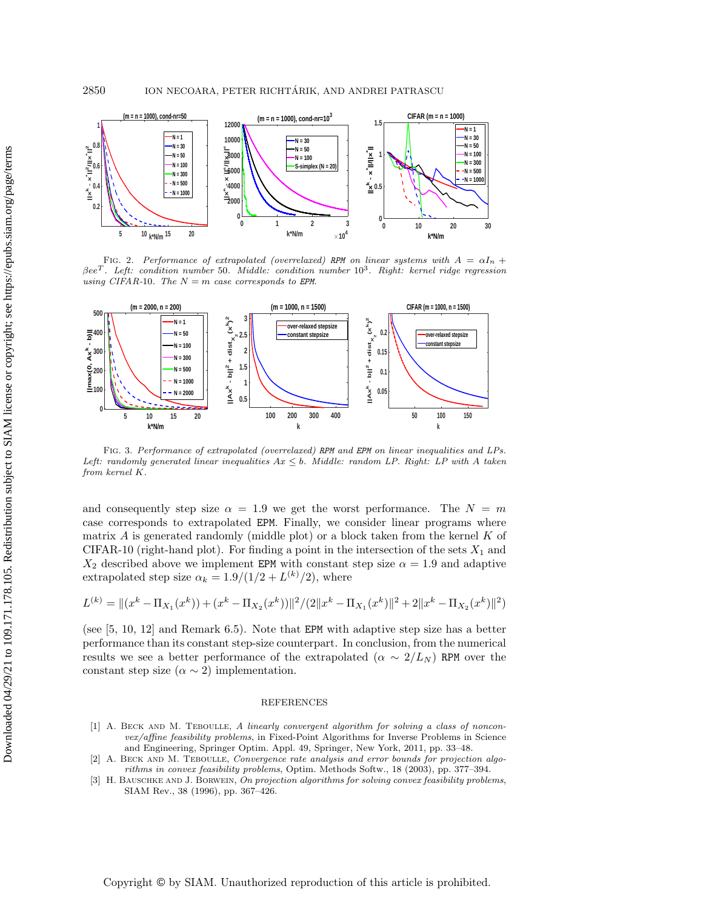

FIG. 2. Performance of extrapolated (overrelaxed) RPM on linear systems with  $A = \alpha I_n +$  $\beta ee^T$ . Left: condition number 50. Middle: condition number  $10^3$ . Right: kernel ridge regression using CIFAR-10. The  $N = m$  case corresponds to EPM.

<span id="page-36-3"></span>

Fig. 3. Performance of extrapolated (overrelaxed) RPM and EPM on linear inequalities and LPs. Left: randomly generated linear inequalities  $Ax \leq b$ . Middle: random LP. Right: LP with A taken from kernel K.

and consequently step size  $\alpha = 1.9$  we get the worst performance. The  $N = m$ case corresponds to extrapolated EPM. Finally, we consider linear programs where matrix  $A$  is generated randomly (middle plot) or a block taken from the kernel  $K$  of CIFAR-10 (right-hand plot). For finding a point in the intersection of the sets  $X_1$  and  $X_2$  described above we implement EPM with constant step size  $\alpha = 1.9$  and adaptive extrapolated step size  $\alpha_k = 1.9/(1/2 + L^{(k)}/2)$ , where

$$
L^{(k)} = ||(x^{k} - \Pi_{X_1}(x^{k})) + (x^{k} - \Pi_{X_2}(x^{k}))||^{2} / (2||x^{k} - \Pi_{X_1}(x^{k})||^{2} + 2||x^{k} - \Pi_{X_2}(x^{k})||^{2})
$$

(see [\[5,](#page-37-17) [10,](#page-37-14) [12\]](#page-37-10) and Remark [6.5\)](#page-28-2). Note that EPM with adaptive step size has a better performance than its constant step-size counterpart. In conclusion, from the numerical results we see a better performance of the extrapolated ( $\alpha \sim 2/L_N$ ) RPM over the constant step size ( $\alpha \sim 2$ ) implementation.

#### REFERENCES

- <span id="page-36-2"></span>[1] A. BECK AND M. TEBOULLE, A linearly convergent algorithm for solving a class of nonconvex/affine feasibility problems, in Fixed-Point Algorithms for Inverse Problems in Science and Engineering, Springer Optim. Appl. 49, Springer, New York, 2011, pp. 33–48.
- <span id="page-36-1"></span>[2] A. Beck and M. Teboulle, Convergence rate analysis and error bounds for projection algorithms in convex feasibility problems, Optim. Methods Softw., 18 (2003), pp. 377–394.
- <span id="page-36-0"></span>[3] H. BAUSCHKE AND J. BORWEIN, On projection algorithms for solving convex feasibility problems, SIAM Rev., 38 (1996), pp. 367–426.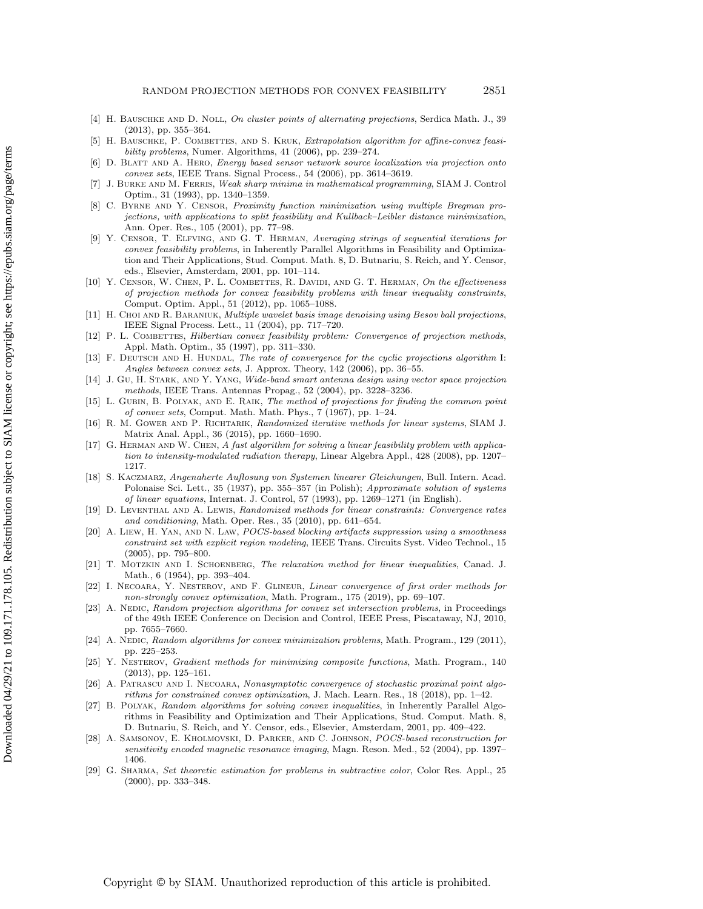- <span id="page-37-11"></span>[4] H. BAUSCHKE AND D. NOLL, On cluster points of alternating projections, Serdica Math. J., 39 (2013), pp. 355–364.
- <span id="page-37-17"></span>[5] H. BAUSCHKE, P. COMBETTES, AND S. KRUK, Extrapolation algorithm for affine-convex feasibility problems, Numer. Algorithms, 41 (2006), pp. 239–274.
- <span id="page-37-5"></span>[6] D. Blatt and A. Hero, Energy based sensor network source localization via projection onto convex sets, IEEE Trans. Signal Process., 54 (2006), pp. 3614–3619.
- <span id="page-37-20"></span>J. BURKE AND M. FERRIS, Weak sharp minima in mathematical programming, SIAM J. Control Optim., 31 (1993), pp. 1340–1359.
- <span id="page-37-24"></span>[8] C. Byrne and Y. Censor, Proximity function minimization using multiple Bregman projections, with applications to split feasibility and Kullback–Leibler distance minimization, Ann. Oper. Res., 105 (2001), pp. 77–98.
- <span id="page-37-15"></span>[9] Y. Censor, T. Elfving, and G. T. Herman, Averaging strings of sequential iterations for convex feasibility problems, in Inherently Parallel Algorithms in Feasibility and Optimization and Their Applications, Stud. Comput. Math. 8, D. Butnariu, S. Reich, and Y. Censor, eds., Elsevier, Amsterdam, 2001, pp. 101–114.
- <span id="page-37-14"></span>[10] Y. CENSOR, W. CHEN, P. L. COMBETTES, R. DAVIDI, AND G. T. HERMAN, On the effectiveness of projection methods for convex feasibility problems with linear inequality constraints, Comput. Optim. Appl., 51 (2012), pp. 1065–1088.
- <span id="page-37-2"></span>[11] H. CHOI AND R. BARANIUK, Multiple wavelet basis image denoising using Besov ball projections, IEEE Signal Process. Lett., 11 (2004), pp. 717–720.
- <span id="page-37-10"></span>[12] P. L. COMBETTES, Hilbertian convex feasibility problem: Convergence of projection methods, Appl. Math. Optim., 35 (1997), pp. 311–330.
- <span id="page-37-21"></span>[13] F. DEUTSCH AND H. HUNDAL, The rate of convergence for the cyclic projections algorithm I: Angles between convex sets, J. Approx. Theory, 142 (2006), pp. 36–55.
- <span id="page-37-4"></span>[14] J. GU, H. STARK, AND Y. YANG, Wide-band smart antenna design using vector space projection methods, IEEE Trans. Antennas Propag., 52 (2004), pp. 3228–3236.
- <span id="page-37-19"></span>[15] L. GUBIN, B. POLYAK, AND E. RAIK, The method of projections for finding the common point of convex sets, Comput. Math. Math. Phys.,  $7$  (1967), pp. 1–24.
- <span id="page-37-12"></span>[16] R. M. GOWER AND P. RICHTARIK, Randomized iterative methods for linear systems, SIAM J. Matrix Anal. Appl., 36 (2015), pp. 1660–1690.
- <span id="page-37-0"></span>[17] G. Herman and W. Chen, A fast algorithm for solving a linear feasibility problem with application to intensity-modulated radiation therapy, Linear Algebra Appl., 428 (2008), pp. 1207– 1217.
- <span id="page-37-8"></span>[18] S. Kaczmarz, Angenaherte Auflosung von Systemen linearer Gleichungen, Bull. Intern. Acad. Polonaise Sci. Lett., 35 (1937), pp. 355–357 (in Polish); Approximate solution of systems of linear equations, Internat. J. Control, 57 (1993), pp. 1269–1271 (in English).
- <span id="page-37-25"></span>[19] D. Leventhal and A. Lewis, Randomized methods for linear constraints: Convergence rates and conditioning, Math. Oper. Res., 35 (2010), pp. 641–654.
- <span id="page-37-6"></span>[20] A. Liew, H. Yan, and N. Law, POCS-based blocking artifacts suppression using a smoothness constraint set with explicit region modeling, IEEE Trans. Circuits Syst. Video Technol., 15 (2005), pp. 795–800.
- <span id="page-37-9"></span>[21] T. MOTZKIN AND I. SCHOENBERG, The relaxation method for linear inequalities, Canad. J. Math., 6 (1954), pp. 393–404.
- <span id="page-37-23"></span>[22] I. Necoara, Y. Nesterov, and F. Glineur, Linear convergence of first order methods for non-strongly convex optimization, Math. Program., 175 (2019), pp. 69–107.
- <span id="page-37-13"></span>[23] A. NEDIC, Random projection algorithms for convex set intersection problems, in Proceedings of the 49th IEEE Conference on Decision and Control, IEEE Press, Piscataway, NJ, 2010, pp. 7655–7660.
- <span id="page-37-16"></span>[24] A. NEDIC, Random algorithms for convex minimization problems, Math. Program., 129 (2011). pp. 225–253.
- <span id="page-37-22"></span>[25] Y. Nesterov, Gradient methods for minimizing composite functions, Math. Program., 140 (2013), pp. 125–161.
- <span id="page-37-7"></span>[26] A. Patrascu and I. Necoara, Nonasymptotic convergence of stochastic proximal point algorithms for constrained convex optimization, J. Mach. Learn. Res., 18 (2018), pp. 1–42.
- <span id="page-37-18"></span>[27] B. Polyak, Random algorithms for solving convex inequalities, in Inherently Parallel Algorithms in Feasibility and Optimization and Their Applications, Stud. Comput. Math. 8, D. Butnariu, S. Reich, and Y. Censor, eds., Elsevier, Amsterdam, 2001, pp. 409–422.
- <span id="page-37-1"></span>[28] A. Samsonov, E. Kholmovski, D. Parker, and C. Johnson, POCS-based reconstruction for sensitivity encoded magnetic resonance imaging, Magn. Reson. Med., 52 (2004), pp. 1397– 1406.
- <span id="page-37-3"></span>[29] G. Sharma, Set theoretic estimation for problems in subtractive color, Color Res. Appl., 25 (2000), pp. 333–348.